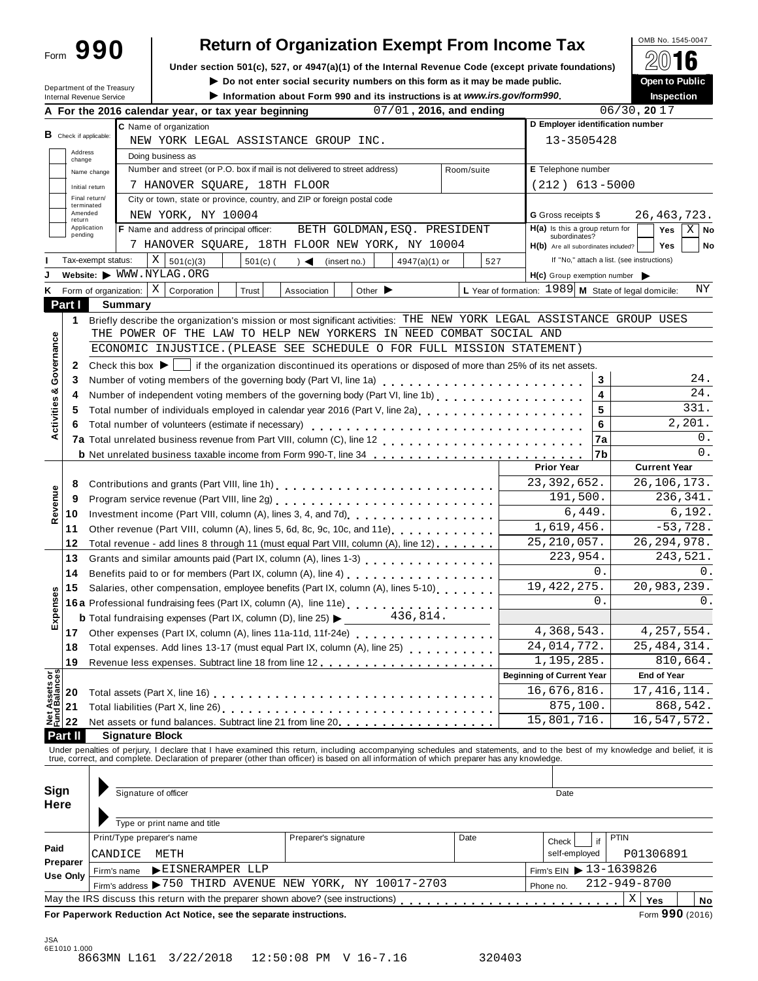Form **990**

# **Return of Organization Exempt From Income Tax**<br>section 501(c). 527. or 4947(a)(1) of the Internal Revenue Code (except private foundations)  $\boxed{\frac{\circ}{}^{0\text{MB No. 1545-0047}}$

**Under section 501(c), 527, or 4947(a)(1) of the Internal Revenue Code (except private foundations)** À¾µº

▶ Do not enter social security numbers on this form as it may be made public.<br>
▶ Information shout Facture 200 and its instruction is at usuality part forme 200.

|                                                                                                                                                                                                                                                                                                                                                                                                                                                                                                                                                                                                                                                                                                                                                                                                                                                                                                                                                                                                                                                                                                                                                                                                                                                                                                                                                                                                                                                                                                                                                                                                                                                                                                                                                                                                                                                                                                                                                                                                                                                                                                                                                                                                                                                                                                                                                                                                                                                                   |                                                                                                                                                                                                                                                           |      |                                          | <b>Open to Public</b><br><b>Inspection</b> |
|-------------------------------------------------------------------------------------------------------------------------------------------------------------------------------------------------------------------------------------------------------------------------------------------------------------------------------------------------------------------------------------------------------------------------------------------------------------------------------------------------------------------------------------------------------------------------------------------------------------------------------------------------------------------------------------------------------------------------------------------------------------------------------------------------------------------------------------------------------------------------------------------------------------------------------------------------------------------------------------------------------------------------------------------------------------------------------------------------------------------------------------------------------------------------------------------------------------------------------------------------------------------------------------------------------------------------------------------------------------------------------------------------------------------------------------------------------------------------------------------------------------------------------------------------------------------------------------------------------------------------------------------------------------------------------------------------------------------------------------------------------------------------------------------------------------------------------------------------------------------------------------------------------------------------------------------------------------------------------------------------------------------------------------------------------------------------------------------------------------------------------------------------------------------------------------------------------------------------------------------------------------------------------------------------------------------------------------------------------------------------------------------------------------------------------------------------------------------|-----------------------------------------------------------------------------------------------------------------------------------------------------------------------------------------------------------------------------------------------------------|------|------------------------------------------|--------------------------------------------|
|                                                                                                                                                                                                                                                                                                                                                                                                                                                                                                                                                                                                                                                                                                                                                                                                                                                                                                                                                                                                                                                                                                                                                                                                                                                                                                                                                                                                                                                                                                                                                                                                                                                                                                                                                                                                                                                                                                                                                                                                                                                                                                                                                                                                                                                                                                                                                                                                                                                                   |                                                                                                                                                                                                                                                           |      |                                          |                                            |
|                                                                                                                                                                                                                                                                                                                                                                                                                                                                                                                                                                                                                                                                                                                                                                                                                                                                                                                                                                                                                                                                                                                                                                                                                                                                                                                                                                                                                                                                                                                                                                                                                                                                                                                                                                                                                                                                                                                                                                                                                                                                                                                                                                                                                                                                                                                                                                                                                                                                   | C Name of organization                                                                                                                                                                                                                                    |      |                                          |                                            |
|                                                                                                                                                                                                                                                                                                                                                                                                                                                                                                                                                                                                                                                                                                                                                                                                                                                                                                                                                                                                                                                                                                                                                                                                                                                                                                                                                                                                                                                                                                                                                                                                                                                                                                                                                                                                                                                                                                                                                                                                                                                                                                                                                                                                                                                                                                                                                                                                                                                                   | NEW YORK LEGAL ASSISTANCE GROUP INC.                                                                                                                                                                                                                      |      |                                          |                                            |
| Address                                                                                                                                                                                                                                                                                                                                                                                                                                                                                                                                                                                                                                                                                                                                                                                                                                                                                                                                                                                                                                                                                                                                                                                                                                                                                                                                                                                                                                                                                                                                                                                                                                                                                                                                                                                                                                                                                                                                                                                                                                                                                                                                                                                                                                                                                                                                                                                                                                                           | Doing business as                                                                                                                                                                                                                                         |      |                                          |                                            |
| $\blacktriangleright$ Do not enter social security numbers on this form as it may be made public.<br>Department of the Treasury<br>Information about Form 990 and its instructions is at www.irs.gov/form990.<br>Internal Revenue Service<br>$06/30$ , 2017<br>07/01, 2016, and ending<br>A For the 2016 calendar year, or tax year beginning<br>D Employer identification number<br><b>B</b> Check if applicable:<br>13-3505428<br>change<br>Number and street (or P.O. box if mail is not delivered to street address)<br>E Telephone number<br>Room/suite<br>Name change<br>$(212)$ 613-5000<br>7 HANOVER SQUARE, 18TH FLOOR<br>Initial return<br>Final return/<br>City or town, state or province, country, and ZIP or foreign postal code<br>terminated<br>Amended<br>NEW YORK, NY 10004<br>G Gross receipts \$<br>return<br>Application<br>F Name and address of principal officer:<br>BETH GOLDMAN, ESQ. PRESIDENT<br>$H(a)$ is this a group return for<br>Yes<br>pending<br>subordinates?<br>7 HANOVER SQUARE, 18TH FLOOR NEW YORK, NY 10004<br><b>Yes</b><br>H(b) Are all subordinates included?<br>ΧI<br>If "No," attach a list. (see instructions)<br>Tax-exempt status:<br>501(c)(3)<br>527<br>$501(c)$ (<br>$\rightarrow$ $\blacktriangleleft$<br>4947(a)(1) or<br>(insert no.)<br>Website: WWW.NYLAG.ORG<br>$H(c)$ Group exemption number $\blacktriangleright$<br>L Year of formation: $1989$ M State of legal domicile:<br>$\mathbf{X}$<br>Form of organization:<br>Corporation<br>Trust<br>Association<br>Other $\blacktriangleright$<br>ĸ<br>Part I<br><b>Summary</b><br>Briefly describe the organization's mission or most significant activities: THE NEW YORK LEGAL ASSISTANCE GROUP USES<br>1<br>THE POWER OF THE LAW TO HELP NEW YORKERS IN NEED COMBAT SOCIAL AND<br>Activities & Governance<br>ECONOMIC INJUSTICE. (PLEASE SEE SCHEDULE O FOR FULL MISSION STATEMENT)<br>Check this box $\blacktriangleright$ $\mid$ $\mid$<br>if the organization discontinued its operations or disposed of more than 25% of its net assets.<br>2<br>3<br>3<br>4<br>Number of independent voting members of the governing body (Part VI, line 1b)<br>4<br>5<br>5<br>Total number of individuals employed in calendar year 2016 (Part V, line 2a)<br>The 2a)<br>6<br>Total number of volunteers (estimate if necessary)<br>6<br>7a<br>7b<br><b>Current Year</b><br><b>Prior Year</b><br>23, 392, 652.<br>8<br>Revenue<br>191,500.<br>9<br>6,449.<br>10 |                                                                                                                                                                                                                                                           |      |                                          |                                            |
|                                                                                                                                                                                                                                                                                                                                                                                                                                                                                                                                                                                                                                                                                                                                                                                                                                                                                                                                                                                                                                                                                                                                                                                                                                                                                                                                                                                                                                                                                                                                                                                                                                                                                                                                                                                                                                                                                                                                                                                                                                                                                                                                                                                                                                                                                                                                                                                                                                                                   |                                                                                                                                                                                                                                                           |      |                                          |                                            |
|                                                                                                                                                                                                                                                                                                                                                                                                                                                                                                                                                                                                                                                                                                                                                                                                                                                                                                                                                                                                                                                                                                                                                                                                                                                                                                                                                                                                                                                                                                                                                                                                                                                                                                                                                                                                                                                                                                                                                                                                                                                                                                                                                                                                                                                                                                                                                                                                                                                                   |                                                                                                                                                                                                                                                           |      |                                          |                                            |
|                                                                                                                                                                                                                                                                                                                                                                                                                                                                                                                                                                                                                                                                                                                                                                                                                                                                                                                                                                                                                                                                                                                                                                                                                                                                                                                                                                                                                                                                                                                                                                                                                                                                                                                                                                                                                                                                                                                                                                                                                                                                                                                                                                                                                                                                                                                                                                                                                                                                   |                                                                                                                                                                                                                                                           |      |                                          | 26, 463, 723.                              |
|                                                                                                                                                                                                                                                                                                                                                                                                                                                                                                                                                                                                                                                                                                                                                                                                                                                                                                                                                                                                                                                                                                                                                                                                                                                                                                                                                                                                                                                                                                                                                                                                                                                                                                                                                                                                                                                                                                                                                                                                                                                                                                                                                                                                                                                                                                                                                                                                                                                                   |                                                                                                                                                                                                                                                           |      |                                          | $X \mid$ No                                |
|                                                                                                                                                                                                                                                                                                                                                                                                                                                                                                                                                                                                                                                                                                                                                                                                                                                                                                                                                                                                                                                                                                                                                                                                                                                                                                                                                                                                                                                                                                                                                                                                                                                                                                                                                                                                                                                                                                                                                                                                                                                                                                                                                                                                                                                                                                                                                                                                                                                                   |                                                                                                                                                                                                                                                           |      |                                          | No                                         |
|                                                                                                                                                                                                                                                                                                                                                                                                                                                                                                                                                                                                                                                                                                                                                                                                                                                                                                                                                                                                                                                                                                                                                                                                                                                                                                                                                                                                                                                                                                                                                                                                                                                                                                                                                                                                                                                                                                                                                                                                                                                                                                                                                                                                                                                                                                                                                                                                                                                                   |                                                                                                                                                                                                                                                           |      |                                          |                                            |
|                                                                                                                                                                                                                                                                                                                                                                                                                                                                                                                                                                                                                                                                                                                                                                                                                                                                                                                                                                                                                                                                                                                                                                                                                                                                                                                                                                                                                                                                                                                                                                                                                                                                                                                                                                                                                                                                                                                                                                                                                                                                                                                                                                                                                                                                                                                                                                                                                                                                   |                                                                                                                                                                                                                                                           |      |                                          |                                            |
|                                                                                                                                                                                                                                                                                                                                                                                                                                                                                                                                                                                                                                                                                                                                                                                                                                                                                                                                                                                                                                                                                                                                                                                                                                                                                                                                                                                                                                                                                                                                                                                                                                                                                                                                                                                                                                                                                                                                                                                                                                                                                                                                                                                                                                                                                                                                                                                                                                                                   |                                                                                                                                                                                                                                                           |      |                                          | ΝY                                         |
|                                                                                                                                                                                                                                                                                                                                                                                                                                                                                                                                                                                                                                                                                                                                                                                                                                                                                                                                                                                                                                                                                                                                                                                                                                                                                                                                                                                                                                                                                                                                                                                                                                                                                                                                                                                                                                                                                                                                                                                                                                                                                                                                                                                                                                                                                                                                                                                                                                                                   |                                                                                                                                                                                                                                                           |      |                                          |                                            |
|                                                                                                                                                                                                                                                                                                                                                                                                                                                                                                                                                                                                                                                                                                                                                                                                                                                                                                                                                                                                                                                                                                                                                                                                                                                                                                                                                                                                                                                                                                                                                                                                                                                                                                                                                                                                                                                                                                                                                                                                                                                                                                                                                                                                                                                                                                                                                                                                                                                                   |                                                                                                                                                                                                                                                           |      |                                          |                                            |
|                                                                                                                                                                                                                                                                                                                                                                                                                                                                                                                                                                                                                                                                                                                                                                                                                                                                                                                                                                                                                                                                                                                                                                                                                                                                                                                                                                                                                                                                                                                                                                                                                                                                                                                                                                                                                                                                                                                                                                                                                                                                                                                                                                                                                                                                                                                                                                                                                                                                   |                                                                                                                                                                                                                                                           |      |                                          |                                            |
|                                                                                                                                                                                                                                                                                                                                                                                                                                                                                                                                                                                                                                                                                                                                                                                                                                                                                                                                                                                                                                                                                                                                                                                                                                                                                                                                                                                                                                                                                                                                                                                                                                                                                                                                                                                                                                                                                                                                                                                                                                                                                                                                                                                                                                                                                                                                                                                                                                                                   |                                                                                                                                                                                                                                                           |      |                                          |                                            |
|                                                                                                                                                                                                                                                                                                                                                                                                                                                                                                                                                                                                                                                                                                                                                                                                                                                                                                                                                                                                                                                                                                                                                                                                                                                                                                                                                                                                                                                                                                                                                                                                                                                                                                                                                                                                                                                                                                                                                                                                                                                                                                                                                                                                                                                                                                                                                                                                                                                                   |                                                                                                                                                                                                                                                           |      |                                          |                                            |
|                                                                                                                                                                                                                                                                                                                                                                                                                                                                                                                                                                                                                                                                                                                                                                                                                                                                                                                                                                                                                                                                                                                                                                                                                                                                                                                                                                                                                                                                                                                                                                                                                                                                                                                                                                                                                                                                                                                                                                                                                                                                                                                                                                                                                                                                                                                                                                                                                                                                   |                                                                                                                                                                                                                                                           |      |                                          |                                            |
|                                                                                                                                                                                                                                                                                                                                                                                                                                                                                                                                                                                                                                                                                                                                                                                                                                                                                                                                                                                                                                                                                                                                                                                                                                                                                                                                                                                                                                                                                                                                                                                                                                                                                                                                                                                                                                                                                                                                                                                                                                                                                                                                                                                                                                                                                                                                                                                                                                                                   |                                                                                                                                                                                                                                                           |      |                                          | 24.                                        |
|                                                                                                                                                                                                                                                                                                                                                                                                                                                                                                                                                                                                                                                                                                                                                                                                                                                                                                                                                                                                                                                                                                                                                                                                                                                                                                                                                                                                                                                                                                                                                                                                                                                                                                                                                                                                                                                                                                                                                                                                                                                                                                                                                                                                                                                                                                                                                                                                                                                                   |                                                                                                                                                                                                                                                           |      |                                          | 24.                                        |
|                                                                                                                                                                                                                                                                                                                                                                                                                                                                                                                                                                                                                                                                                                                                                                                                                                                                                                                                                                                                                                                                                                                                                                                                                                                                                                                                                                                                                                                                                                                                                                                                                                                                                                                                                                                                                                                                                                                                                                                                                                                                                                                                                                                                                                                                                                                                                                                                                                                                   |                                                                                                                                                                                                                                                           |      |                                          | 331.                                       |
|                                                                                                                                                                                                                                                                                                                                                                                                                                                                                                                                                                                                                                                                                                                                                                                                                                                                                                                                                                                                                                                                                                                                                                                                                                                                                                                                                                                                                                                                                                                                                                                                                                                                                                                                                                                                                                                                                                                                                                                                                                                                                                                                                                                                                                                                                                                                                                                                                                                                   |                                                                                                                                                                                                                                                           |      |                                          | 2,201.                                     |
|                                                                                                                                                                                                                                                                                                                                                                                                                                                                                                                                                                                                                                                                                                                                                                                                                                                                                                                                                                                                                                                                                                                                                                                                                                                                                                                                                                                                                                                                                                                                                                                                                                                                                                                                                                                                                                                                                                                                                                                                                                                                                                                                                                                                                                                                                                                                                                                                                                                                   |                                                                                                                                                                                                                                                           |      |                                          | 0.                                         |
|                                                                                                                                                                                                                                                                                                                                                                                                                                                                                                                                                                                                                                                                                                                                                                                                                                                                                                                                                                                                                                                                                                                                                                                                                                                                                                                                                                                                                                                                                                                                                                                                                                                                                                                                                                                                                                                                                                                                                                                                                                                                                                                                                                                                                                                                                                                                                                                                                                                                   |                                                                                                                                                                                                                                                           |      |                                          | 0.                                         |
|                                                                                                                                                                                                                                                                                                                                                                                                                                                                                                                                                                                                                                                                                                                                                                                                                                                                                                                                                                                                                                                                                                                                                                                                                                                                                                                                                                                                                                                                                                                                                                                                                                                                                                                                                                                                                                                                                                                                                                                                                                                                                                                                                                                                                                                                                                                                                                                                                                                                   |                                                                                                                                                                                                                                                           |      |                                          |                                            |
|                                                                                                                                                                                                                                                                                                                                                                                                                                                                                                                                                                                                                                                                                                                                                                                                                                                                                                                                                                                                                                                                                                                                                                                                                                                                                                                                                                                                                                                                                                                                                                                                                                                                                                                                                                                                                                                                                                                                                                                                                                                                                                                                                                                                                                                                                                                                                                                                                                                                   |                                                                                                                                                                                                                                                           |      |                                          | 26, 106, 173.                              |
|                                                                                                                                                                                                                                                                                                                                                                                                                                                                                                                                                                                                                                                                                                                                                                                                                                                                                                                                                                                                                                                                                                                                                                                                                                                                                                                                                                                                                                                                                                                                                                                                                                                                                                                                                                                                                                                                                                                                                                                                                                                                                                                                                                                                                                                                                                                                                                                                                                                                   |                                                                                                                                                                                                                                                           |      |                                          | 236,341.                                   |
|                                                                                                                                                                                                                                                                                                                                                                                                                                                                                                                                                                                                                                                                                                                                                                                                                                                                                                                                                                                                                                                                                                                                                                                                                                                                                                                                                                                                                                                                                                                                                                                                                                                                                                                                                                                                                                                                                                                                                                                                                                                                                                                                                                                                                                                                                                                                                                                                                                                                   |                                                                                                                                                                                                                                                           |      |                                          | 6,192.                                     |
| 11                                                                                                                                                                                                                                                                                                                                                                                                                                                                                                                                                                                                                                                                                                                                                                                                                                                                                                                                                                                                                                                                                                                                                                                                                                                                                                                                                                                                                                                                                                                                                                                                                                                                                                                                                                                                                                                                                                                                                                                                                                                                                                                                                                                                                                                                                                                                                                                                                                                                | Other revenue (Part VIII, column (A), lines 5, 6d, 8c, 9c, 10c, and 11e) [100]                                                                                                                                                                            |      | 1,619,456.                               | $-53,728.$                                 |
| 12                                                                                                                                                                                                                                                                                                                                                                                                                                                                                                                                                                                                                                                                                                                                                                                                                                                                                                                                                                                                                                                                                                                                                                                                                                                                                                                                                                                                                                                                                                                                                                                                                                                                                                                                                                                                                                                                                                                                                                                                                                                                                                                                                                                                                                                                                                                                                                                                                                                                | Total revenue - add lines 8 through 11 (must equal Part VIII, column (A), line 12)                                                                                                                                                                        |      | 25, 210, 057.                            | 26, 294, 978.                              |
| 13                                                                                                                                                                                                                                                                                                                                                                                                                                                                                                                                                                                                                                                                                                                                                                                                                                                                                                                                                                                                                                                                                                                                                                                                                                                                                                                                                                                                                                                                                                                                                                                                                                                                                                                                                                                                                                                                                                                                                                                                                                                                                                                                                                                                                                                                                                                                                                                                                                                                |                                                                                                                                                                                                                                                           |      | 223,954.                                 | 243,521.                                   |
| 14                                                                                                                                                                                                                                                                                                                                                                                                                                                                                                                                                                                                                                                                                                                                                                                                                                                                                                                                                                                                                                                                                                                                                                                                                                                                                                                                                                                                                                                                                                                                                                                                                                                                                                                                                                                                                                                                                                                                                                                                                                                                                                                                                                                                                                                                                                                                                                                                                                                                | Benefits paid to or for members (Part IX, column (A), line 4)                                                                                                                                                                                             |      | 0.                                       | 0.                                         |
| 15                                                                                                                                                                                                                                                                                                                                                                                                                                                                                                                                                                                                                                                                                                                                                                                                                                                                                                                                                                                                                                                                                                                                                                                                                                                                                                                                                                                                                                                                                                                                                                                                                                                                                                                                                                                                                                                                                                                                                                                                                                                                                                                                                                                                                                                                                                                                                                                                                                                                | Salaries, other compensation, employee benefits (Part IX, column (A), lines 5-10)                                                                                                                                                                         |      | 19, 422, 275.                            | 20,983,239.                                |
| Expenses                                                                                                                                                                                                                                                                                                                                                                                                                                                                                                                                                                                                                                                                                                                                                                                                                                                                                                                                                                                                                                                                                                                                                                                                                                                                                                                                                                                                                                                                                                                                                                                                                                                                                                                                                                                                                                                                                                                                                                                                                                                                                                                                                                                                                                                                                                                                                                                                                                                          | 16a Professional fundraising fees (Part IX, column (A), line 11e)<br>16a Professional fundraising fees (Part IX, column (A), line 11e)                                                                                                                    |      | 0.                                       | 0.                                         |
|                                                                                                                                                                                                                                                                                                                                                                                                                                                                                                                                                                                                                                                                                                                                                                                                                                                                                                                                                                                                                                                                                                                                                                                                                                                                                                                                                                                                                                                                                                                                                                                                                                                                                                                                                                                                                                                                                                                                                                                                                                                                                                                                                                                                                                                                                                                                                                                                                                                                   | 436,814.<br><b>b</b> Total fundraising expenses (Part IX, column (D), line 25) $\blacktriangleright$                                                                                                                                                      |      |                                          |                                            |
| 17 <sup>1</sup>                                                                                                                                                                                                                                                                                                                                                                                                                                                                                                                                                                                                                                                                                                                                                                                                                                                                                                                                                                                                                                                                                                                                                                                                                                                                                                                                                                                                                                                                                                                                                                                                                                                                                                                                                                                                                                                                                                                                                                                                                                                                                                                                                                                                                                                                                                                                                                                                                                                   | Other expenses (Part IX, column (A), lines 11a-11d, 11f-24e)                                                                                                                                                                                              |      | 4,368,543.                               | 4, 257, 554.                               |
| 18                                                                                                                                                                                                                                                                                                                                                                                                                                                                                                                                                                                                                                                                                                                                                                                                                                                                                                                                                                                                                                                                                                                                                                                                                                                                                                                                                                                                                                                                                                                                                                                                                                                                                                                                                                                                                                                                                                                                                                                                                                                                                                                                                                                                                                                                                                                                                                                                                                                                | Total expenses. Add lines 13-17 (must equal Part IX, column (A), line 25)                                                                                                                                                                                 |      | 24,014,772.                              | 25, 484, 314.                              |
| 19                                                                                                                                                                                                                                                                                                                                                                                                                                                                                                                                                                                                                                                                                                                                                                                                                                                                                                                                                                                                                                                                                                                                                                                                                                                                                                                                                                                                                                                                                                                                                                                                                                                                                                                                                                                                                                                                                                                                                                                                                                                                                                                                                                                                                                                                                                                                                                                                                                                                |                                                                                                                                                                                                                                                           |      | 1, 195, 285.                             | 810,664.                                   |
|                                                                                                                                                                                                                                                                                                                                                                                                                                                                                                                                                                                                                                                                                                                                                                                                                                                                                                                                                                                                                                                                                                                                                                                                                                                                                                                                                                                                                                                                                                                                                                                                                                                                                                                                                                                                                                                                                                                                                                                                                                                                                                                                                                                                                                                                                                                                                                                                                                                                   |                                                                                                                                                                                                                                                           |      | <b>Beginning of Current Year</b>         | <b>End of Year</b>                         |
| Net Assets or<br>20                                                                                                                                                                                                                                                                                                                                                                                                                                                                                                                                                                                                                                                                                                                                                                                                                                                                                                                                                                                                                                                                                                                                                                                                                                                                                                                                                                                                                                                                                                                                                                                                                                                                                                                                                                                                                                                                                                                                                                                                                                                                                                                                                                                                                                                                                                                                                                                                                                               |                                                                                                                                                                                                                                                           |      | 16,676,816.                              | 17, 416, 114.                              |
| 21                                                                                                                                                                                                                                                                                                                                                                                                                                                                                                                                                                                                                                                                                                                                                                                                                                                                                                                                                                                                                                                                                                                                                                                                                                                                                                                                                                                                                                                                                                                                                                                                                                                                                                                                                                                                                                                                                                                                                                                                                                                                                                                                                                                                                                                                                                                                                                                                                                                                |                                                                                                                                                                                                                                                           |      | 875,100.                                 | 868,542.                                   |
| 22                                                                                                                                                                                                                                                                                                                                                                                                                                                                                                                                                                                                                                                                                                                                                                                                                                                                                                                                                                                                                                                                                                                                                                                                                                                                                                                                                                                                                                                                                                                                                                                                                                                                                                                                                                                                                                                                                                                                                                                                                                                                                                                                                                                                                                                                                                                                                                                                                                                                | Net assets or fund balances. Subtract line 21 from line 20 [11, 11, 11, 11, 11, 11, 11, 11]                                                                                                                                                               |      | 15,801,716.                              | 16,547,572.                                |
| <b>Part II</b>                                                                                                                                                                                                                                                                                                                                                                                                                                                                                                                                                                                                                                                                                                                                                                                                                                                                                                                                                                                                                                                                                                                                                                                                                                                                                                                                                                                                                                                                                                                                                                                                                                                                                                                                                                                                                                                                                                                                                                                                                                                                                                                                                                                                                                                                                                                                                                                                                                                    | <b>Signature Block</b>                                                                                                                                                                                                                                    |      |                                          |                                            |
|                                                                                                                                                                                                                                                                                                                                                                                                                                                                                                                                                                                                                                                                                                                                                                                                                                                                                                                                                                                                                                                                                                                                                                                                                                                                                                                                                                                                                                                                                                                                                                                                                                                                                                                                                                                                                                                                                                                                                                                                                                                                                                                                                                                                                                                                                                                                                                                                                                                                   |                                                                                                                                                                                                                                                           |      |                                          |                                            |
|                                                                                                                                                                                                                                                                                                                                                                                                                                                                                                                                                                                                                                                                                                                                                                                                                                                                                                                                                                                                                                                                                                                                                                                                                                                                                                                                                                                                                                                                                                                                                                                                                                                                                                                                                                                                                                                                                                                                                                                                                                                                                                                                                                                                                                                                                                                                                                                                                                                                   | Under penalties of perjury, I declare that I have examined this return, including accompanying schedules and statements, and to the best of my knowledge and belief, it is true, correct, and complete. Declaration of prepare                            |      |                                          |                                            |
|                                                                                                                                                                                                                                                                                                                                                                                                                                                                                                                                                                                                                                                                                                                                                                                                                                                                                                                                                                                                                                                                                                                                                                                                                                                                                                                                                                                                                                                                                                                                                                                                                                                                                                                                                                                                                                                                                                                                                                                                                                                                                                                                                                                                                                                                                                                                                                                                                                                                   |                                                                                                                                                                                                                                                           |      |                                          |                                            |
| Sign                                                                                                                                                                                                                                                                                                                                                                                                                                                                                                                                                                                                                                                                                                                                                                                                                                                                                                                                                                                                                                                                                                                                                                                                                                                                                                                                                                                                                                                                                                                                                                                                                                                                                                                                                                                                                                                                                                                                                                                                                                                                                                                                                                                                                                                                                                                                                                                                                                                              | Signature of officer                                                                                                                                                                                                                                      |      | Date                                     |                                            |
| <b>Here</b>                                                                                                                                                                                                                                                                                                                                                                                                                                                                                                                                                                                                                                                                                                                                                                                                                                                                                                                                                                                                                                                                                                                                                                                                                                                                                                                                                                                                                                                                                                                                                                                                                                                                                                                                                                                                                                                                                                                                                                                                                                                                                                                                                                                                                                                                                                                                                                                                                                                       |                                                                                                                                                                                                                                                           |      |                                          |                                            |
|                                                                                                                                                                                                                                                                                                                                                                                                                                                                                                                                                                                                                                                                                                                                                                                                                                                                                                                                                                                                                                                                                                                                                                                                                                                                                                                                                                                                                                                                                                                                                                                                                                                                                                                                                                                                                                                                                                                                                                                                                                                                                                                                                                                                                                                                                                                                                                                                                                                                   | Type or print name and title                                                                                                                                                                                                                              |      |                                          |                                            |
|                                                                                                                                                                                                                                                                                                                                                                                                                                                                                                                                                                                                                                                                                                                                                                                                                                                                                                                                                                                                                                                                                                                                                                                                                                                                                                                                                                                                                                                                                                                                                                                                                                                                                                                                                                                                                                                                                                                                                                                                                                                                                                                                                                                                                                                                                                                                                                                                                                                                   |                                                                                                                                                                                                                                                           |      |                                          |                                            |
|                                                                                                                                                                                                                                                                                                                                                                                                                                                                                                                                                                                                                                                                                                                                                                                                                                                                                                                                                                                                                                                                                                                                                                                                                                                                                                                                                                                                                                                                                                                                                                                                                                                                                                                                                                                                                                                                                                                                                                                                                                                                                                                                                                                                                                                                                                                                                                                                                                                                   | Print/Type preparer's name<br>Preparer's signature                                                                                                                                                                                                        | Date | if<br>Check                              | <b>PTIN</b>                                |
|                                                                                                                                                                                                                                                                                                                                                                                                                                                                                                                                                                                                                                                                                                                                                                                                                                                                                                                                                                                                                                                                                                                                                                                                                                                                                                                                                                                                                                                                                                                                                                                                                                                                                                                                                                                                                                                                                                                                                                                                                                                                                                                                                                                                                                                                                                                                                                                                                                                                   |                                                                                                                                                                                                                                                           |      |                                          | P01306891                                  |
|                                                                                                                                                                                                                                                                                                                                                                                                                                                                                                                                                                                                                                                                                                                                                                                                                                                                                                                                                                                                                                                                                                                                                                                                                                                                                                                                                                                                                                                                                                                                                                                                                                                                                                                                                                                                                                                                                                                                                                                                                                                                                                                                                                                                                                                                                                                                                                                                                                                                   | Firm's name                                                                                                                                                                                                                                               |      |                                          |                                            |
|                                                                                                                                                                                                                                                                                                                                                                                                                                                                                                                                                                                                                                                                                                                                                                                                                                                                                                                                                                                                                                                                                                                                                                                                                                                                                                                                                                                                                                                                                                                                                                                                                                                                                                                                                                                                                                                                                                                                                                                                                                                                                                                                                                                                                                                                                                                                                                                                                                                                   |                                                                                                                                                                                                                                                           |      | Phone no.                                |                                            |
|                                                                                                                                                                                                                                                                                                                                                                                                                                                                                                                                                                                                                                                                                                                                                                                                                                                                                                                                                                                                                                                                                                                                                                                                                                                                                                                                                                                                                                                                                                                                                                                                                                                                                                                                                                                                                                                                                                                                                                                                                                                                                                                                                                                                                                                                                                                                                                                                                                                                   |                                                                                                                                                                                                                                                           |      |                                          | Yes<br>No                                  |
| Paid<br>Preparer<br>Use Only                                                                                                                                                                                                                                                                                                                                                                                                                                                                                                                                                                                                                                                                                                                                                                                                                                                                                                                                                                                                                                                                                                                                                                                                                                                                                                                                                                                                                                                                                                                                                                                                                                                                                                                                                                                                                                                                                                                                                                                                                                                                                                                                                                                                                                                                                                                                                                                                                                      | CANDICE<br>METH<br>EISNERAMPER LLP<br>Firm's address >750 THIRD AVENUE NEW YORK, NY 10017-2703<br>May the IRS discuss this return with the preparer shown above? (see instructions)<br>For Paperwork Reduction Act Notice, see the separate instructions. |      | self-employed<br>Firm's EIN ▶ 13-1639826 | 212-949-8700<br>Χ<br>Form 990 (2016)       |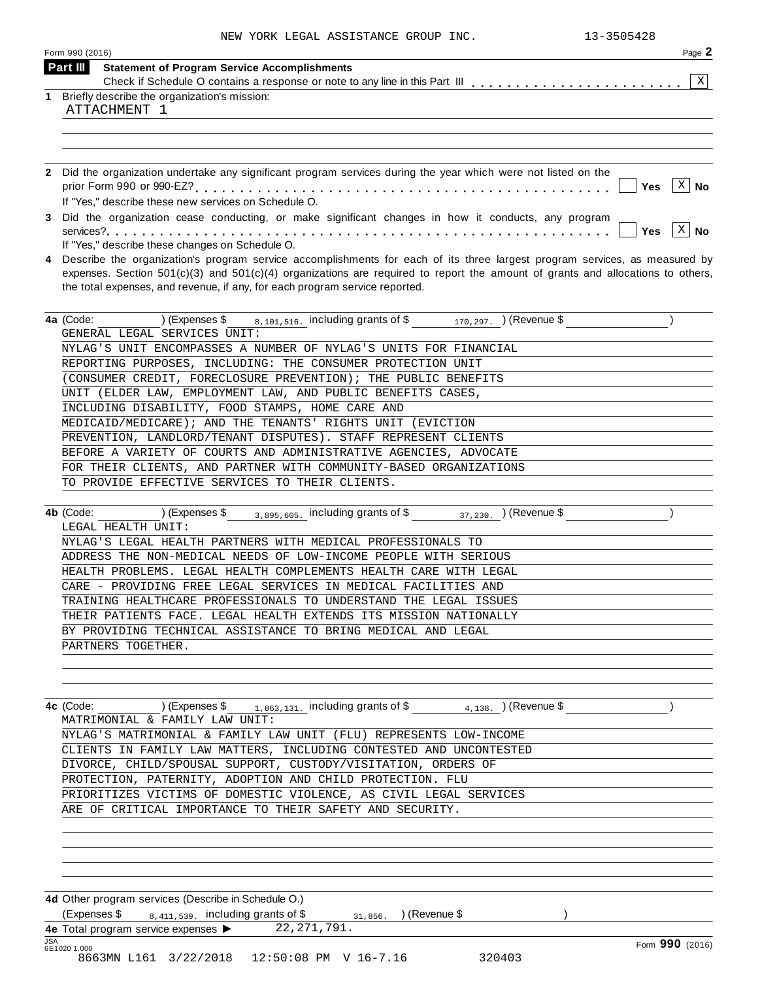|            | Form 990 (2016)                                                                                                                    | Page 2       |
|------------|------------------------------------------------------------------------------------------------------------------------------------|--------------|
|            | Part III<br><b>Statement of Program Service Accomplishments</b>                                                                    |              |
|            |                                                                                                                                    | $\mathbf{X}$ |
| 1.         | Briefly describe the organization's mission:<br>ATTACHMENT 1                                                                       |              |
|            |                                                                                                                                    |              |
|            |                                                                                                                                    |              |
|            |                                                                                                                                    |              |
|            |                                                                                                                                    |              |
| 2          | Did the organization undertake any significant program services during the year which were not listed on the                       |              |
|            | Yes                                                                                                                                | $X \mid No$  |
|            | If "Yes," describe these new services on Schedule O.                                                                               |              |
|            | Did the organization cease conducting, or make significant changes in how it conducts, any program                                 |              |
|            | Yes                                                                                                                                | $ X $ No     |
|            | If "Yes," describe these changes on Schedule O.                                                                                    |              |
|            | Describe the organization's program service accomplishments for each of its three largest program services, as measured by         |              |
|            | expenses. Section $501(c)(3)$ and $501(c)(4)$ organizations are required to report the amount of grants and allocations to others, |              |
|            | the total expenses, and revenue, if any, for each program service reported.                                                        |              |
|            |                                                                                                                                    |              |
|            | $_{8,101,516}$ including grants of \$ $_{170,297}$ ) (Revenue \$<br>4a (Code:<br>) (Expenses \$<br>GENERAL LEGAL SERVICES UNIT:    |              |
|            | NYLAG'S UNIT ENCOMPASSES A NUMBER OF NYLAG'S UNITS FOR FINANCIAL                                                                   |              |
|            |                                                                                                                                    |              |
|            | REPORTING PURPOSES, INCLUDING: THE CONSUMER PROTECTION UNIT<br>(CONSUMER CREDIT, FORECLOSURE PREVENTION); THE PUBLIC BENEFITS      |              |
|            | UNIT (ELDER LAW, EMPLOYMENT LAW, AND PUBLIC BENEFITS CASES,                                                                        |              |
|            |                                                                                                                                    |              |
|            | INCLUDING DISABILITY, FOOD STAMPS, HOME CARE AND                                                                                   |              |
|            | MEDICAID/MEDICARE); AND THE TENANTS' RIGHTS UNIT (EVICTION                                                                         |              |
|            | PREVENTION, LANDLORD/TENANT DISPUTES). STAFF REPRESENT CLIENTS                                                                     |              |
|            | BEFORE A VARIETY OF COURTS AND ADMINISTRATIVE AGENCIES, ADVOCATE                                                                   |              |
|            | FOR THEIR CLIENTS, AND PARTNER WITH COMMUNITY-BASED ORGANIZATIONS                                                                  |              |
|            | TO PROVIDE EFFECTIVE SERVICES TO THEIR CLIENTS.                                                                                    |              |
|            |                                                                                                                                    |              |
|            | $_{3,895,605}$ including grants of \$ $_{37,230}$ . (Revenue \$<br>4b (Code:<br>) (Expenses \$<br>LEGAL HEALTH UNIT:               |              |
|            |                                                                                                                                    |              |
|            | NYLAG'S LEGAL HEALTH PARTNERS WITH MEDICAL PROFESSIONALS TO<br>ADDRESS THE NON-MEDICAL NEEDS OF LOW-INCOME PEOPLE WITH SERIOUS     |              |
|            | HEALTH PROBLEMS. LEGAL HEALTH COMPLEMENTS HEALTH CARE WITH LEGAL                                                                   |              |
|            | CARE - PROVIDING FREE LEGAL SERVICES IN MEDICAL FACILITIES AND                                                                     |              |
|            | TRAINING HEALTHCARE PROFESSIONALS TO UNDERSTAND THE LEGAL ISSUES                                                                   |              |
|            |                                                                                                                                    |              |
|            | THEIR PATIENTS FACE. LEGAL HEALTH EXTENDS ITS MISSION NATIONALLY                                                                   |              |
|            | BY PROVIDING TECHNICAL ASSISTANCE TO BRING MEDICAL AND LEGAL                                                                       |              |
|            | PARTNERS TOGETHER.                                                                                                                 |              |
|            |                                                                                                                                    |              |
|            |                                                                                                                                    |              |
|            | 4c (Code: $(2.64)$ ) (Expenses \$1,863,131, including grants of \$4,138, ) (Revenue \$                                             |              |
|            | MATRIMONIAL & FAMILY LAW UNIT:                                                                                                     |              |
|            | NYLAG'S MATRIMONIAL & FAMILY LAW UNIT (FLU) REPRESENTS LOW-INCOME                                                                  |              |
|            | CLIENTS IN FAMILY LAW MATTERS, INCLUDING CONTESTED AND UNCONTESTED                                                                 |              |
|            | DIVORCE, CHILD/SPOUSAL SUPPORT, CUSTODY/VISITATION, ORDERS OF                                                                      |              |
|            | PROTECTION, PATERNITY, ADOPTION AND CHILD PROTECTION. FLU                                                                          |              |
|            | PRIORITIZES VICTIMS OF DOMESTIC VIOLENCE, AS CIVIL LEGAL SERVICES                                                                  |              |
|            | ARE OF CRITICAL IMPORTANCE TO THEIR SAFETY AND SECURITY.                                                                           |              |
|            |                                                                                                                                    |              |
|            |                                                                                                                                    |              |
|            |                                                                                                                                    |              |
|            |                                                                                                                                    |              |
|            | 4d Other program services (Describe in Schedule O.)                                                                                |              |
|            | (Expenses \$ $_{8,411,539}$ including grants of \$ $_{31,856}$ ) (Revenue \$                                                       |              |
|            | 4e Total program service expenses > 22, 271, 791.                                                                                  |              |
| <b>JSA</b> | Form 990 (2016)<br>6E1020 1.000                                                                                                    |              |
|            | 8663MN L161 3/22/2018 12:50:08 PM V 16-7.16<br>320403                                                                              |              |
|            |                                                                                                                                    |              |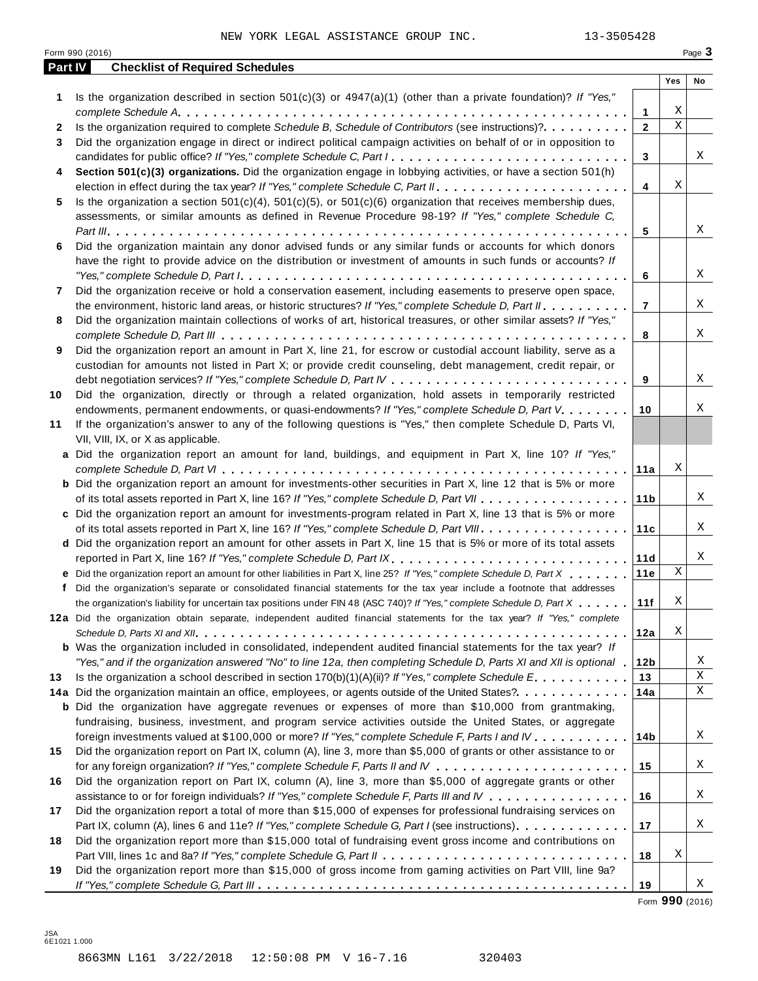|         | Form 990 (2016)                                                                                                                                                                                                                                                                                                                                                                               |                 |             | Page 3 |
|---------|-----------------------------------------------------------------------------------------------------------------------------------------------------------------------------------------------------------------------------------------------------------------------------------------------------------------------------------------------------------------------------------------------|-----------------|-------------|--------|
| Part IV | <b>Checklist of Required Schedules</b>                                                                                                                                                                                                                                                                                                                                                        |                 |             |        |
|         |                                                                                                                                                                                                                                                                                                                                                                                               |                 | Yes         | No     |
| 1       | Is the organization described in section $501(c)(3)$ or $4947(a)(1)$ (other than a private foundation)? If "Yes,"                                                                                                                                                                                                                                                                             |                 |             |        |
|         |                                                                                                                                                                                                                                                                                                                                                                                               | 1               | Χ           |        |
| 2       | Is the organization required to complete Schedule B, Schedule of Contributors (see instructions)?.                                                                                                                                                                                                                                                                                            | $\mathbf{2}$    | $\mathbf X$ |        |
| 3       | Did the organization engage in direct or indirect political campaign activities on behalf of or in opposition to                                                                                                                                                                                                                                                                              |                 |             |        |
|         | candidates for public office? If "Yes," complete Schedule C, Part I.                                                                                                                                                                                                                                                                                                                          | 3               |             | Χ      |
| 4       | Section 501(c)(3) organizations. Did the organization engage in lobbying activities, or have a section 501(h)                                                                                                                                                                                                                                                                                 |                 |             |        |
|         |                                                                                                                                                                                                                                                                                                                                                                                               | 4               | Χ           |        |
| 5       | Is the organization a section $501(c)(4)$ , $501(c)(5)$ , or $501(c)(6)$ organization that receives membership dues,                                                                                                                                                                                                                                                                          |                 |             |        |
|         | assessments, or similar amounts as defined in Revenue Procedure 98-19? If "Yes," complete Schedule C,                                                                                                                                                                                                                                                                                         |                 |             |        |
|         |                                                                                                                                                                                                                                                                                                                                                                                               | 5               |             | Χ      |
| 6       | Did the organization maintain any donor advised funds or any similar funds or accounts for which donors                                                                                                                                                                                                                                                                                       |                 |             |        |
|         | have the right to provide advice on the distribution or investment of amounts in such funds or accounts? If                                                                                                                                                                                                                                                                                   |                 |             |        |
|         | "Yes," complete Schedule D, Part $l_1, \ldots, l_k, \ldots, l_k, \ldots, l_k, \ldots, l_k, \ldots, l_k, \ldots, l_k, \ldots, l_k, \ldots, l_k, \ldots, l_k, \ldots, l_k, \ldots, l_k, \ldots, l_k, \ldots, l_k, \ldots, l_k, \ldots, l_k, \ldots, l_k, \ldots, l_k, \ldots, l_k, \ldots, l_k, \ldots, l_k, \ldots, l_k, \ldots, l_k, \ldots, l_k, \ldots, l_k, \ldots, l_k, \ldots, l_k, \ld$ | 6               |             | Χ      |
| 7       | Did the organization receive or hold a conservation easement, including easements to preserve open space,                                                                                                                                                                                                                                                                                     |                 |             |        |
|         | the environment, historic land areas, or historic structures? If "Yes," complete Schedule D, Part II.                                                                                                                                                                                                                                                                                         | $\overline{7}$  |             | Χ      |
| 8       | Did the organization maintain collections of works of art, historical treasures, or other similar assets? If "Yes,"                                                                                                                                                                                                                                                                           |                 |             |        |
|         |                                                                                                                                                                                                                                                                                                                                                                                               | 8               |             | Χ      |
| 9       | Did the organization report an amount in Part X, line 21, for escrow or custodial account liability, serve as a                                                                                                                                                                                                                                                                               |                 |             |        |
|         | custodian for amounts not listed in Part X; or provide credit counseling, debt management, credit repair, or                                                                                                                                                                                                                                                                                  |                 |             | Χ      |
|         |                                                                                                                                                                                                                                                                                                                                                                                               | 9               |             |        |
| 10      | Did the organization, directly or through a related organization, hold assets in temporarily restricted                                                                                                                                                                                                                                                                                       |                 |             | X      |
|         | endowments, permanent endowments, or quasi-endowments? If "Yes," complete Schedule D, Part V.                                                                                                                                                                                                                                                                                                 | 10              |             |        |
| 11      | If the organization's answer to any of the following questions is "Yes," then complete Schedule D, Parts VI,                                                                                                                                                                                                                                                                                  |                 |             |        |
|         | VII, VIII, IX, or X as applicable.<br>a Did the organization report an amount for land, buildings, and equipment in Part X, line 10? If "Yes,"                                                                                                                                                                                                                                                |                 |             |        |
|         |                                                                                                                                                                                                                                                                                                                                                                                               | 11a             | Χ           |        |
|         | <b>b</b> Did the organization report an amount for investments-other securities in Part X, line 12 that is 5% or more                                                                                                                                                                                                                                                                         |                 |             |        |
|         |                                                                                                                                                                                                                                                                                                                                                                                               | 11 <sub>b</sub> |             | Χ      |
|         | c Did the organization report an amount for investments-program related in Part X, line 13 that is 5% or more                                                                                                                                                                                                                                                                                 |                 |             |        |
|         |                                                                                                                                                                                                                                                                                                                                                                                               | 11c             |             | Χ      |
|         | d Did the organization report an amount for other assets in Part X, line 15 that is 5% or more of its total assets                                                                                                                                                                                                                                                                            |                 |             |        |
|         | reported in Part X, line 16? If "Yes," complete Schedule D, Part IX.                                                                                                                                                                                                                                                                                                                          | 11d             |             | Χ      |
|         | e Did the organization report an amount for other liabilities in Part X, line 25? If "Yes," complete Schedule D, Part X                                                                                                                                                                                                                                                                       | 11e             | X           |        |
|         | f Did the organization's separate or consolidated financial statements for the tax year include a footnote that addresses                                                                                                                                                                                                                                                                     |                 |             |        |
|         | the organization's liability for uncertain tax positions under FIN 48 (ASC 740)? If "Yes," complete Schedule D, Part X                                                                                                                                                                                                                                                                        | 11f             | Χ           |        |
|         | 12a Did the organization obtain separate, independent audited financial statements for the tax year? If "Yes," complete                                                                                                                                                                                                                                                                       |                 |             |        |
|         |                                                                                                                                                                                                                                                                                                                                                                                               | 12a             | X           |        |
|         | <b>b</b> Was the organization included in consolidated, independent audited financial statements for the tax year? If                                                                                                                                                                                                                                                                         |                 |             |        |
|         | "Yes," and if the organization answered "No" to line 12a, then completing Schedule D, Parts XI and XII is optional "                                                                                                                                                                                                                                                                          | 12 <sub>b</sub> |             | Χ      |
| 13      | Is the organization a school described in section $170(b)(1)(A)(ii)?$ If "Yes," complete Schedule E.                                                                                                                                                                                                                                                                                          | 13              |             | X      |
|         | 14a Did the organization maintain an office, employees, or agents outside of the United States?.                                                                                                                                                                                                                                                                                              | 14a             |             | X      |
|         | <b>b</b> Did the organization have aggregate revenues or expenses of more than \$10,000 from grantmaking,                                                                                                                                                                                                                                                                                     |                 |             |        |
|         | fundraising, business, investment, and program service activities outside the United States, or aggregate                                                                                                                                                                                                                                                                                     |                 |             |        |
|         | foreign investments valued at \$100,000 or more? If "Yes," complete Schedule F, Parts I and IV                                                                                                                                                                                                                                                                                                | 14 <sub>b</sub> |             | Χ      |
| 15      | Did the organization report on Part IX, column (A), line 3, more than \$5,000 of grants or other assistance to or                                                                                                                                                                                                                                                                             |                 |             |        |
|         |                                                                                                                                                                                                                                                                                                                                                                                               | 15              |             | Χ      |
| 16      | Did the organization report on Part IX, column (A), line 3, more than \$5,000 of aggregate grants or other                                                                                                                                                                                                                                                                                    |                 |             |        |
|         | assistance to or for foreign individuals? If "Yes," complete Schedule F, Parts III and IV                                                                                                                                                                                                                                                                                                     | 16              |             | Χ      |
| 17      | Did the organization report a total of more than \$15,000 of expenses for professional fundraising services on                                                                                                                                                                                                                                                                                |                 |             |        |
|         | Part IX, column (A), lines 6 and 11e? If "Yes," complete Schedule G, Part I (see instructions)                                                                                                                                                                                                                                                                                                | 17              |             | Χ      |
| 18      | Did the organization report more than \$15,000 total of fundraising event gross income and contributions on                                                                                                                                                                                                                                                                                   |                 |             |        |
|         |                                                                                                                                                                                                                                                                                                                                                                                               | 18              | X           |        |
| 19      | Did the organization report more than \$15,000 of gross income from gaming activities on Part VIII, line 9a?                                                                                                                                                                                                                                                                                  |                 |             |        |
|         |                                                                                                                                                                                                                                                                                                                                                                                               | 19              |             | Χ      |

Form **990** (2016)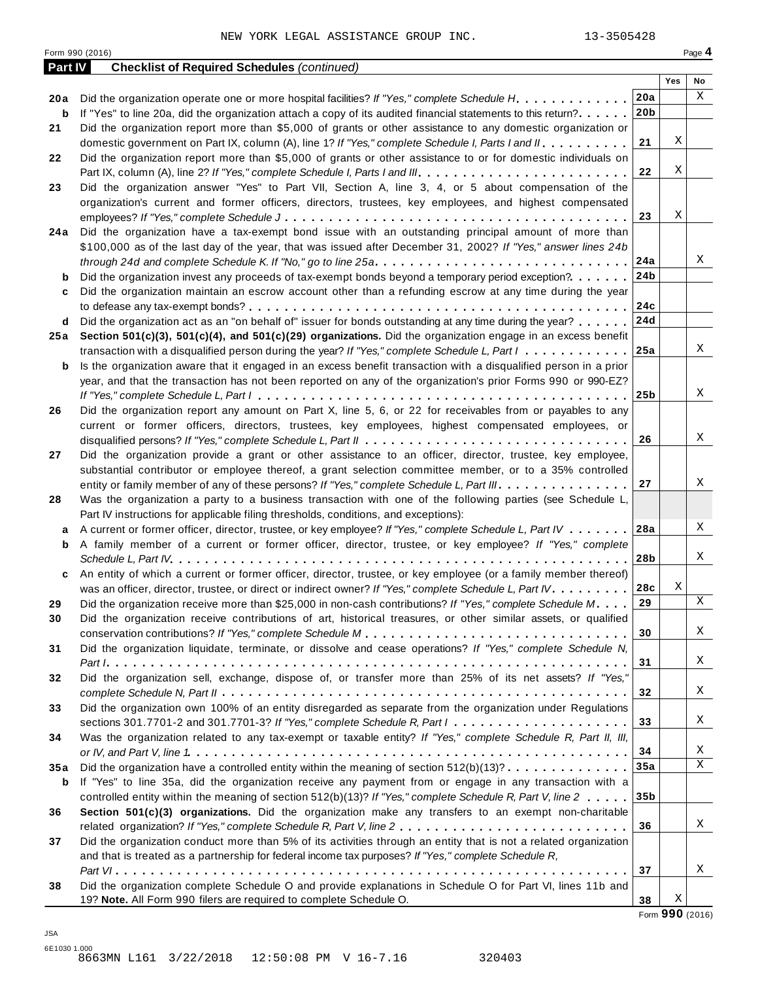|         | Form 990 (2016)                                                                                                                                                                                                                             |                 |     | Page 4      |
|---------|---------------------------------------------------------------------------------------------------------------------------------------------------------------------------------------------------------------------------------------------|-----------------|-----|-------------|
| Part IV | <b>Checklist of Required Schedules (continued)</b>                                                                                                                                                                                          |                 |     |             |
|         |                                                                                                                                                                                                                                             |                 | Yes | No          |
| 20 a    | Did the organization operate one or more hospital facilities? If "Yes," complete Schedule H.                                                                                                                                                | 20a             |     | X           |
| b       | If "Yes" to line 20a, did the organization attach a copy of its audited financial statements to this return?                                                                                                                                | 20b             |     |             |
| 21      | Did the organization report more than \$5,000 of grants or other assistance to any domestic organization or                                                                                                                                 |                 |     |             |
|         | domestic government on Part IX, column (A), line 1? If "Yes," complete Schedule I, Parts I and II.                                                                                                                                          | 21              | Χ   |             |
| 22      | Did the organization report more than \$5,000 of grants or other assistance to or for domestic individuals on                                                                                                                               |                 |     |             |
|         |                                                                                                                                                                                                                                             | 22              | Χ   |             |
| 23      | Did the organization answer "Yes" to Part VII, Section A, line 3, 4, or 5 about compensation of the                                                                                                                                         |                 |     |             |
|         | organization's current and former officers, directors, trustees, key employees, and highest compensated                                                                                                                                     |                 |     |             |
|         |                                                                                                                                                                                                                                             | 23              | Χ   |             |
| 24 a    | Did the organization have a tax-exempt bond issue with an outstanding principal amount of more than                                                                                                                                         |                 |     |             |
|         | \$100,000 as of the last day of the year, that was issued after December 31, 2002? If "Yes," answer lines 24b                                                                                                                               |                 |     | Χ           |
|         | through 24d and complete Schedule K. If "No," go to line 25a                                                                                                                                                                                | 24a             |     |             |
| b       | Did the organization invest any proceeds of tax-exempt bonds beyond a temporary period exception?                                                                                                                                           | 24b             |     |             |
| c       | Did the organization maintain an escrow account other than a refunding escrow at any time during the year                                                                                                                                   |                 |     |             |
|         |                                                                                                                                                                                                                                             | 24c             |     |             |
| d       | Did the organization act as an "on behalf of" issuer for bonds outstanding at any time during the year?                                                                                                                                     | 24d             |     |             |
|         | 25a Section 501(c)(3), 501(c)(4), and 501(c)(29) organizations. Did the organization engage in an excess benefit                                                                                                                            | 25a             |     | Χ           |
|         | transaction with a disqualified person during the year? If "Yes," complete Schedule L, Part $1, \ldots, \ldots, \ldots$<br>Is the organization aware that it engaged in an excess benefit transaction with a disqualified person in a prior |                 |     |             |
| b       | year, and that the transaction has not been reported on any of the organization's prior Forms 990 or 990-EZ?                                                                                                                                |                 |     |             |
|         |                                                                                                                                                                                                                                             | 25 <sub>b</sub> |     | Χ           |
| 26      | Did the organization report any amount on Part X, line 5, 6, or 22 for receivables from or payables to any                                                                                                                                  |                 |     |             |
|         | current or former officers, directors, trustees, key employees, highest compensated employees, or                                                                                                                                           |                 |     |             |
|         |                                                                                                                                                                                                                                             | 26              |     | X           |
| 27      | Did the organization provide a grant or other assistance to an officer, director, trustee, key employee,                                                                                                                                    |                 |     |             |
|         | substantial contributor or employee thereof, a grant selection committee member, or to a 35% controlled                                                                                                                                     |                 |     |             |
|         | entity or family member of any of these persons? If "Yes," complete Schedule L, Part III.                                                                                                                                                   | 27              |     | Χ           |
| 28      | Was the organization a party to a business transaction with one of the following parties (see Schedule L,                                                                                                                                   |                 |     |             |
|         | Part IV instructions for applicable filing thresholds, conditions, and exceptions):                                                                                                                                                         |                 |     |             |
| a       | A current or former officer, director, trustee, or key employee? If "Yes," complete Schedule L, Part IV                                                                                                                                     | 28a             |     | Χ           |
| b       | A family member of a current or former officer, director, trustee, or key employee? If "Yes," complete                                                                                                                                      |                 |     |             |
|         | Schedule L. Part IV. $\ldots$ , $\ldots$ , $\ldots$ , $\ldots$ , $\ldots$ , $\ldots$ , $\ldots$ , $\ldots$ , $\ldots$ , $\ldots$ , $\ldots$                                                                                                 | 28b             |     | Χ           |
| c       | An entity of which a current or former officer, director, trustee, or key employee (or a family member thereof)                                                                                                                             |                 |     |             |
|         | was an officer, director, trustee, or direct or indirect owner? If "Yes," complete Schedule L, Part IV.                                                                                                                                     | 28c             | Χ   |             |
| 29      | Did the organization receive more than \$25,000 in non-cash contributions? If "Yes," complete Schedule M.                                                                                                                                   | 29              |     | $\mathbf X$ |
| 30      | Did the organization receive contributions of art, historical treasures, or other similar assets, or qualified                                                                                                                              |                 |     |             |
|         |                                                                                                                                                                                                                                             | 30              |     | Χ           |
| 31      | Did the organization liquidate, terminate, or dissolve and cease operations? If "Yes," complete Schedule N,                                                                                                                                 |                 |     |             |
|         |                                                                                                                                                                                                                                             | 31              |     | Χ           |
| 32      | Did the organization sell, exchange, dispose of, or transfer more than 25% of its net assets? If "Yes,"                                                                                                                                     |                 |     |             |
|         |                                                                                                                                                                                                                                             | 32              |     | Χ           |
| 33      | Did the organization own 100% of an entity disregarded as separate from the organization under Regulations                                                                                                                                  |                 |     |             |
|         |                                                                                                                                                                                                                                             | 33              |     | Χ           |
| 34      | Was the organization related to any tax-exempt or taxable entity? If "Yes," complete Schedule R, Part II, III,                                                                                                                              |                 |     |             |
|         |                                                                                                                                                                                                                                             | 34              |     | Χ           |
| 35a     | Did the organization have a controlled entity within the meaning of section $512(b)(13)? \ldots \ldots \ldots \ldots$                                                                                                                       | 35a             |     | X           |
| b       | If "Yes" to line 35a, did the organization receive any payment from or engage in any transaction with a                                                                                                                                     |                 |     |             |
|         | controlled entity within the meaning of section 512(b)(13)? If "Yes," complete Schedule R, Part V, line 2                                                                                                                                   | 35 <sub>b</sub> |     |             |
| 36      | Section 501(c)(3) organizations. Did the organization make any transfers to an exempt non-charitable                                                                                                                                        |                 |     |             |
|         |                                                                                                                                                                                                                                             | 36              |     | Χ           |
| 37      | Did the organization conduct more than 5% of its activities through an entity that is not a related organization                                                                                                                            |                 |     |             |
|         | and that is treated as a partnership for federal income tax purposes? If "Yes," complete Schedule R,                                                                                                                                        |                 |     |             |
|         |                                                                                                                                                                                                                                             | 37              |     | Χ           |
| 38      | Did the organization complete Schedule O and provide explanations in Schedule O for Part VI, lines 11b and                                                                                                                                  |                 |     |             |
|         | 19? Note. All Form 990 filers are required to complete Schedule O.                                                                                                                                                                          | 38              | X   |             |

Form **990** (2016)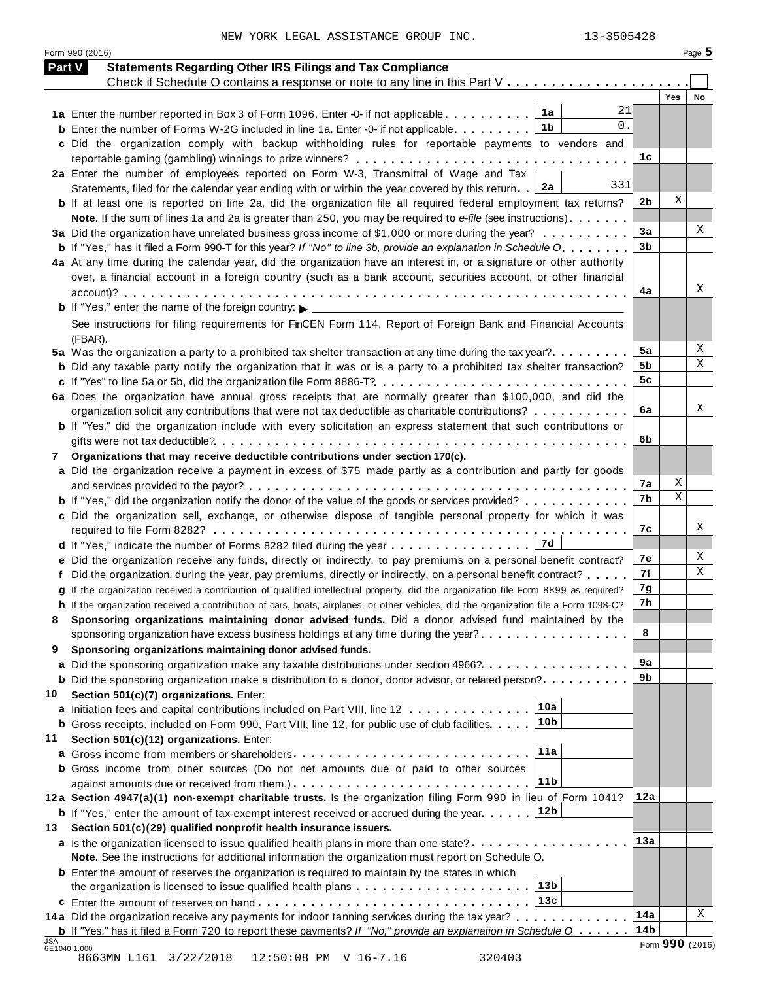Form <sup>990</sup> (2016) Page **5**

| <b>Part V</b> | <b>Statements Regarding Other IRS Filings and Tax Compliance</b>                                                                                                                                                                       |                 |                 |    |
|---------------|----------------------------------------------------------------------------------------------------------------------------------------------------------------------------------------------------------------------------------------|-----------------|-----------------|----|
|               | Check if Schedule O contains a response or note to any line in this Part V                                                                                                                                                             |                 | Yes             | No |
|               | 21 <br>1a<br>1a Enter the number reported in Box 3 of Form 1096. Enter -0- if not applicable                                                                                                                                           |                 |                 |    |
|               | 0.<br>1b<br><b>b</b> Enter the number of Forms W-2G included in line 1a. Enter -0- if not applicable                                                                                                                                   |                 |                 |    |
|               | c Did the organization comply with backup withholding rules for reportable payments to vendors and                                                                                                                                     |                 |                 |    |
|               |                                                                                                                                                                                                                                        | 1c              |                 |    |
|               | 2a Enter the number of employees reported on Form W-3, Transmittal of Wage and Tax                                                                                                                                                     |                 |                 |    |
|               | 331<br>2a<br>Statements, filed for the calendar year ending with or within the year covered by this return                                                                                                                             |                 |                 |    |
|               | <b>b</b> If at least one is reported on line 2a, did the organization file all required federal employment tax returns?                                                                                                                | 2b              | Χ               |    |
|               | Note. If the sum of lines 1a and 2a is greater than 250, you may be required to e-file (see instructions)                                                                                                                              |                 |                 |    |
|               | 3a Did the organization have unrelated business gross income of \$1,000 or more during the year?                                                                                                                                       | 3a              |                 | X  |
|               | <b>b</b> If "Yes," has it filed a Form 990-T for this year? If "No" to line 3b, provide an explanation in Schedule O.                                                                                                                  | 3 <sub>b</sub>  |                 |    |
|               | 4a At any time during the calendar year, did the organization have an interest in, or a signature or other authority<br>over, a financial account in a foreign country (such as a bank account, securities account, or other financial |                 |                 |    |
|               |                                                                                                                                                                                                                                        | 4a              |                 | Χ  |
|               | <b>b</b> If "Yes," enter the name of the foreign country: $\triangleright$                                                                                                                                                             |                 |                 |    |
|               | See instructions for filing requirements for FinCEN Form 114, Report of Foreign Bank and Financial Accounts                                                                                                                            |                 |                 |    |
|               | (FBAR).                                                                                                                                                                                                                                |                 |                 |    |
|               | 5a Was the organization a party to a prohibited tax shelter transaction at any time during the tax year?                                                                                                                               | 5a              |                 | Χ  |
|               | <b>b</b> Did any taxable party notify the organization that it was or is a party to a prohibited tax shelter transaction?                                                                                                              | 5b              |                 | Χ  |
|               |                                                                                                                                                                                                                                        | 5c              |                 |    |
|               | 6a Does the organization have annual gross receipts that are normally greater than \$100,000, and did the                                                                                                                              |                 |                 |    |
|               | organization solicit any contributions that were not tax deductible as charitable contributions?                                                                                                                                       | 6a              |                 | Χ  |
|               | <b>b</b> If "Yes," did the organization include with every solicitation an express statement that such contributions or                                                                                                                |                 |                 |    |
|               |                                                                                                                                                                                                                                        | 6b              |                 |    |
| 7             | Organizations that may receive deductible contributions under section 170(c).                                                                                                                                                          |                 |                 |    |
|               | a Did the organization receive a payment in excess of \$75 made partly as a contribution and partly for goods                                                                                                                          | 7a              | Χ               |    |
|               | <b>b</b> If "Yes," did the organization notify the donor of the value of the goods or services provided?                                                                                                                               | 7b              | X               |    |
|               | c Did the organization sell, exchange, or otherwise dispose of tangible personal property for which it was                                                                                                                             |                 |                 |    |
|               |                                                                                                                                                                                                                                        | 7с              |                 | Χ  |
|               | 7d<br><b>d</b> If "Yes," indicate the number of Forms 8282 filed during the year $\ldots \ldots \ldots \ldots \ldots$                                                                                                                  |                 |                 |    |
|               | e Did the organization receive any funds, directly or indirectly, to pay premiums on a personal benefit contract?                                                                                                                      | 7е              |                 | Χ  |
|               | f Did the organization, during the year, pay premiums, directly or indirectly, on a personal benefit contract?                                                                                                                         | 7f              |                 | Χ  |
|               | g If the organization received a contribution of qualified intellectual property, did the organization file Form 8899 as required?                                                                                                     | 7g              |                 |    |
|               | h If the organization received a contribution of cars, boats, airplanes, or other vehicles, did the organization file a Form 1098-C?                                                                                                   | 7h              |                 |    |
|               | Sponsoring organizations maintaining donor advised funds. Did a donor advised fund maintained by the                                                                                                                                   |                 |                 |    |
|               | sponsoring organization have excess business holdings at any time during the year?                                                                                                                                                     | 8               |                 |    |
| 9             | Sponsoring organizations maintaining donor advised funds.                                                                                                                                                                              | 9a              |                 |    |
|               | a Did the sponsoring organization make any taxable distributions under section 4966?.<br><b>b</b> Did the sponsoring organization make a distribution to a donor, donor advisor, or related person?                                    | 9b              |                 |    |
| 10            | Section 501(c)(7) organizations. Enter:                                                                                                                                                                                                |                 |                 |    |
|               | 10a<br>a Initiation fees and capital contributions included on Part VIII, line 12                                                                                                                                                      |                 |                 |    |
|               | 10b<br><b>b</b> Gross receipts, included on Form 990, Part VIII, line 12, for public use of club facilities.                                                                                                                           |                 |                 |    |
| 11            | Section 501(c)(12) organizations. Enter:                                                                                                                                                                                               |                 |                 |    |
|               | 11a                                                                                                                                                                                                                                    |                 |                 |    |
|               | <b>b</b> Gross income from other sources (Do not net amounts due or paid to other sources                                                                                                                                              |                 |                 |    |
|               | 11b                                                                                                                                                                                                                                    |                 |                 |    |
|               | 12a Section 4947(a)(1) non-exempt charitable trusts. Is the organization filing Form 990 in lieu of Form 1041?                                                                                                                         | 12a             |                 |    |
|               | 12b<br><b>b</b> If "Yes," enter the amount of tax-exempt interest received or accrued during the year                                                                                                                                  |                 |                 |    |
| 13            | Section 501(c)(29) qualified nonprofit health insurance issuers.                                                                                                                                                                       | 13a             |                 |    |
|               | a Is the organization licensed to issue qualified health plans in more than one state?                                                                                                                                                 |                 |                 |    |
|               | Note. See the instructions for additional information the organization must report on Schedule O.<br><b>b</b> Enter the amount of reserves the organization is required to maintain by the states in which                             |                 |                 |    |
|               | 13 <sub>b</sub><br>the organization is licensed to issue qualified health plans                                                                                                                                                        |                 |                 |    |
|               | 13c                                                                                                                                                                                                                                    |                 |                 |    |
|               | 14a Did the organization receive any payments for indoor tanning services during the tax year?                                                                                                                                         | 14a             |                 | X  |
|               | <b>b</b> If "Yes," has it filed a Form 720 to report these payments? If "No," provide an explanation in Schedule $0$                                                                                                                   | 14 <sub>b</sub> |                 |    |
| JSA           | 6E1040 1.000                                                                                                                                                                                                                           |                 | Form 990 (2016) |    |

8663MN L161 3/22/2018 12:50:08 PM V 16-7.16 320403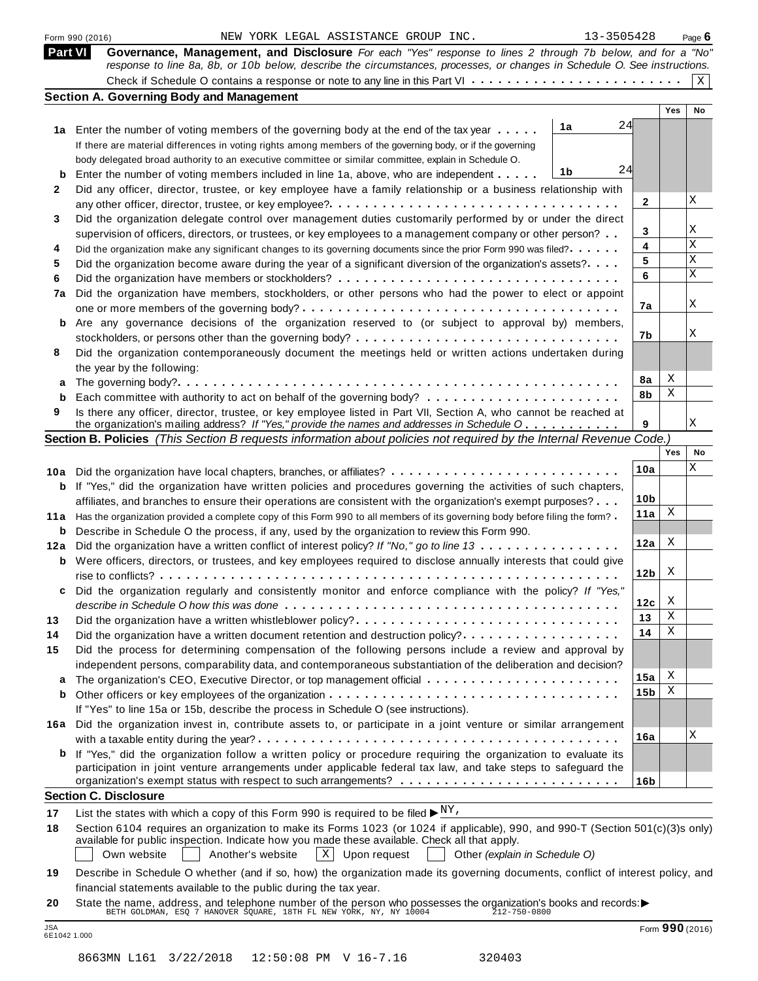|              | NEW YORK LEGAL ASSISTANCE GROUP INC.<br>13-3505428<br>Form 990 (2016)                                                                                                                                                        |                 |            | Page $6$    |
|--------------|------------------------------------------------------------------------------------------------------------------------------------------------------------------------------------------------------------------------------|-----------------|------------|-------------|
|              | <b>Part VI</b><br>Governance, Management, and Disclosure For each "Yes" response to lines 2 through 7b below, and for a "No"                                                                                                 |                 |            |             |
|              | response to line 8a, 8b, or 10b below, describe the circumstances, processes, or changes in Schedule O. See instructions.                                                                                                    |                 |            |             |
|              |                                                                                                                                                                                                                              |                 |            | $\mathbf X$ |
|              | <b>Section A. Governing Body and Management</b>                                                                                                                                                                              |                 |            |             |
|              |                                                                                                                                                                                                                              |                 | <b>Yes</b> | No          |
|              | 1a<br>1a Enter the number of voting members of the governing body at the end of the tax year                                                                                                                                 | 24              |            |             |
|              | If there are material differences in voting rights among members of the governing body, or if the governing                                                                                                                  |                 |            |             |
|              | body delegated broad authority to an executive committee or similar committee, explain in Schedule O.                                                                                                                        |                 |            |             |
| b            | 1b<br>Enter the number of voting members included in line 1a, above, who are independent                                                                                                                                     | 24              |            |             |
| $\mathbf{2}$ | Did any officer, director, trustee, or key employee have a family relationship or a business relationship with                                                                                                               |                 |            |             |
|              |                                                                                                                                                                                                                              | 2               |            | Χ           |
| 3            | Did the organization delegate control over management duties customarily performed by or under the direct                                                                                                                    |                 |            |             |
|              | supervision of officers, directors, or trustees, or key employees to a management company or other person?                                                                                                                   | 3               |            | Χ           |
| 4            | Did the organization make any significant changes to its governing documents since the prior Form 990 was filed?                                                                                                             | 4               |            | $\mathbf X$ |
| 5            | Did the organization become aware during the year of a significant diversion of the organization's assets?                                                                                                                   | 5               |            | X           |
| 6            |                                                                                                                                                                                                                              | 6               |            | X           |
| 7a           | Did the organization have members, stockholders, or other persons who had the power to elect or appoint                                                                                                                      |                 |            |             |
|              |                                                                                                                                                                                                                              | 7a              |            | Χ           |
| b            | Are any governance decisions of the organization reserved to (or subject to approval by) members,                                                                                                                            |                 |            |             |
|              |                                                                                                                                                                                                                              | 7b              |            | Χ           |
| 8            | Did the organization contemporaneously document the meetings held or written actions undertaken during                                                                                                                       |                 |            |             |
|              | the year by the following:                                                                                                                                                                                                   |                 | Χ          |             |
| a            |                                                                                                                                                                                                                              | 8a<br>8b        | Χ          |             |
| b            |                                                                                                                                                                                                                              |                 |            |             |
| 9            | Is there any officer, director, trustee, or key employee listed in Part VII, Section A, who cannot be reached at<br>the organization's mailing address? If "Yes," provide the names and addresses in Schedule O              | 9               |            | Χ           |
|              | Section B. Policies (This Section B requests information about policies not required by the Internal Revenue Code.)                                                                                                          |                 | Yes        | <b>No</b>   |
|              |                                                                                                                                                                                                                              | 10a             |            | Χ           |
| 10a          |                                                                                                                                                                                                                              |                 |            |             |
| b            | If "Yes," did the organization have written policies and procedures governing the activities of such chapters,                                                                                                               | 10 <sub>b</sub> |            |             |
|              | affiliates, and branches to ensure their operations are consistent with the organization's exempt purposes?                                                                                                                  | 11a             | Χ          |             |
| 11a<br>b     | Has the organization provided a complete copy of this Form 990 to all members of its governing body before filing the form?<br>Describe in Schedule O the process, if any, used by the organization to review this Form 990. |                 |            |             |
| 12a          | Did the organization have a written conflict of interest policy? If "No," go to line 13                                                                                                                                      | 12a             | X          |             |
| b            | Were officers, directors, or trustees, and key employees required to disclose annually interests that could give                                                                                                             |                 |            |             |
|              |                                                                                                                                                                                                                              | 12 <sub>b</sub> | X          |             |
| c            | Did the organization regularly and consistently monitor and enforce compliance with the policy? If "Yes,"                                                                                                                    |                 |            |             |
|              |                                                                                                                                                                                                                              | 12c             | X          |             |
| 13           | Did the organization have a written whistleblower policy?                                                                                                                                                                    | 13              | X          |             |
| 14           | Did the organization have a written document retention and destruction policy?                                                                                                                                               | 14              | Χ          |             |
| 15           | Did the process for determining compensation of the following persons include a review and approval by                                                                                                                       |                 |            |             |
|              | independent persons, comparability data, and contemporaneous substantiation of the deliberation and decision?                                                                                                                |                 |            |             |
| a            | The organization's CEO, Executive Director, or top management official                                                                                                                                                       | 15a             | X          |             |
| b            |                                                                                                                                                                                                                              | 15b             | X          |             |
|              | If "Yes" to line 15a or 15b, describe the process in Schedule O (see instructions).                                                                                                                                          |                 |            |             |
| 16а          | Did the organization invest in, contribute assets to, or participate in a joint venture or similar arrangement                                                                                                               |                 |            |             |
|              |                                                                                                                                                                                                                              | 16a             |            | Χ           |
|              | <b>b</b> If "Yes," did the organization follow a written policy or procedure requiring the organization to evaluate its                                                                                                      |                 |            |             |

## participation in joint venture arrangements under applicable federal tax law, and take steps to safeguard the <br>organization's exempt status with respect to such arrangements? **Section C. Disclosure**

- **17** List the states with which a copy of this Form 990 is required to be filed  $\triangleright$ <sup>NY</sup>,
- **18** Section 6104 requires an organization to make its Forms 1023 (or 1024 if applicable), 990, and 990-T (Section 501(c)(3)s only) available for public inspection. Indicate how you made these available. Check all that apply.
	- Own website  $\begin{vmatrix} \n\end{vmatrix}$  Another's website  $\begin{vmatrix} x \\ y \end{vmatrix}$  Upon request  $\begin{vmatrix} \n\end{vmatrix}$  Other *(explain in Schedule O)*  $\boxed{\text{X}}$  Upon request
- **19** Describe in Schedule O whether (and if so, how) the organization made its governing documents, conflict of interest policy, and financial statements available to the public during the tax year.
- **20** Infaricial statements available to the public during the tax year.<br>State the name, address, and telephone number of the person who possesses the organization's books and records:<br><sup>BETH GOLDMAN, ESQ 7 HANOVER SQUARE, 18TH F</sup>

**16b**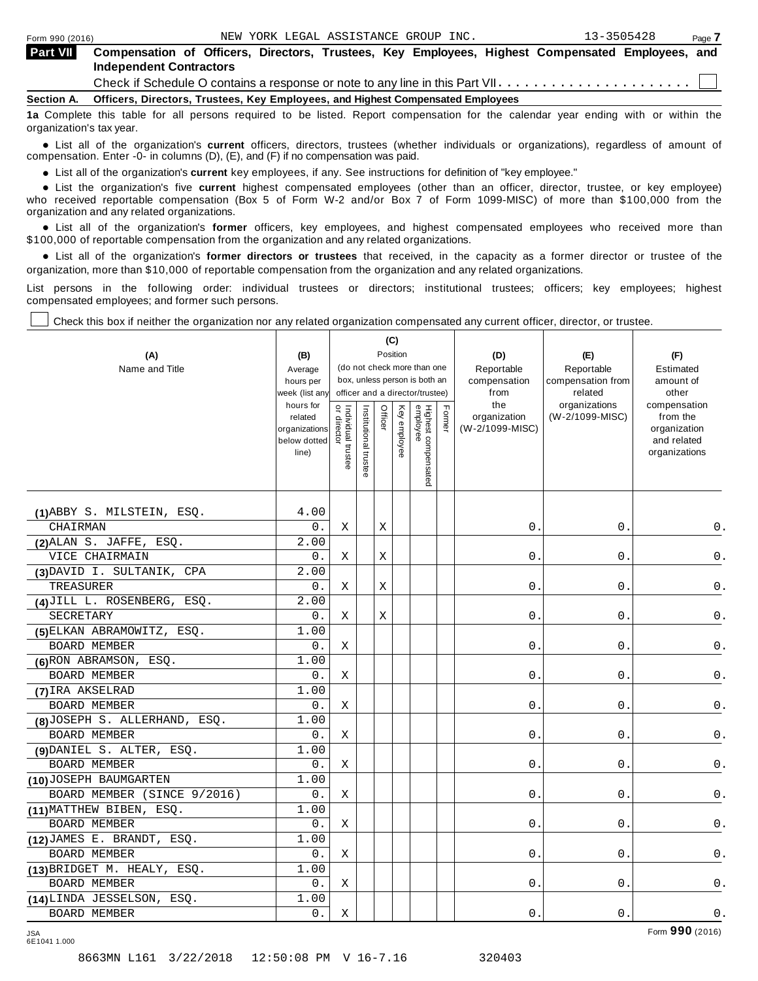| <b>Part VII</b>          | Compensation of Officers, Directors, Trustees, Key Employees, Highest Compensated Employees, and<br><b>Independent Contractors</b> |
|--------------------------|------------------------------------------------------------------------------------------------------------------------------------|
|                          |                                                                                                                                    |
| Section A.               | Officers, Directors, Trustees, Key Employees, and Highest Compensated Employees                                                    |
| organization's tax year. | 1a Complete this table for all persons required to be listed. Report compensation for the calendar year ending with or within the  |

anization's lax year.<br>● List all of the organization's **current** officers, directors, trustees (whether individuals or organizations), regardless of amount of<br>nnensation Enter -0- in columns (D) (E) and (E) if no compensa compensation. Enter -0- in columns (D), (E), and (F) if no compensation was paid.

• List all of the organization's **current** key employees, if any. See instructions for definition of "key employee."<br>● List the experientials five expect highest expressed explores (other than an efficer director of

• List all of the organization's **current** key employees, if any. See instructions for definition of key employee.<br>• List the organization's five **current** highest compensated employees (other than an officer, director, tr who received reportable compensation (Box 5 of Form W-2 and/or Box 7 of Form 1099-MISC) of more than \$100,000 from the

organization and any related organizations.<br>• List all of the organization's **former** officers, key employees, and highest compensated employees who received more than<br>\$1.00.000 of reportable componention from the erganiza \$100,000 of reportable compensation from the organization and any related organizations.

% List all of the organization's **former directors or trustees** that received, in the capacity as a former director or trustee of the organization, more than \$10,000 of reportable compensation from the organization and any related organizations.

List persons in the following order: individual trustees or directors; institutional trustees; officers; key employees; highest compensated employees; and former such persons.

Check this box if neither the organization nor any related organization compensated any current officer, director, or trustee.

|                               |                             |                                   |                       |          | (C)          |                                                                  |        |                      |                              |                              |
|-------------------------------|-----------------------------|-----------------------------------|-----------------------|----------|--------------|------------------------------------------------------------------|--------|----------------------|------------------------------|------------------------------|
| (A)                           | (B)                         |                                   |                       | Position |              |                                                                  |        | (D)                  | (E)                          | (F)                          |
| Name and Title                | Average                     |                                   |                       |          |              | (do not check more than one                                      |        | Reportable           | Reportable                   | Estimated                    |
|                               | hours per<br>week (list any |                                   |                       |          |              | box, unless person is both an<br>officer and a director/trustee) |        | compensation<br>from | compensation from<br>related | amount of<br>other           |
|                               | hours for                   |                                   |                       |          |              |                                                                  |        | the                  | organizations                | compensation                 |
|                               | related                     | Individual trustee<br>or director | Institutional trustee | Officer  | Key employee |                                                                  | Former | organization         | (W-2/1099-MISC)              | from the                     |
|                               | organizations               |                                   |                       |          |              |                                                                  |        | (W-2/1099-MISC)      |                              | organization                 |
|                               | below dotted<br>line)       |                                   |                       |          |              |                                                                  |        |                      |                              | and related<br>organizations |
|                               |                             |                                   |                       |          |              |                                                                  |        |                      |                              |                              |
|                               |                             |                                   |                       |          |              | Highest compensated<br>employee                                  |        |                      |                              |                              |
|                               |                             |                                   |                       |          |              |                                                                  |        |                      |                              |                              |
| (1) ABBY S. MILSTEIN, ESQ.    | 4.00                        |                                   |                       |          |              |                                                                  |        |                      |                              |                              |
| CHAIRMAN                      | 0.                          | Χ                                 |                       | X        |              |                                                                  |        | $\mathsf{O}$ .       | $\Omega$ .                   | 0.                           |
| (2) ALAN S. JAFFE, ESQ.       | 2.00                        |                                   |                       |          |              |                                                                  |        |                      |                              |                              |
| VICE CHAIRMAIN                | 0.                          | Χ                                 |                       | Χ        |              |                                                                  |        | 0                    | 0                            | 0.                           |
| (3) DAVID I. SULTANIK, CPA    | 2.00                        |                                   |                       |          |              |                                                                  |        |                      |                              |                              |
| TREASURER                     | 0.                          | Χ                                 |                       | X        |              |                                                                  |        | $\mathbf 0$ .        | $0$ .                        | 0.                           |
| (4) JILL L. ROSENBERG, ESQ.   | 2.00                        |                                   |                       |          |              |                                                                  |        |                      |                              |                              |
| SECRETARY                     | 0.                          | X                                 |                       | X        |              |                                                                  |        | $\mathbf 0$ .        | $\mathsf{O}$ .               | $\mathsf{0}$ .               |
| (5) ELKAN ABRAMOWITZ, ESQ.    | 1.00                        |                                   |                       |          |              |                                                                  |        |                      |                              |                              |
| <b>BOARD MEMBER</b>           | 0.                          | Χ                                 |                       |          |              |                                                                  |        | $\mathsf{O}$ .       | $\mathsf{O}$ .               | $\boldsymbol{0}$ .           |
| (6) RON ABRAMSON, ESQ.        | 1.00                        |                                   |                       |          |              |                                                                  |        |                      |                              |                              |
| <b>BOARD MEMBER</b>           | 0.                          | Χ                                 |                       |          |              |                                                                  |        | $\mathsf{O}$ .       | $\mathsf{O}$ .               | 0.                           |
| (7) IRA AKSELRAD              | 1.00                        |                                   |                       |          |              |                                                                  |        |                      |                              |                              |
| <b>BOARD MEMBER</b>           | 0.                          | Χ                                 |                       |          |              |                                                                  |        | $\mathbf 0$ .        | 0                            | 0.                           |
| (8) JOSEPH S. ALLERHAND, ESQ. | 1.00                        |                                   |                       |          |              |                                                                  |        |                      |                              |                              |
| <b>BOARD MEMBER</b>           | 0.                          | Χ                                 |                       |          |              |                                                                  |        | $\mathsf{O}$         | $\mathbf{0}$                 | 0.                           |
| (9) DANIEL S. ALTER, ESQ.     | 1.00                        |                                   |                       |          |              |                                                                  |        |                      |                              |                              |
| <b>BOARD MEMBER</b>           | 0.                          | Χ                                 |                       |          |              |                                                                  |        | $\mathsf{O}$         | $\mathsf{O}$                 | 0.                           |
| (10) JOSEPH BAUMGARTEN        | 1.00                        |                                   |                       |          |              |                                                                  |        |                      |                              |                              |
| BOARD MEMBER (SINCE 9/2016)   | 0.                          | Χ                                 |                       |          |              |                                                                  |        | $\mathsf{O}$ .       | $\mathsf{O}$                 | 0.                           |
| (11) MATTHEW BIBEN, ESQ.      | 1.00                        |                                   |                       |          |              |                                                                  |        |                      |                              |                              |
| <b>BOARD MEMBER</b>           | $0$ .                       | Χ                                 |                       |          |              |                                                                  |        | 0.                   | $\mathsf{O}$ .               | 0.                           |
| (12) JAMES E. BRANDT, ESQ.    | 1.00                        |                                   |                       |          |              |                                                                  |        |                      |                              |                              |
| <b>BOARD MEMBER</b>           | 0.                          | Χ                                 |                       |          |              |                                                                  |        | $\mathbf 0$ .        | $\mathbf 0$ .                | 0.                           |
| (13) BRIDGET M. HEALY, ESQ.   | 1.00                        |                                   |                       |          |              |                                                                  |        |                      |                              |                              |
| <b>BOARD MEMBER</b>           | 0.                          | Χ                                 |                       |          |              |                                                                  |        | 0                    | 0                            | 0.                           |
| (14) LINDA JESSELSON, ESQ.    | 1.00                        |                                   |                       |          |              |                                                                  |        |                      |                              |                              |
| <b>BOARD MEMBER</b>           | 0.                          | Χ                                 |                       |          |              |                                                                  |        | $0$ .                | 0.                           | 0.                           |

6E1041 1.000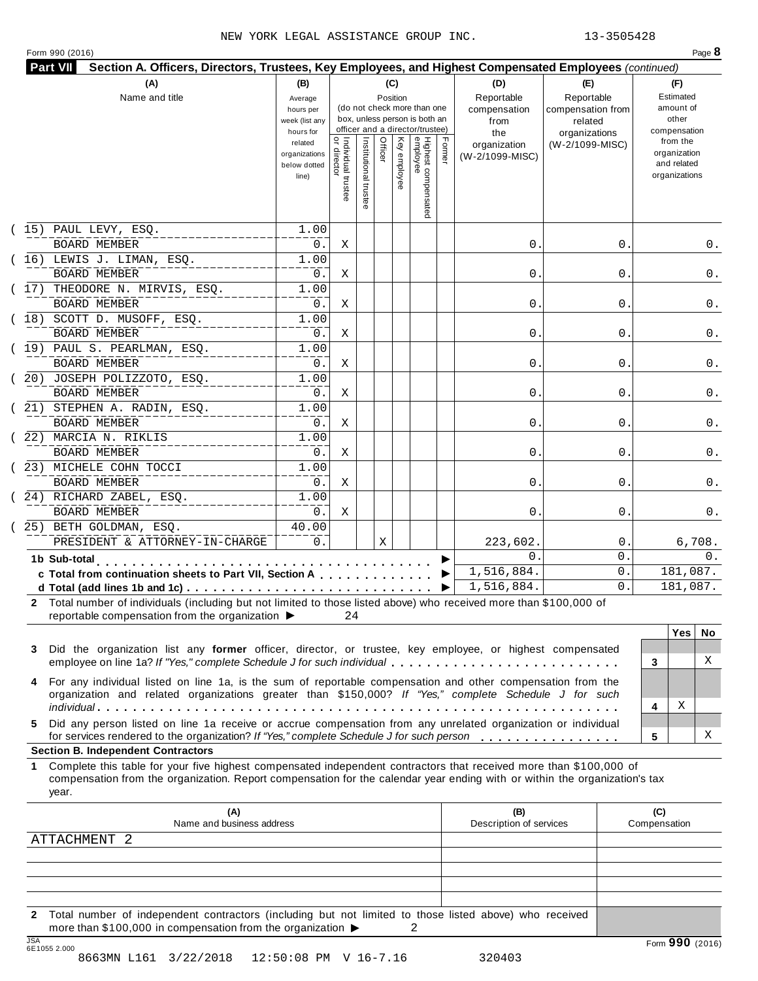|    | (A)<br>Name and title                                                                                                                                                                                                                                                                                                                                        | (B)<br>Average<br>hours per<br>week (list any<br>hours for | (do not check more than one<br>box, unless person is both an<br>officer and a director/trustee) |                      | (E)<br>Reportable<br>compensation from<br>related<br>organizations | (F)<br>Estimated<br>amount of<br>other<br>compensation |                                 |        |                                 |                 |                                                           |
|----|--------------------------------------------------------------------------------------------------------------------------------------------------------------------------------------------------------------------------------------------------------------------------------------------------------------------------------------------------------------|------------------------------------------------------------|-------------------------------------------------------------------------------------------------|----------------------|--------------------------------------------------------------------|--------------------------------------------------------|---------------------------------|--------|---------------------------------|-----------------|-----------------------------------------------------------|
|    |                                                                                                                                                                                                                                                                                                                                                              | related<br>organizations<br>below dotted<br>line)          | Individual trustee<br>or director                                                               | Institutional truste | Officer                                                            | Κey<br>employee                                        | Highest compensated<br>employee | Former | organization<br>(W-2/1099-MISC) | (W-2/1099-MISC) | from the<br>organization<br>and related<br>organizations  |
|    | (15) PAUL LEVY, ESQ.                                                                                                                                                                                                                                                                                                                                         | 1.00                                                       |                                                                                                 |                      |                                                                    |                                                        |                                 |        |                                 |                 |                                                           |
|    | <b>BOARD MEMBER</b><br>(16) LEWIS J. LIMAN, ESQ.                                                                                                                                                                                                                                                                                                             | 0.<br>1.00                                                 | Χ                                                                                               |                      |                                                                    |                                                        |                                 |        | 0.                              | 0               | 0.                                                        |
|    | <b>BOARD MEMBER</b>                                                                                                                                                                                                                                                                                                                                          | 0.                                                         | Χ                                                                                               |                      |                                                                    |                                                        |                                 |        | 0.                              | 0               | 0.                                                        |
|    | (17) THEODORE N. MIRVIS, ESQ.                                                                                                                                                                                                                                                                                                                                | 1.00                                                       |                                                                                                 |                      |                                                                    |                                                        |                                 |        |                                 |                 |                                                           |
|    | <b>BOARD MEMBER</b>                                                                                                                                                                                                                                                                                                                                          | 0.                                                         | Χ                                                                                               |                      |                                                                    |                                                        |                                 |        | 0.                              | 0               | 0.                                                        |
|    | (18) SCOTT D. MUSOFF, ESQ.                                                                                                                                                                                                                                                                                                                                   | 1.00                                                       |                                                                                                 |                      |                                                                    |                                                        |                                 |        |                                 |                 |                                                           |
|    | <b>BOARD MEMBER</b>                                                                                                                                                                                                                                                                                                                                          | 0.                                                         | Χ                                                                                               |                      |                                                                    |                                                        |                                 |        | 0.                              | 0               | 0.                                                        |
|    | (19) PAUL S. PEARLMAN, ESQ.                                                                                                                                                                                                                                                                                                                                  | 1.00                                                       |                                                                                                 |                      |                                                                    |                                                        |                                 |        |                                 |                 |                                                           |
|    | <b>BOARD MEMBER</b><br>(20) JOSEPH POLIZZOTO, ESQ.                                                                                                                                                                                                                                                                                                           | 0.<br>1.00                                                 | Χ                                                                                               |                      |                                                                    |                                                        |                                 |        | 0.                              | 0               | 0.                                                        |
|    | <b>BOARD MEMBER</b>                                                                                                                                                                                                                                                                                                                                          | 0.                                                         | Χ                                                                                               |                      |                                                                    |                                                        |                                 |        | 0.                              | 0               | 0.                                                        |
|    | (21) STEPHEN A. RADIN, ESQ.                                                                                                                                                                                                                                                                                                                                  | 1.00                                                       |                                                                                                 |                      |                                                                    |                                                        |                                 |        |                                 |                 |                                                           |
|    | <b>BOARD MEMBER</b>                                                                                                                                                                                                                                                                                                                                          | 0.                                                         | Χ                                                                                               |                      |                                                                    |                                                        |                                 |        | 0.                              | 0               | 0.                                                        |
|    | (22) MARCIA N. RIKLIS                                                                                                                                                                                                                                                                                                                                        | 1.00                                                       |                                                                                                 |                      |                                                                    |                                                        |                                 |        |                                 |                 |                                                           |
|    | <b>BOARD MEMBER</b>                                                                                                                                                                                                                                                                                                                                          | 0.                                                         | Χ                                                                                               |                      |                                                                    |                                                        |                                 |        | 0.                              | 0               | 0.                                                        |
|    | (23) MICHELE COHN TOCCI                                                                                                                                                                                                                                                                                                                                      | 1.00                                                       |                                                                                                 |                      |                                                                    |                                                        |                                 |        |                                 |                 |                                                           |
|    | <b>BOARD MEMBER</b>                                                                                                                                                                                                                                                                                                                                          | 0.                                                         | Χ                                                                                               |                      |                                                                    |                                                        |                                 |        | 0.                              | 0               | 0.                                                        |
|    | (24) RICHARD ZABEL, ESQ.                                                                                                                                                                                                                                                                                                                                     | 1.00                                                       |                                                                                                 |                      |                                                                    |                                                        |                                 |        |                                 |                 |                                                           |
|    | <b>BOARD MEMBER</b>                                                                                                                                                                                                                                                                                                                                          | 0.                                                         | Χ                                                                                               |                      |                                                                    |                                                        |                                 |        | 0.                              | 0               | 0.                                                        |
|    | (25) BETH GOLDMAN, ESQ.<br>PRESIDENT & ATTORNEY-IN-CHARGE                                                                                                                                                                                                                                                                                                    | 40.00<br>0.                                                |                                                                                                 |                      | Χ                                                                  |                                                        |                                 |        | 223,602.                        | 0               | 6,708.                                                    |
|    |                                                                                                                                                                                                                                                                                                                                                              |                                                            |                                                                                                 |                      |                                                                    |                                                        |                                 |        |                                 |                 |                                                           |
|    |                                                                                                                                                                                                                                                                                                                                                              |                                                            |                                                                                                 |                      |                                                                    |                                                        |                                 |        |                                 |                 |                                                           |
|    | 1b Sub-total                                                                                                                                                                                                                                                                                                                                                 |                                                            |                                                                                                 |                      |                                                                    |                                                        |                                 |        | 0.                              | 0.<br>0.        |                                                           |
|    | c Total from continuation sheets to Part VII, Section A                                                                                                                                                                                                                                                                                                      |                                                            |                                                                                                 |                      |                                                                    |                                                        |                                 | ▶      | 1,516,884.<br>1,516,884.        | 0.              |                                                           |
| 3  | 2 Total number of individuals (including but not limited to those listed above) who received more than \$100,000 of<br>reportable compensation from the organization ▶<br>Did the organization list any former officer, director, or trustee, key employee, or highest compensated<br>employee on line 1a? If "Yes," complete Schedule J for such individual |                                                            | 24                                                                                              |                      |                                                                    |                                                        |                                 |        |                                 |                 | 0.<br>181,087.<br>181,087.<br><b>Yes</b><br>No.<br>Χ<br>3 |
| 5. | 4 For any individual listed on line 1a, is the sum of reportable compensation and other compensation from the<br>organization and related organizations greater than \$150,000? If "Yes," complete Schedule J for such<br>Did any person listed on line 1a receive or accrue compensation from any unrelated organization or individual                      |                                                            |                                                                                                 |                      |                                                                    |                                                        |                                 |        |                                 |                 | Χ<br>4                                                    |
|    | for services rendered to the organization? If "Yes," complete Schedule J for such person<br><b>Section B. Independent Contractors</b>                                                                                                                                                                                                                        |                                                            |                                                                                                 |                      |                                                                    |                                                        |                                 |        |                                 |                 | Χ<br>5                                                    |
| 1. | Complete this table for your five highest compensated independent contractors that received more than \$100,000 of<br>compensation from the organization. Report compensation for the calendar year ending with or within the organization's tax<br>year.                                                                                                    |                                                            |                                                                                                 |                      |                                                                    |                                                        |                                 |        |                                 |                 |                                                           |
|    | (A)<br>Name and business address                                                                                                                                                                                                                                                                                                                             |                                                            |                                                                                                 |                      |                                                                    |                                                        |                                 |        | (B)                             |                 | (C)<br>Compensation                                       |
|    |                                                                                                                                                                                                                                                                                                                                                              |                                                            |                                                                                                 |                      |                                                                    |                                                        |                                 |        | Description of services         |                 |                                                           |
|    | ATTACHMENT 2                                                                                                                                                                                                                                                                                                                                                 |                                                            |                                                                                                 |                      |                                                                    |                                                        |                                 |        |                                 |                 |                                                           |
|    |                                                                                                                                                                                                                                                                                                                                                              |                                                            |                                                                                                 |                      |                                                                    |                                                        |                                 |        |                                 |                 |                                                           |

8663MN L161 3/22/2018 12:50:08 PM V 16-7.16 320403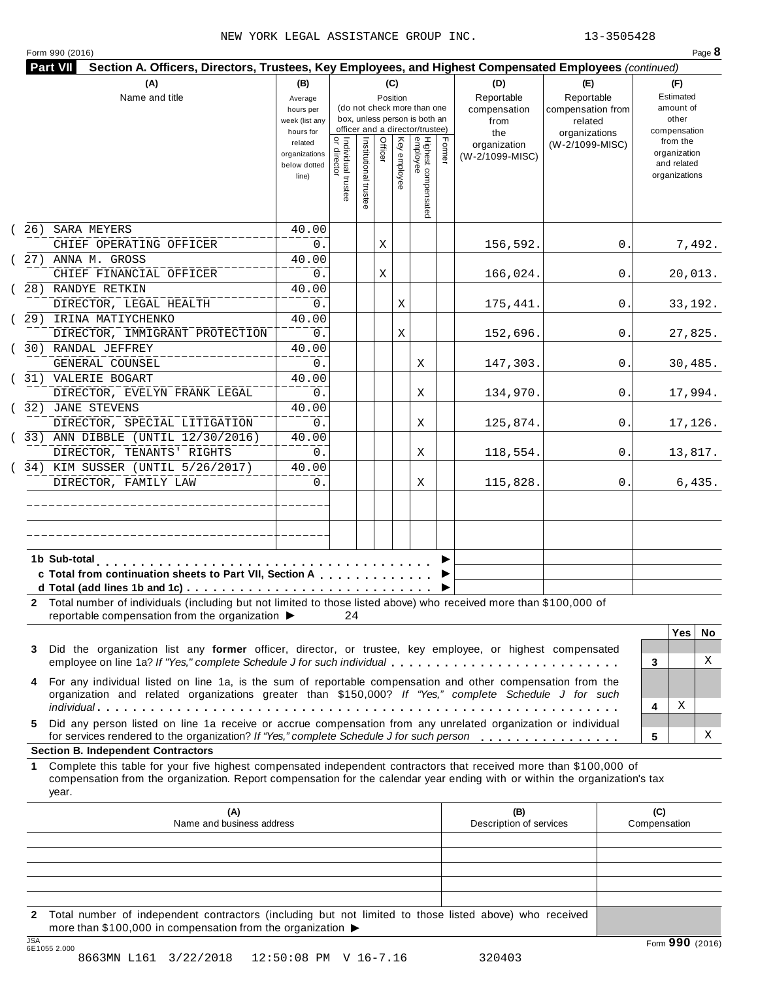| Form 990 (2016) |
|-----------------|
|-----------------|

| (A)                                                                                                                                                                                                                    | (B)                         |                                   |                       | (C)            |                                                              |        | (D)                     | (E)                          |              | (F)                          |     |
|------------------------------------------------------------------------------------------------------------------------------------------------------------------------------------------------------------------------|-----------------------------|-----------------------------------|-----------------------|----------------|--------------------------------------------------------------|--------|-------------------------|------------------------------|--------------|------------------------------|-----|
| Name and title                                                                                                                                                                                                         | Average                     |                                   |                       | Position       |                                                              |        | Reportable              | Reportable                   |              | Estimated                    |     |
|                                                                                                                                                                                                                        | hours per<br>week (list any |                                   |                       |                | (do not check more than one<br>box, unless person is both an |        | compensation<br>from    | compensation from<br>related |              | amount of<br>other           |     |
|                                                                                                                                                                                                                        | hours for                   |                                   |                       |                | officer and a director/trustee)                              |        | the                     | organizations                |              | compensation                 |     |
|                                                                                                                                                                                                                        | related                     |                                   |                       | Officer<br>Κey |                                                              | Former | organization            | (W-2/1099-MISC)              |              | from the                     |     |
|                                                                                                                                                                                                                        | organizations               |                                   |                       |                |                                                              |        | (W-2/1099-MISC)         |                              |              | organization                 |     |
|                                                                                                                                                                                                                        | below dotted<br>line)       |                                   |                       |                |                                                              |        |                         |                              |              | and related<br>organizations |     |
|                                                                                                                                                                                                                        |                             | Individual trustee<br>or director |                       | employee       |                                                              |        |                         |                              |              |                              |     |
|                                                                                                                                                                                                                        |                             |                                   | Institutional trustee |                | Highest compensated<br>employee                              |        |                         |                              |              |                              |     |
|                                                                                                                                                                                                                        |                             |                                   |                       |                |                                                              |        |                         |                              |              |                              |     |
| (26) SARA MEYERS                                                                                                                                                                                                       | 40.00                       |                                   |                       |                |                                                              |        |                         |                              |              |                              |     |
| CHIEF OPERATING OFFICER                                                                                                                                                                                                | 0.                          |                                   |                       | Χ              |                                                              |        | 156,592.                | 0                            |              | 7,492.                       |     |
| (27) ANNA M. GROSS                                                                                                                                                                                                     | 40.00                       |                                   |                       |                |                                                              |        |                         |                              |              |                              |     |
| CHIEF FINANCIAL OFFICER                                                                                                                                                                                                | 0.                          |                                   |                       | Χ              |                                                              |        | 166,024.                | 0 <sub>1</sub>               |              | 20,013.                      |     |
| (28) RANDYE RETKIN                                                                                                                                                                                                     | 40.00                       |                                   |                       |                |                                                              |        |                         |                              |              |                              |     |
| DIRECTOR, LEGAL HEALTH                                                                                                                                                                                                 | 0.                          |                                   |                       | Χ              |                                                              |        | 175,441.                | 0 <sub>1</sub>               |              | 33,192.                      |     |
| (29) IRINA MATIYCHENKO                                                                                                                                                                                                 | 40.00                       |                                   |                       |                |                                                              |        |                         |                              |              |                              |     |
| DIRECTOR, IMMIGRANT PROTECTION                                                                                                                                                                                         | 0.                          |                                   |                       | Χ              |                                                              |        | 152,696.                | 0 <sub>1</sub>               |              | 27,825.                      |     |
| (30) RANDAL JEFFREY                                                                                                                                                                                                    | 40.00                       |                                   |                       |                |                                                              |        |                         |                              |              |                              |     |
| GENERAL COUNSEL                                                                                                                                                                                                        | 0.                          |                                   |                       |                | Χ                                                            |        | 147,303.                | 0 <sub>1</sub>               |              | 30,485.                      |     |
| (31) VALERIE BOGART                                                                                                                                                                                                    | 40.00                       |                                   |                       |                |                                                              |        |                         |                              |              |                              |     |
| DIRECTOR, EVELYN FRANK LEGAL                                                                                                                                                                                           | 0.                          |                                   |                       |                | Χ                                                            |        | 134,970.                | 0                            |              | 17,994.                      |     |
| (32) JANE STEVENS                                                                                                                                                                                                      | 40.00                       |                                   |                       |                |                                                              |        |                         |                              |              |                              |     |
| DIRECTOR, SPECIAL LITIGATION                                                                                                                                                                                           | 0.                          |                                   |                       |                | Χ                                                            |        | 125,874.                | 0                            |              | 17,126.                      |     |
| ( 33) ANN DIBBLE (UNTIL 12/30/2016)                                                                                                                                                                                    | 40.00                       |                                   |                       |                |                                                              |        |                         |                              |              |                              |     |
| DIRECTOR, TENANTS' RIGHTS                                                                                                                                                                                              | 0.                          |                                   |                       |                | Χ                                                            |        | 118,554.                | 0 <sub>1</sub>               |              | 13,817.                      |     |
| ( 34) KIM SUSSER (UNTIL 5/26/2017)                                                                                                                                                                                     | 40.00                       |                                   |                       |                |                                                              |        |                         |                              |              |                              |     |
| DIRECTOR, FAMILY LAW                                                                                                                                                                                                   | 0.                          |                                   |                       |                | Χ                                                            |        | 115,828.                | 0.                           |              | 6,435.                       |     |
|                                                                                                                                                                                                                        |                             |                                   |                       |                |                                                              |        |                         |                              |              |                              |     |
|                                                                                                                                                                                                                        |                             |                                   |                       |                |                                                              |        |                         |                              |              |                              |     |
|                                                                                                                                                                                                                        |                             |                                   |                       |                |                                                              |        |                         |                              |              |                              |     |
|                                                                                                                                                                                                                        |                             |                                   |                       |                |                                                              |        |                         |                              |              |                              |     |
|                                                                                                                                                                                                                        |                             |                                   |                       |                |                                                              |        |                         |                              |              |                              |     |
| c Total from continuation sheets to Part VII, Section A                                                                                                                                                                |                             |                                   |                       |                |                                                              |        |                         |                              |              |                              |     |
|                                                                                                                                                                                                                        |                             |                                   |                       |                |                                                              |        |                         |                              |              |                              |     |
| 2 Total number of individuals (including but not limited to those listed above) who received more than \$100,000 of<br>reportable compensation from the organization ▶                                                 |                             | 24                                |                       |                |                                                              |        |                         |                              |              |                              |     |
|                                                                                                                                                                                                                        |                             |                                   |                       |                |                                                              |        |                         |                              |              | <b>Yes</b>                   | No. |
| Did the organization list any former officer, director, or trustee, key employee, or highest compensated                                                                                                               |                             |                                   |                       |                |                                                              |        |                         |                              |              |                              |     |
| 3<br>employee on line 1a? If "Yes," complete Schedule J for such individual                                                                                                                                            |                             |                                   |                       |                |                                                              |        |                         |                              | 3            |                              | X   |
|                                                                                                                                                                                                                        |                             |                                   |                       |                |                                                              |        |                         |                              |              |                              |     |
| 4 For any individual listed on line 1a, is the sum of reportable compensation and other compensation from the<br>organization and related organizations greater than \$150,000? If "Yes," complete Schedule J for such |                             |                                   |                       |                |                                                              |        |                         |                              |              |                              |     |
|                                                                                                                                                                                                                        |                             |                                   |                       |                |                                                              |        |                         |                              | 4            | Χ                            |     |
| Did any person listed on line 1a receive or accrue compensation from any unrelated organization or individual<br>5.                                                                                                    |                             |                                   |                       |                |                                                              |        |                         |                              |              |                              |     |
| for services rendered to the organization? If "Yes," complete Schedule J for such person                                                                                                                               |                             |                                   |                       |                |                                                              |        |                         |                              | 5            |                              | Χ   |
| <b>Section B. Independent Contractors</b>                                                                                                                                                                              |                             |                                   |                       |                |                                                              |        |                         |                              |              |                              |     |
| 1 Complete this table for your five highest compensated independent contractors that received more than \$100,000 of                                                                                                   |                             |                                   |                       |                |                                                              |        |                         |                              |              |                              |     |
| compensation from the organization. Report compensation for the calendar year ending with or within the organization's tax<br>year.                                                                                    |                             |                                   |                       |                |                                                              |        |                         |                              |              |                              |     |
|                                                                                                                                                                                                                        |                             |                                   |                       |                |                                                              |        | (B)                     |                              | (C)          |                              |     |
|                                                                                                                                                                                                                        |                             |                                   |                       |                |                                                              |        | Description of services |                              | Compensation |                              |     |
| (A)<br>Name and business address                                                                                                                                                                                       |                             |                                   |                       |                |                                                              |        |                         |                              |              |                              |     |
|                                                                                                                                                                                                                        |                             |                                   |                       |                |                                                              |        |                         |                              |              |                              |     |
|                                                                                                                                                                                                                        |                             |                                   |                       |                |                                                              |        |                         |                              |              |                              |     |
|                                                                                                                                                                                                                        |                             |                                   |                       |                |                                                              |        |                         |                              |              |                              |     |
|                                                                                                                                                                                                                        |                             |                                   |                       |                |                                                              |        |                         |                              |              |                              |     |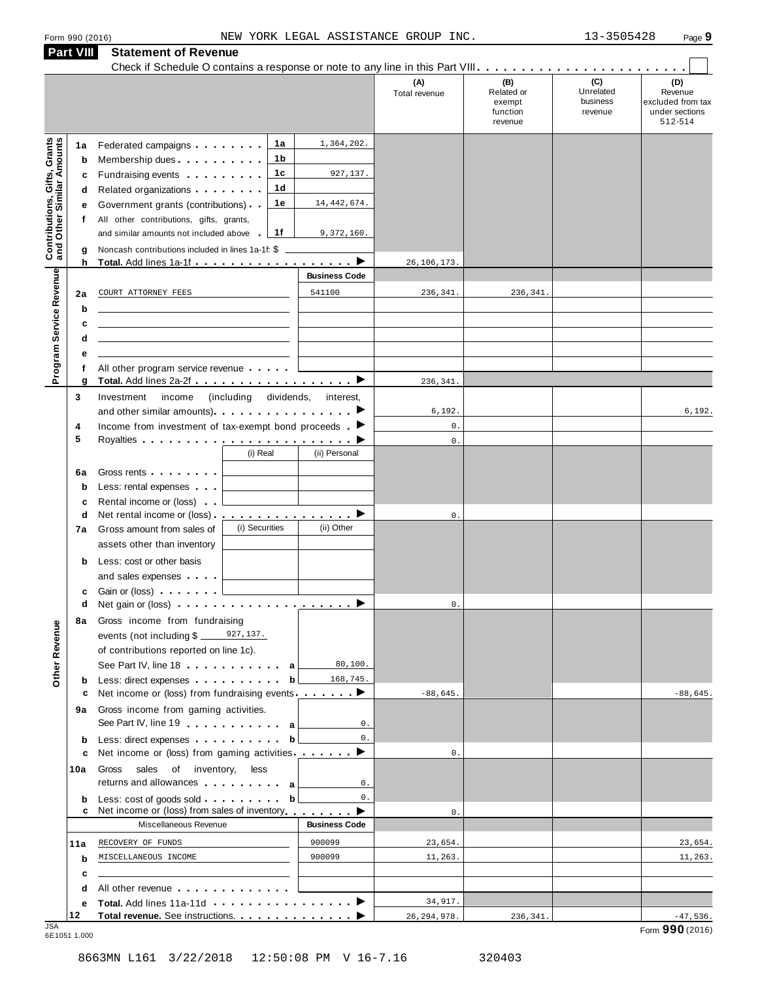| <b>Part VIII</b><br><b>Statement of Revenue</b>                  |              |                                                                                                                                                                                                                                                                                                                      |                       |                        |                          |                                                    |                                         |                                                                            |
|------------------------------------------------------------------|--------------|----------------------------------------------------------------------------------------------------------------------------------------------------------------------------------------------------------------------------------------------------------------------------------------------------------------------|-----------------------|------------------------|--------------------------|----------------------------------------------------|-----------------------------------------|----------------------------------------------------------------------------|
|                                                                  |              |                                                                                                                                                                                                                                                                                                                      |                       |                        | (A)<br>Total revenue     | (B)<br>Related or<br>exempt<br>function<br>revenue | (C)<br>Unrelated<br>business<br>revenue | $\sim$<br>(D)<br>Revenue<br>excluded from tax<br>under sections<br>512-514 |
|                                                                  | 1a<br>b<br>c | Federated campaigns <b>Federated</b><br>Membership dues<br>Fundraising events <b>Fundraising</b> events                                                                                                                                                                                                              | 1а<br>1 b<br>1c       | 1,364,202.<br>927,137. |                          |                                                    |                                         |                                                                            |
| <b>Contributions, Gifts, Grants</b><br>and Other Similar Amounts | d<br>е<br>f  | Related organizations <b>and the set of the set of the set of the set of the set of the set of the set of the set of the set of the set of the set of the set of the set of the set of the set of the set of the set of the set </b><br>Government grants (contributions)<br>All other contributions, gifts, grants, | 1 <sub>d</sub><br>1е  | 14, 442, 674.          |                          |                                                    |                                         |                                                                            |
|                                                                  | g<br>h       | and similar amounts not included above<br>Noncash contributions included in lines 1a-1f: \$<br>Total. Add lines 1a-1f ▶                                                                                                                                                                                              | 1f                    | 9,372,160.             |                          |                                                    |                                         |                                                                            |
|                                                                  |              |                                                                                                                                                                                                                                                                                                                      |                       | <b>Business Code</b>   | 26, 106, 173.            |                                                    |                                         |                                                                            |
| Program Service Revenue                                          | 2a<br>b      | COURT ATTORNEY FEES                                                                                                                                                                                                                                                                                                  |                       | 541100                 | 236,341.                 | 236,341.                                           |                                         |                                                                            |
|                                                                  | c<br>d       |                                                                                                                                                                                                                                                                                                                      |                       |                        |                          |                                                    |                                         |                                                                            |
|                                                                  | е<br>f<br>g  | All other program service revenue<br>Total. Add lines 2a-2f ▶                                                                                                                                                                                                                                                        |                       |                        | 236,341.                 |                                                    |                                         |                                                                            |
|                                                                  | 3            | Investment<br>income                                                                                                                                                                                                                                                                                                 | (including dividends, | interest,              | 6, 192.                  |                                                    |                                         | 6,192.                                                                     |
|                                                                  | 4            | Income from investment of tax-exempt bond proceeds $\blacktriangleright$                                                                                                                                                                                                                                             |                       |                        | 0.                       |                                                    |                                         |                                                                            |
|                                                                  | 5            |                                                                                                                                                                                                                                                                                                                      | (i) Real              | (ii) Personal          | $0$ .                    |                                                    |                                         |                                                                            |
|                                                                  | 6a<br>b      | Gross rents <b>Container and Container</b><br>Less: rental expenses                                                                                                                                                                                                                                                  |                       |                        |                          |                                                    |                                         |                                                                            |
|                                                                  | c<br>d       | Rental income or (loss)<br>Net rental income or (loss).                                                                                                                                                                                                                                                              | <u>.</u> D            |                        | 0.                       |                                                    |                                         |                                                                            |
|                                                                  | 7a           | Gross amount from sales of<br>assets other than inventory                                                                                                                                                                                                                                                            | (i) Securities        | (ii) Other             |                          |                                                    |                                         |                                                                            |
|                                                                  | b            | Less: cost or other basis<br>and sales expenses                                                                                                                                                                                                                                                                      |                       |                        |                          |                                                    |                                         |                                                                            |
|                                                                  | c<br>d       | Gain or (loss)                                                                                                                                                                                                                                                                                                       |                       |                        | 0.                       |                                                    |                                         |                                                                            |
| Other Revenue                                                    | 8а           | Gross income from fundraising<br>events (not including \$ 1827, 137.<br>of contributions reported on line 1c).                                                                                                                                                                                                       |                       |                        |                          |                                                    |                                         |                                                                            |
|                                                                  | b            | See Part IV, line 18 a<br>Less: direct expenses                                                                                                                                                                                                                                                                      | b                     | 80,100.<br>168,745.    |                          |                                                    |                                         |                                                                            |
|                                                                  | с            | Net income or (loss) from fundraising events ________                                                                                                                                                                                                                                                                |                       |                        | $-88,645.$               |                                                    |                                         | $-88,645.$                                                                 |
|                                                                  | 9а           | Gross income from gaming activities.<br>See Part IV, line 19 a<br>Less: direct expenses by the set of the set of the set of the set of the set of the set of the set of the set of the set of the set of the set of the set of the set of the set of the set of the set of the set of the set of                     |                       | $0$ .<br>$0$ .         |                          |                                                    |                                         |                                                                            |
|                                                                  | b<br>c       | Net income or (loss) from gaming activities ________ ▶                                                                                                                                                                                                                                                               |                       |                        | 0.                       |                                                    |                                         |                                                                            |
|                                                                  | 10a          | Gross sales of inventory, less<br>returns and allowances a                                                                                                                                                                                                                                                           |                       | 0.                     |                          |                                                    |                                         |                                                                            |
|                                                                  | b<br>c       | Less: cost of goods sold<br>Net income or (loss) from sales of inventory ▶                                                                                                                                                                                                                                           | $\mathbf{b}$          | 0.                     | $0$ .                    |                                                    |                                         |                                                                            |
|                                                                  |              | Miscellaneous Revenue                                                                                                                                                                                                                                                                                                |                       | <b>Business Code</b>   |                          |                                                    |                                         |                                                                            |
|                                                                  | 11a          | RECOVERY OF FUNDS                                                                                                                                                                                                                                                                                                    |                       | 900099                 | 23,654.                  |                                                    |                                         | 23,654.                                                                    |
|                                                                  | b            | MISCELLANEOUS INCOME                                                                                                                                                                                                                                                                                                 |                       | 900099                 | 11,263.                  |                                                    |                                         | 11,263.                                                                    |
|                                                                  | c            |                                                                                                                                                                                                                                                                                                                      |                       |                        |                          |                                                    |                                         |                                                                            |
|                                                                  | d            | All other revenue entitled and the control of the control of the control of the control of the control of the control of the control of the control of the control of the control of the control of the control of the control                                                                                       |                       |                        |                          |                                                    |                                         |                                                                            |
|                                                                  | е<br>12      |                                                                                                                                                                                                                                                                                                                      |                       |                        | 34,917.<br>26, 294, 978. | 236,341.                                           |                                         | $-47,536.$                                                                 |
| .ISA                                                             |              |                                                                                                                                                                                                                                                                                                                      |                       |                        |                          |                                                    |                                         |                                                                            |

JSA Form **990** (2016) 6E1051 1.000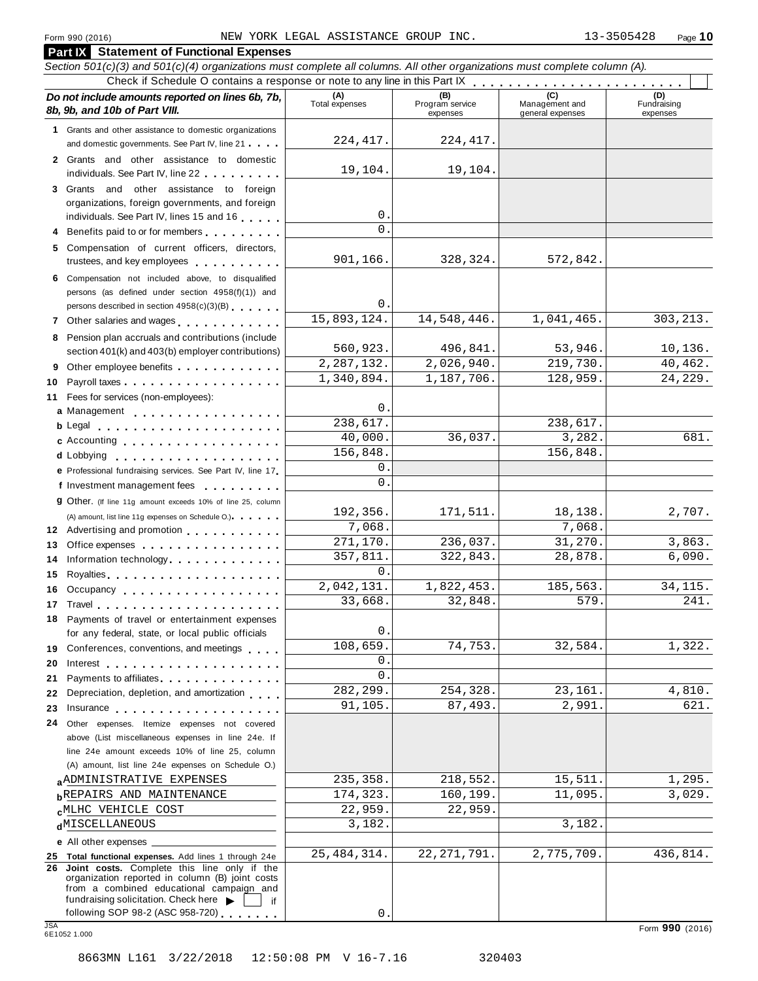**Part IX Statement of Functional Expenses**

#### Section 501(c)(3) and 501(c)(4) organizations must complete all columns. All other organizations must complete column (A). Check if Schedule O contains a response or note to any line in this Part  $\begin{array}{c|c|c|c|c} \hline \textbf{Check} & \textbf{if Schedule O contains a response or note to any line in this Part } \textbf{I} & \textbf{if } & \textbf{if } & \textbf{if } & \textbf{if } & \textbf{if } & \textbf{if } & \textbf{if } & \textbf{if } & \textbf{if } & \textbf{if } & \textbf{if } & \textbf{if } & \textbf{if } & \textbf{if$ *Do no* **(A) (B) (C) (D)** *t include amounts reported on lines 6b, 7b,* **8b, 9b, and 10b of Part VIII.** The contract position of **Part VIII.** The contract Program services Program services expenses Management and general expenses Fundraising expenses **1** Grants and other assistance to domestic organizations and domestic governments. See Part IV, line 21 m m m m **2** Grants and other assistance to domestic individuals. See Part IV, line 22 **3** Grants and other assistance to foreign organizations, foreign governments, and foreign individuals. See Part IV, lines <sup>15</sup> and <sup>16</sup> <sup>m</sup> <sup>m</sup> <sup>m</sup> <sup>m</sup> <sup>m</sup> **<sup>4</sup>** Benefits paid to or for members <sup>m</sup> <sup>m</sup> <sup>m</sup> <sup>m</sup> <sup>m</sup> <sup>m</sup> <sup>m</sup> <sup>m</sup> <sup>m</sup> **5** Compensation of current officers, directors, trustees, and key employees m m m m m m m m m m **6** Compensation not included above, to disqualified persons (as defined under section 4958(f)(1)) and persons described in section 4958(c)(3)(B) <sup>m</sup> <sup>m</sup> <sup>m</sup> <sup>m</sup> <sup>m</sup> <sup>m</sup> **<sup>7</sup>** Other salaries and wages <sup>m</sup> <sup>m</sup> <sup>m</sup> <sup>m</sup> <sup>m</sup> <sup>m</sup> <sup>m</sup> <sup>m</sup> <sup>m</sup> <sup>m</sup> <sup>m</sup> <sup>m</sup> **8** Pension plan accruals and contributions (include section 401(k) and 403(b) employer contributions) **9** Section 401(k) and 403(b) employer contributions<br>9 Other employee benefits 9 Other employee benefits **10** Payroll taxes **10** Fees for services (non-employees): **11** Fees for services (non-employees):<br>**a** Management ..................<br>**b** Legal ......................... Legal m m m m m m m m m m m m m m m m m m m m m c Accounting . . . . . . . . . . . . . Lobbying **cd** m m m m m m m m m m m m m m m m m m m A) amount, list line 11g expenses on Schedule O.)<br>**12** Advertising and promotion **manual 13** Office expenses **13** Office expenses<br>**14** Information technology **manual manual metal of the metal of the metal of the metal of 15** 15 Royalties<sub>.・・・・・・・・・・・・・・・・・・・<br>16 Occupancy <sub>.・・・・・・・・・・・・・・・・・</sub></sub> **16** Occupancy ...................<br>17 Travel..................... **18** Payments of travel or entertainment expenses for any federal, state, or local public officials<br>**19** Conferences, conventions, and meetings **19** Conferences, conventions, and meetings **with meetings**<br>20 Interest **manual meetings 21** 21 Payments to affiliates<br>22 Depreciation, depletion, and amortization <sub>1</sub> , , , **22** Depreciation, depletion, and amortization **manufation**<br>23 Insurance 24 Other expenses. Itemize expenses not covered | **d** Lobbying **e**<br> **e** Professional fundraising services. See Part IV, line 17 **P** Professional fundraising services. See Part IV, line 17<br>**f** Investment management fees **g** Other. (If line 11g amount exceeds 10% of line 25, column m m m m m m m m m m m m m m m m m m (A) amount, list line 11g expenses on Schedule O.) means m m m m m m m m m m m m m m m m Royalties m m m m m m m m m m m m m m m m m m m m for any federal, state, or local public officials Interest<br>Payments to affiliates **m** m m m m m m m m m m m m m m m above (List miscellaneous expenses in line 24e. If line 24e amount exceeds 10% of line 25, column (A) amount, list line 24e expenses on Schedule O.) **a** <u>ADMINISTRATIVE EXPENSES</u> 235,358. 218,552. 15,511. 1,295.<br>**b** REPAIRS AND MAINTENANCE 174,323. 160,199. 11,095. 3,029. **c**<sup>MLHC</sup> VEHICLE COST 22,959. 22,959. 3,182. **e** All other expenses **25 Total functional expenses.** Add lines 1 through 24e **26 Joint costs.** Complete this line only if the organization reported in column (B) joint costs from a combined educational campaign and fundraising solicitation. Check here  $\triangleright$   $\Box$  if following SOP 98-2 (ASC 958-720) following SOP 98-2 (ASC 958-720) <sup>m</sup> <sup>m</sup> <sup>m</sup> <sup>m</sup> <sup>m</sup> <sup>m</sup> <sup>m</sup> JSA Form **<sup>990</sup>** (2016) 6E1052 1.000 224,417. 224,417. 19,104. 19,104.  $\Omega$ 0. 901,166. 328,324. 572,842.  $\Omega$ 15,893,124. 14,548,446. 1,041,465. 303,213. 560,923. 496,841. 53,946. 10,136. 2,287,132. 2,026,940. 219,730. 40,462. 1,340,894. 1,187,706. 128,959. 24,229.  $\Omega$ 238,617. 40,000. 36,037. 3,282. 681. 156,848. 156,848.  $\Omega$  $\overline{0}$ 192,356. 171,511. 18,138. 2,707. 7,068. 7,068. 271,170. 236,037. 31,270. 3,863.  $357,811.$   $322,843.$   $28,878.$  6,090.  $\Omega$ 2,042,131. 1,822,453. 185,563. 34,115.  $33,668$ .  $32,848$ .  $579$ .  $241$ .  $\Omega$ 108,659. 74,753. 32,584. 1,322. 0.  $\overline{0}$ . 282,299. 254,328. 23,161. 4,810. 91,105. 87,493. 2,991. 621. **a** ADMINISTRATIVE EXPENSES 235,358. 218,552. 15,511. 1,295. MLHC VEHICLE COST 22,959. 22,959. 25,484,314. 22,271,791. 2,775,709. 436,814.

0.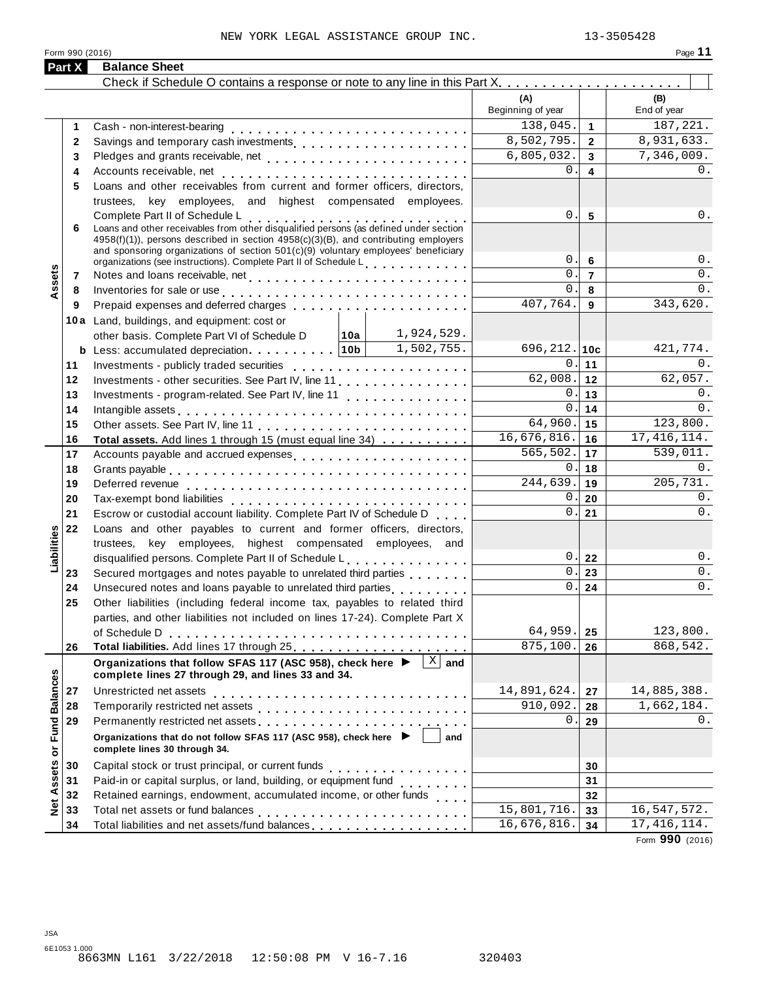Form 990 (2016)

|--|--|--|

|                  | Part X       | <b>Balance Sheet</b>                                                                                                                                                                                                                                                                                 |                          |                                  |                    |
|------------------|--------------|------------------------------------------------------------------------------------------------------------------------------------------------------------------------------------------------------------------------------------------------------------------------------------------------------|--------------------------|----------------------------------|--------------------|
|                  |              |                                                                                                                                                                                                                                                                                                      |                          |                                  |                    |
|                  |              |                                                                                                                                                                                                                                                                                                      | (A)<br>Beginning of year |                                  | (B)<br>End of year |
|                  | 1            |                                                                                                                                                                                                                                                                                                      | 138,045.                 | $\mathbf{1}$                     | 187,221.           |
|                  | $\mathbf{2}$ |                                                                                                                                                                                                                                                                                                      | 8,502,795.               | $\overline{2}$                   | 8,931,633.         |
|                  | 3            |                                                                                                                                                                                                                                                                                                      | 6,805,032.               | 3                                | 7,346,009.         |
|                  | 4            | Accounts receivable, net enterprise and accounts receivable, net enterprise and accounts received and accounts                                                                                                                                                                                       | 0.                       | 4                                | 0.                 |
|                  | 5            | Loans and other receivables from current and former officers, directors,                                                                                                                                                                                                                             |                          |                                  |                    |
|                  |              | trustees, key employees, and highest compensated employees.                                                                                                                                                                                                                                          |                          |                                  |                    |
|                  | 6            | Complete Part II of Schedule L<br>Loans and other receivables from other disqualified persons (as defined under section<br>4958(f)(1)), persons described in section 4958(c)(3)(B), and contributing employers<br>and sponsoring organizations of section 501(c)(9) voluntary employees' beneficiary | 0.<br>0.                 | $5\phantom{1}$<br>$6\phantom{1}$ | 0.<br>0.           |
|                  | 7            | organizations (see instructions). Complete Part II of Schedule Letter and Letter Letter Letter                                                                                                                                                                                                       | 0.                       | $\overline{7}$                   | $0$ .              |
| ssets            | 8            |                                                                                                                                                                                                                                                                                                      | Ο.                       | 8                                | $0$ .              |
|                  | 9            | Inventories for sale or use enterprise and and all the contracts of the contracts of the contracts of the contracts of the contracts of the contracts of the contracts of the contracts of the contracts of the contracts of t                                                                       | 407,764.                 | 9                                | 343,620.           |
|                  |              | 10a Land, buildings, and equipment: cost or                                                                                                                                                                                                                                                          |                          |                                  |                    |
|                  |              | $ 10a $ 1,924,529.<br>other basis. Complete Part VI of Schedule D                                                                                                                                                                                                                                    |                          |                                  |                    |
|                  |              | 1,502,755.<br><b>b</b> Less: accumulated depreciation. $ 10b $                                                                                                                                                                                                                                       | 696, $212.$ 10c          |                                  | 421,774.           |
|                  | 11           |                                                                                                                                                                                                                                                                                                      | 0.                       | 11                               | $0$ .              |
|                  | 12           | Investments - other securities. See Part IV, line 11                                                                                                                                                                                                                                                 | 62,008.                  | 12                               | 62,057.            |
|                  | 13           | Investments - program-related. See Part IV, line 11                                                                                                                                                                                                                                                  | 0.                       | 13                               | 0.                 |
|                  | 14           | Intangible assets experience in the contract of the contract of the contract of the contract of the contract of                                                                                                                                                                                      | 0.                       | 14                               | $0$ .              |
|                  | 15           |                                                                                                                                                                                                                                                                                                      | 64,960.                  | 15                               | 123,800.           |
|                  | 16           | Total assets. Add lines 1 through 15 (must equal line 34)                                                                                                                                                                                                                                            | 16,676,816.              | 16                               | 17, 416, 114.      |
|                  | 17           | Accounts payable and accrued expenses                                                                                                                                                                                                                                                                | $\overline{565,502}$ .   | 17                               | 539,011.           |
|                  | 18           |                                                                                                                                                                                                                                                                                                      | 0.                       | 18                               | 0.                 |
|                  | 19           |                                                                                                                                                                                                                                                                                                      | 244,639.                 | 19                               | 205,731.           |
|                  | 20           |                                                                                                                                                                                                                                                                                                      | 0.                       | 20                               | 0.                 |
|                  | 21           | Escrow or custodial account liability. Complete Part IV of Schedule D.                                                                                                                                                                                                                               | 0.                       | 21                               | 0.                 |
|                  | 22           | Loans and other payables to current and former officers, directors,                                                                                                                                                                                                                                  |                          |                                  |                    |
| Liabilities      |              | trustees, key employees, highest compensated employees, and                                                                                                                                                                                                                                          |                          |                                  |                    |
|                  |              | disqualified persons. Complete Part II of Schedule L.                                                                                                                                                                                                                                                | 0.1                      | 22                               | 0.                 |
|                  | 23           | Secured mortgages and notes payable to unrelated third parties                                                                                                                                                                                                                                       | $0$ .                    | 23                               | 0.                 |
|                  | 24           | Unsecured notes and loans payable to unrelated third parties                                                                                                                                                                                                                                         | 0.                       | 24                               | $0$ .              |
|                  | 25           | Other liabilities (including federal income tax, payables to related third                                                                                                                                                                                                                           |                          |                                  |                    |
|                  |              | parties, and other liabilities not included on lines 17-24). Complete Part X                                                                                                                                                                                                                         |                          |                                  |                    |
|                  |              |                                                                                                                                                                                                                                                                                                      | 64,959.                  | 25                               | 123,800.           |
|                  | 26           |                                                                                                                                                                                                                                                                                                      | 875,100.                 | 26                               | 868,542.           |
|                  |              | $\mathbf X$<br>Organizations that follow SFAS 117 (ASC 958), check here ▶<br>and<br>complete lines 27 through 29, and lines 33 and 34.                                                                                                                                                               |                          |                                  |                    |
|                  | 27           |                                                                                                                                                                                                                                                                                                      | 14,891,624.              | 27                               | 14,885,388.        |
|                  | 28           |                                                                                                                                                                                                                                                                                                      | 910,092.                 | 28                               | 1,662,184.         |
|                  | 29           | Permanently restricted net assets<br>included: increases<br>interacts: increases<br>interacts: increases<br>interacts: increases<br>interacts: increases<br>interacts: increases<br>interacts: interacts: interacts: interacts: interacts: i                                                         | Ο.                       | 29                               | 0.                 |
| or Fund Balances |              | Organizations that do not follow SFAS 117 (ASC 958), check here ▶<br>and<br>complete lines 30 through 34.                                                                                                                                                                                            |                          |                                  |                    |
|                  | 30           |                                                                                                                                                                                                                                                                                                      |                          | 30                               |                    |
| Assets           | 31           | Paid-in or capital surplus, or land, building, or equipment fund                                                                                                                                                                                                                                     |                          | 31                               |                    |
|                  | 32           | Retained earnings, endowment, accumulated income, or other funds                                                                                                                                                                                                                                     |                          | 32                               |                    |
| <b>Net</b>       | 33           |                                                                                                                                                                                                                                                                                                      | 15,801,716.              | 33                               | 16,547,572.        |
|                  | 34           | Total liabilities and net assets/fund balances                                                                                                                                                                                                                                                       | 16,676,816.              | 34                               | 17,416,114.        |
|                  |              |                                                                                                                                                                                                                                                                                                      |                          |                                  | $000 \text{ rad}$  |

Form **990** (2016)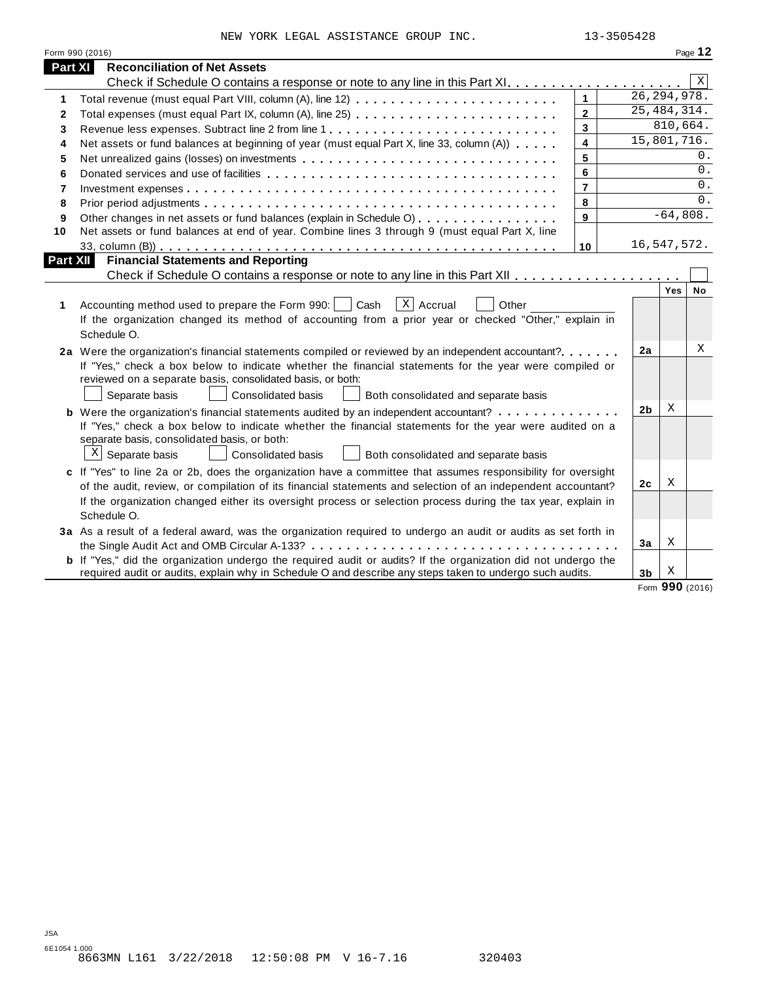NEW YORK LEGAL ASSISTANCE GROUP INC.  $13-3505428$ 

| Part XI<br><b>Reconciliation of Net Assets</b><br>$\mathbf{1}$<br>1<br>$\mathbf{2}$<br>Total expenses (must equal Part IX, column (A), line 25)<br>2<br>$\overline{\mathbf{3}}$<br>Revenue less expenses. Subtract line 2 from line 1<br>3<br>$\overline{\mathbf{4}}$<br>Net assets or fund balances at beginning of year (must equal Part X, line 33, column (A))<br>4<br>5<br>5<br>6<br>6<br>$\overline{7}$<br>7<br>8<br>8<br>Other changes in net assets or fund balances (explain in Schedule O)<br>9<br>9<br>Net assets or fund balances at end of year. Combine lines 3 through 9 (must equal Part X, line<br>10<br>10<br><b>Financial Statements and Reporting</b><br>Part XII<br>$\lceil x \rceil$ Accrual<br>Accounting method used to prepare the Form 990:     Cash<br>Other<br>1<br>If the organization changed its method of accounting from a prior year or checked "Other," explain in<br>Schedule O.<br>2a<br>2a Were the organization's financial statements compiled or reviewed by an independent accountant?<br>If "Yes," check a box below to indicate whether the financial statements for the year were compiled or<br>reviewed on a separate basis, consolidated basis, or both:<br>Separate basis<br><b>Consolidated basis</b><br>Both consolidated and separate basis<br>2 <sub>b</sub><br><b>b</b> Were the organization's financial statements audited by an independent accountant?<br>If "Yes," check a box below to indicate whether the financial statements for the year were audited on a<br>separate basis, consolidated basis, or both:<br>$X$ Separate basis<br><b>Consolidated basis</b><br>Both consolidated and separate basis<br>c If "Yes" to line 2a or 2b, does the organization have a committee that assumes responsibility for oversight<br>2c<br>of the audit, review, or compilation of its financial statements and selection of an independent accountant?<br>If the organization changed either its oversight process or selection process during the tax year, explain in<br>Schedule O.<br>3a As a result of a federal award, was the organization required to undergo an audit or audits as set forth in |                             | Page 12     |  |
|-----------------------------------------------------------------------------------------------------------------------------------------------------------------------------------------------------------------------------------------------------------------------------------------------------------------------------------------------------------------------------------------------------------------------------------------------------------------------------------------------------------------------------------------------------------------------------------------------------------------------------------------------------------------------------------------------------------------------------------------------------------------------------------------------------------------------------------------------------------------------------------------------------------------------------------------------------------------------------------------------------------------------------------------------------------------------------------------------------------------------------------------------------------------------------------------------------------------------------------------------------------------------------------------------------------------------------------------------------------------------------------------------------------------------------------------------------------------------------------------------------------------------------------------------------------------------------------------------------------------------------------------------------------------------------------------------------------------------------------------------------------------------------------------------------------------------------------------------------------------------------------------------------------------------------------------------------------------------------------------------------------------------------------------------------------------------------------------------------------------------------------------------------------------|-----------------------------|-------------|--|
|                                                                                                                                                                                                                                                                                                                                                                                                                                                                                                                                                                                                                                                                                                                                                                                                                                                                                                                                                                                                                                                                                                                                                                                                                                                                                                                                                                                                                                                                                                                                                                                                                                                                                                                                                                                                                                                                                                                                                                                                                                                                                                                                                                 |                             |             |  |
|                                                                                                                                                                                                                                                                                                                                                                                                                                                                                                                                                                                                                                                                                                                                                                                                                                                                                                                                                                                                                                                                                                                                                                                                                                                                                                                                                                                                                                                                                                                                                                                                                                                                                                                                                                                                                                                                                                                                                                                                                                                                                                                                                                 |                             | $\mathbf X$ |  |
|                                                                                                                                                                                                                                                                                                                                                                                                                                                                                                                                                                                                                                                                                                                                                                                                                                                                                                                                                                                                                                                                                                                                                                                                                                                                                                                                                                                                                                                                                                                                                                                                                                                                                                                                                                                                                                                                                                                                                                                                                                                                                                                                                                 | $\overline{26}$ , 294, 978. |             |  |
|                                                                                                                                                                                                                                                                                                                                                                                                                                                                                                                                                                                                                                                                                                                                                                                                                                                                                                                                                                                                                                                                                                                                                                                                                                                                                                                                                                                                                                                                                                                                                                                                                                                                                                                                                                                                                                                                                                                                                                                                                                                                                                                                                                 | 25, 484, 314.               |             |  |
|                                                                                                                                                                                                                                                                                                                                                                                                                                                                                                                                                                                                                                                                                                                                                                                                                                                                                                                                                                                                                                                                                                                                                                                                                                                                                                                                                                                                                                                                                                                                                                                                                                                                                                                                                                                                                                                                                                                                                                                                                                                                                                                                                                 | 810,664.                    |             |  |
|                                                                                                                                                                                                                                                                                                                                                                                                                                                                                                                                                                                                                                                                                                                                                                                                                                                                                                                                                                                                                                                                                                                                                                                                                                                                                                                                                                                                                                                                                                                                                                                                                                                                                                                                                                                                                                                                                                                                                                                                                                                                                                                                                                 | 15,801,716.                 |             |  |
|                                                                                                                                                                                                                                                                                                                                                                                                                                                                                                                                                                                                                                                                                                                                                                                                                                                                                                                                                                                                                                                                                                                                                                                                                                                                                                                                                                                                                                                                                                                                                                                                                                                                                                                                                                                                                                                                                                                                                                                                                                                                                                                                                                 |                             | 0.          |  |
|                                                                                                                                                                                                                                                                                                                                                                                                                                                                                                                                                                                                                                                                                                                                                                                                                                                                                                                                                                                                                                                                                                                                                                                                                                                                                                                                                                                                                                                                                                                                                                                                                                                                                                                                                                                                                                                                                                                                                                                                                                                                                                                                                                 |                             | 0.          |  |
|                                                                                                                                                                                                                                                                                                                                                                                                                                                                                                                                                                                                                                                                                                                                                                                                                                                                                                                                                                                                                                                                                                                                                                                                                                                                                                                                                                                                                                                                                                                                                                                                                                                                                                                                                                                                                                                                                                                                                                                                                                                                                                                                                                 |                             | 0.          |  |
|                                                                                                                                                                                                                                                                                                                                                                                                                                                                                                                                                                                                                                                                                                                                                                                                                                                                                                                                                                                                                                                                                                                                                                                                                                                                                                                                                                                                                                                                                                                                                                                                                                                                                                                                                                                                                                                                                                                                                                                                                                                                                                                                                                 |                             | 0.          |  |
|                                                                                                                                                                                                                                                                                                                                                                                                                                                                                                                                                                                                                                                                                                                                                                                                                                                                                                                                                                                                                                                                                                                                                                                                                                                                                                                                                                                                                                                                                                                                                                                                                                                                                                                                                                                                                                                                                                                                                                                                                                                                                                                                                                 | $-64,808.$                  |             |  |
|                                                                                                                                                                                                                                                                                                                                                                                                                                                                                                                                                                                                                                                                                                                                                                                                                                                                                                                                                                                                                                                                                                                                                                                                                                                                                                                                                                                                                                                                                                                                                                                                                                                                                                                                                                                                                                                                                                                                                                                                                                                                                                                                                                 |                             |             |  |
|                                                                                                                                                                                                                                                                                                                                                                                                                                                                                                                                                                                                                                                                                                                                                                                                                                                                                                                                                                                                                                                                                                                                                                                                                                                                                                                                                                                                                                                                                                                                                                                                                                                                                                                                                                                                                                                                                                                                                                                                                                                                                                                                                                 | 16,547,572.                 |             |  |
|                                                                                                                                                                                                                                                                                                                                                                                                                                                                                                                                                                                                                                                                                                                                                                                                                                                                                                                                                                                                                                                                                                                                                                                                                                                                                                                                                                                                                                                                                                                                                                                                                                                                                                                                                                                                                                                                                                                                                                                                                                                                                                                                                                 |                             |             |  |
|                                                                                                                                                                                                                                                                                                                                                                                                                                                                                                                                                                                                                                                                                                                                                                                                                                                                                                                                                                                                                                                                                                                                                                                                                                                                                                                                                                                                                                                                                                                                                                                                                                                                                                                                                                                                                                                                                                                                                                                                                                                                                                                                                                 |                             |             |  |
|                                                                                                                                                                                                                                                                                                                                                                                                                                                                                                                                                                                                                                                                                                                                                                                                                                                                                                                                                                                                                                                                                                                                                                                                                                                                                                                                                                                                                                                                                                                                                                                                                                                                                                                                                                                                                                                                                                                                                                                                                                                                                                                                                                 | Yes                         | No          |  |
|                                                                                                                                                                                                                                                                                                                                                                                                                                                                                                                                                                                                                                                                                                                                                                                                                                                                                                                                                                                                                                                                                                                                                                                                                                                                                                                                                                                                                                                                                                                                                                                                                                                                                                                                                                                                                                                                                                                                                                                                                                                                                                                                                                 |                             | Χ           |  |
|                                                                                                                                                                                                                                                                                                                                                                                                                                                                                                                                                                                                                                                                                                                                                                                                                                                                                                                                                                                                                                                                                                                                                                                                                                                                                                                                                                                                                                                                                                                                                                                                                                                                                                                                                                                                                                                                                                                                                                                                                                                                                                                                                                 | X                           |             |  |
|                                                                                                                                                                                                                                                                                                                                                                                                                                                                                                                                                                                                                                                                                                                                                                                                                                                                                                                                                                                                                                                                                                                                                                                                                                                                                                                                                                                                                                                                                                                                                                                                                                                                                                                                                                                                                                                                                                                                                                                                                                                                                                                                                                 | X                           |             |  |
| 3a<br><b>b</b> If "Yes," did the organization undergo the required audit or audits? If the organization did not undergo the                                                                                                                                                                                                                                                                                                                                                                                                                                                                                                                                                                                                                                                                                                                                                                                                                                                                                                                                                                                                                                                                                                                                                                                                                                                                                                                                                                                                                                                                                                                                                                                                                                                                                                                                                                                                                                                                                                                                                                                                                                     | X                           |             |  |
| required audit or audits, explain why in Schedule O and describe any steps taken to undergo such audits.<br>3 <sub>b</sub>                                                                                                                                                                                                                                                                                                                                                                                                                                                                                                                                                                                                                                                                                                                                                                                                                                                                                                                                                                                                                                                                                                                                                                                                                                                                                                                                                                                                                                                                                                                                                                                                                                                                                                                                                                                                                                                                                                                                                                                                                                      | Χ<br>nnn.                   |             |  |

Form **990** (2016)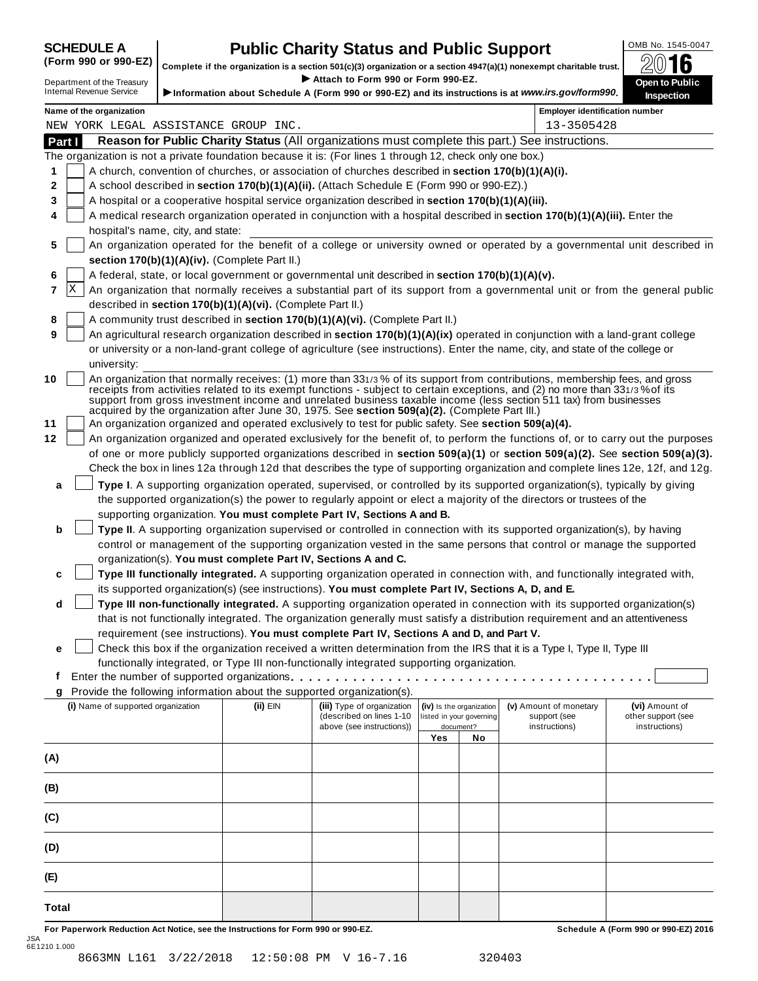# **SCHEDULE A Public Charity Status and Public Support**<br>(Form 990 or 990-EZ) complete if the examination is a section 501(e)(2) examination or a section 4947(e)(1) percepanne

(Form 990 or 990-EZ) complete if the organization is a section 501(c)(3) organization or a section 4947(a)(1) nonexempt charitable trust. 2016 <sup>D</sup> I **Attach to Form <sup>990</sup> or Form 990-EZ.** epartment of the Treasury **Open to Public** Department of the Treasury Metropology Must be transform to Form 990 or Form 990-EZ.<br>Internal Revenue Service Must proformation about Schedule A (Form 990 or 990-EZ) and its instructions is at www.irs.gov/form990.

| OMB No. 1545-0047     |  |  |  |  |  |  |  |
|-----------------------|--|--|--|--|--|--|--|
|                       |  |  |  |  |  |  |  |
| $20$ 16               |  |  |  |  |  |  |  |
| <b>Open to Public</b> |  |  |  |  |  |  |  |
|                       |  |  |  |  |  |  |  |
| <b>Inspection</b>     |  |  |  |  |  |  |  |

|        | Name of the organization                                                                                                                                                                              |          |                                                        |     |                                                      | <b>Employer identification number</b>  |                                      |  |  |
|--------|-------------------------------------------------------------------------------------------------------------------------------------------------------------------------------------------------------|----------|--------------------------------------------------------|-----|------------------------------------------------------|----------------------------------------|--------------------------------------|--|--|
|        | NEW YORK LEGAL ASSISTANCE GROUP INC.<br>13-3505428                                                                                                                                                    |          |                                                        |     |                                                      |                                        |                                      |  |  |
| Part I | Reason for Public Charity Status (All organizations must complete this part.) See instructions.                                                                                                       |          |                                                        |     |                                                      |                                        |                                      |  |  |
|        | The organization is not a private foundation because it is: (For lines 1 through 12, check only one box.)                                                                                             |          |                                                        |     |                                                      |                                        |                                      |  |  |
| 1      | A church, convention of churches, or association of churches described in section 170(b)(1)(A)(i).                                                                                                    |          |                                                        |     |                                                      |                                        |                                      |  |  |
| 2      | A school described in section 170(b)(1)(A)(ii). (Attach Schedule E (Form 990 or 990-EZ).)                                                                                                             |          |                                                        |     |                                                      |                                        |                                      |  |  |
| 3      | A hospital or a cooperative hospital service organization described in section 170(b)(1)(A)(iii).                                                                                                     |          |                                                        |     |                                                      |                                        |                                      |  |  |
| 4      | A medical research organization operated in conjunction with a hospital described in section 170(b)(1)(A)(iii). Enter the                                                                             |          |                                                        |     |                                                      |                                        |                                      |  |  |
|        | hospital's name, city, and state:                                                                                                                                                                     |          |                                                        |     |                                                      |                                        |                                      |  |  |
| 5      | An organization operated for the benefit of a college or university owned or operated by a governmental unit described in                                                                             |          |                                                        |     |                                                      |                                        |                                      |  |  |
|        | section 170(b)(1)(A)(iv). (Complete Part II.)                                                                                                                                                         |          |                                                        |     |                                                      |                                        |                                      |  |  |
| 6      | A federal, state, or local government or governmental unit described in section 170(b)(1)(A)(v).                                                                                                      |          |                                                        |     |                                                      |                                        |                                      |  |  |
| 7      | X<br>An organization that normally receives a substantial part of its support from a governmental unit or from the general public                                                                     |          |                                                        |     |                                                      |                                        |                                      |  |  |
|        | described in section 170(b)(1)(A)(vi). (Complete Part II.)                                                                                                                                            |          |                                                        |     |                                                      |                                        |                                      |  |  |
| 8      | A community trust described in section 170(b)(1)(A)(vi). (Complete Part II.)                                                                                                                          |          |                                                        |     |                                                      |                                        |                                      |  |  |
| 9      | An agricultural research organization described in section 170(b)(1)(A)(ix) operated in conjunction with a land-grant college                                                                         |          |                                                        |     |                                                      |                                        |                                      |  |  |
|        | or university or a non-land-grant college of agriculture (see instructions). Enter the name, city, and state of the college or                                                                        |          |                                                        |     |                                                      |                                        |                                      |  |  |
| 10     | university:<br>An organization that normally receives: (1) more than 331/3% of its support from contributions, membership fees, and gross                                                             |          |                                                        |     |                                                      |                                        |                                      |  |  |
|        | receipts from activities related to its exempt functions - subject to certain exceptions, and (2) no more than 331/3% of its                                                                          |          |                                                        |     |                                                      |                                        |                                      |  |  |
|        | support from gross investment income and unrelated business taxable income (less section 511 tax) from businesses                                                                                     |          |                                                        |     |                                                      |                                        |                                      |  |  |
| 11     | acquired by the organization after June 30, 1975. See section 509(a)(2). (Complete Part III.)<br>An organization organized and operated exclusively to test for public safety. See section 509(a)(4). |          |                                                        |     |                                                      |                                        |                                      |  |  |
| 12     | An organization organized and operated exclusively for the benefit of, to perform the functions of, or to carry out the purposes                                                                      |          |                                                        |     |                                                      |                                        |                                      |  |  |
|        | of one or more publicly supported organizations described in section 509(a)(1) or section 509(a)(2). See section 509(a)(3).                                                                           |          |                                                        |     |                                                      |                                        |                                      |  |  |
|        | Check the box in lines 12a through 12d that describes the type of supporting organization and complete lines 12e, 12f, and 12g.                                                                       |          |                                                        |     |                                                      |                                        |                                      |  |  |
| а      | Type I. A supporting organization operated, supervised, or controlled by its supported organization(s), typically by giving                                                                           |          |                                                        |     |                                                      |                                        |                                      |  |  |
|        | the supported organization(s) the power to regularly appoint or elect a majority of the directors or trustees of the                                                                                  |          |                                                        |     |                                                      |                                        |                                      |  |  |
|        | supporting organization. You must complete Part IV, Sections A and B.                                                                                                                                 |          |                                                        |     |                                                      |                                        |                                      |  |  |
| b      | Type II. A supporting organization supervised or controlled in connection with its supported organization(s), by having                                                                               |          |                                                        |     |                                                      |                                        |                                      |  |  |
|        | control or management of the supporting organization vested in the same persons that control or manage the supported                                                                                  |          |                                                        |     |                                                      |                                        |                                      |  |  |
|        | organization(s). You must complete Part IV, Sections A and C.                                                                                                                                         |          |                                                        |     |                                                      |                                        |                                      |  |  |
| c      | Type III functionally integrated. A supporting organization operated in connection with, and functionally integrated with,                                                                            |          |                                                        |     |                                                      |                                        |                                      |  |  |
|        | its supported organization(s) (see instructions). You must complete Part IV, Sections A, D, and E.                                                                                                    |          |                                                        |     |                                                      |                                        |                                      |  |  |
| d      | Type III non-functionally integrated. A supporting organization operated in connection with its supported organization(s)                                                                             |          |                                                        |     |                                                      |                                        |                                      |  |  |
|        | that is not functionally integrated. The organization generally must satisfy a distribution requirement and an attentiveness                                                                          |          |                                                        |     |                                                      |                                        |                                      |  |  |
|        | requirement (see instructions). You must complete Part IV, Sections A and D, and Part V.                                                                                                              |          |                                                        |     |                                                      |                                        |                                      |  |  |
| е      | Check this box if the organization received a written determination from the IRS that it is a Type I, Type II, Type III                                                                               |          |                                                        |     |                                                      |                                        |                                      |  |  |
|        | functionally integrated, or Type III non-functionally integrated supporting organization.                                                                                                             |          |                                                        |     |                                                      |                                        |                                      |  |  |
|        | Enter the number of supported organizations.                                                                                                                                                          |          |                                                        |     |                                                      |                                        |                                      |  |  |
|        | g Provide the following information about the supported organization(s).                                                                                                                              |          |                                                        |     |                                                      |                                        |                                      |  |  |
|        | (i) Name of supported organization                                                                                                                                                                    | (ii) EIN | (iii) Type of organization<br>(described on lines 1-10 |     | (iv) Is the organization<br>listed in your governing | (v) Amount of monetary<br>support (see | (vi) Amount of<br>other support (see |  |  |
|        |                                                                                                                                                                                                       |          | above (see instructions))                              |     | document?                                            | instructions)                          | instructions)                        |  |  |
|        |                                                                                                                                                                                                       |          |                                                        | Yes | No                                                   |                                        |                                      |  |  |
| (A)    |                                                                                                                                                                                                       |          |                                                        |     |                                                      |                                        |                                      |  |  |
|        |                                                                                                                                                                                                       |          |                                                        |     |                                                      |                                        |                                      |  |  |
| (B)    |                                                                                                                                                                                                       |          |                                                        |     |                                                      |                                        |                                      |  |  |
|        |                                                                                                                                                                                                       |          |                                                        |     |                                                      |                                        |                                      |  |  |
| (C)    |                                                                                                                                                                                                       |          |                                                        |     |                                                      |                                        |                                      |  |  |
|        |                                                                                                                                                                                                       |          |                                                        |     |                                                      |                                        |                                      |  |  |
| (D)    |                                                                                                                                                                                                       |          |                                                        |     |                                                      |                                        |                                      |  |  |
|        |                                                                                                                                                                                                       |          |                                                        |     |                                                      |                                        |                                      |  |  |
| (E)    |                                                                                                                                                                                                       |          |                                                        |     |                                                      |                                        |                                      |  |  |
|        |                                                                                                                                                                                                       |          |                                                        |     |                                                      |                                        |                                      |  |  |
| Total  |                                                                                                                                                                                                       |          |                                                        |     |                                                      |                                        |                                      |  |  |

For Paperwork Reduction Act Notice, see the Instructions for Form 990 or 990-EZ. Schedule A (Form 990 or 990-EZ) 2016 JSA 6E1210 1.000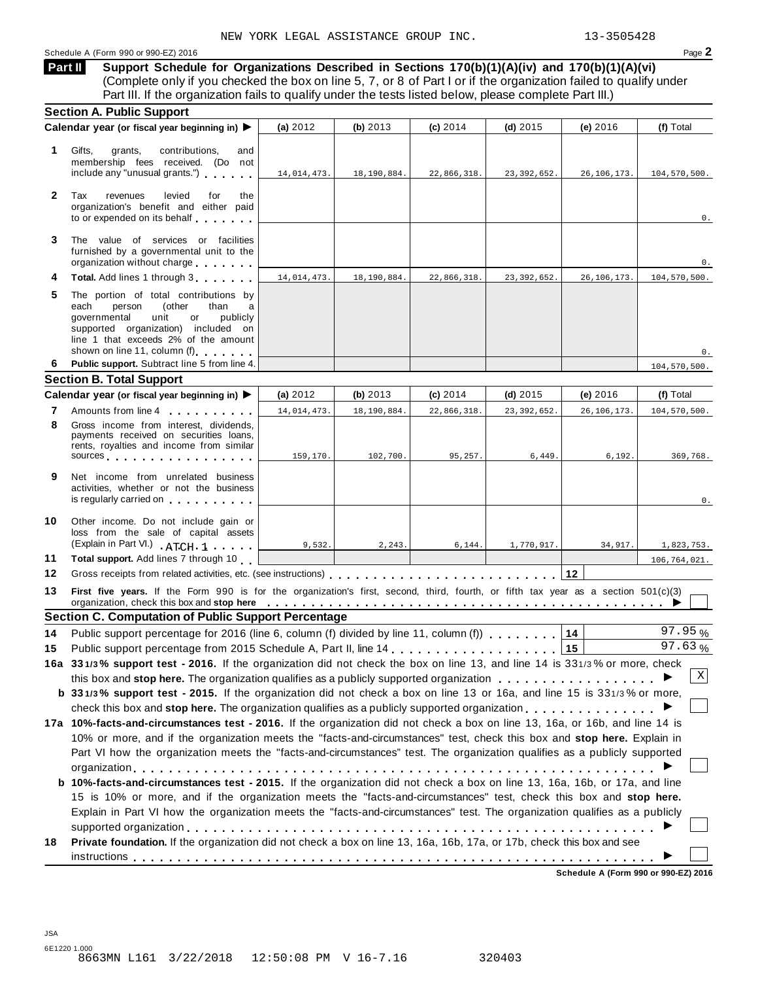**Support Schedule for Organizations Described in Sections 170(b)(1)(A)(iv) and 170(b)(1)(A)(vi)** (Complete only if you checked the box on line 5, 7, or 8 of Part I or if the organization failed to qualify under Part III. If the organization fails to qualify under the tests listed below, please complete Part III.) **Part II**

|              | <b>Section A. Public Support</b>                                                                                                                                                                                                                                                                                                                                              |             |             |             |               |                                     |                      |
|--------------|-------------------------------------------------------------------------------------------------------------------------------------------------------------------------------------------------------------------------------------------------------------------------------------------------------------------------------------------------------------------------------|-------------|-------------|-------------|---------------|-------------------------------------|----------------------|
|              | Calendar year (or fiscal year beginning in) ▶                                                                                                                                                                                                                                                                                                                                 | (a) 2012    | (b) 2013    | (c) 2014    | $(d)$ 2015    | (e) 2016                            | (f) Total            |
| 1.           | Gifts,<br>grants,<br>contributions.<br>and<br>membership fees received. (Do not<br>include any "unusual grants.")                                                                                                                                                                                                                                                             | 14,014,473. | 18,190,884. | 22,866,318. | 23, 392, 652. | 26, 106, 173.                       | 104,570,500.         |
| $\mathbf{2}$ | Tax<br>revenues<br>levied<br>for<br>the<br>organization's benefit and either paid<br>to or expended on its behalf                                                                                                                                                                                                                                                             |             |             |             |               |                                     | 0.                   |
| 3            | The value of services or facilities<br>furnished by a governmental unit to the<br>organization without charge                                                                                                                                                                                                                                                                 |             |             |             |               |                                     | 0.                   |
| 4            | Total. Add lines 1 through 3                                                                                                                                                                                                                                                                                                                                                  | 14,014,473. | 18,190,884. | 22,866,318. | 23, 392, 652. | 26, 106, 173.                       | 104,570,500.         |
| 5            | The portion of total contributions by<br>each<br>person<br>(other<br>than<br>a<br>governmental<br>publicly<br>unit<br>or<br>supported organization) included on<br>line 1 that exceeds 2% of the amount<br>shown on line 11, column (f)                                                                                                                                       |             |             |             |               |                                     |                      |
| 6.           | Public support. Subtract line 5 from line 4.                                                                                                                                                                                                                                                                                                                                  |             |             |             |               |                                     | 0.                   |
|              | <b>Section B. Total Support</b>                                                                                                                                                                                                                                                                                                                                               |             |             |             |               |                                     | 104,570,500.         |
|              | Calendar year (or fiscal year beginning in) ▶                                                                                                                                                                                                                                                                                                                                 | (a) $2012$  | (b) $2013$  | $(c)$ 2014  | $(d)$ 2015    | (e) $2016$                          | (f) Total            |
| $\mathbf{7}$ | Amounts from line 4                                                                                                                                                                                                                                                                                                                                                           | 14,014,473. | 18,190,884. | 22,866,318. | 23, 392, 652. | 26, 106, 173.                       | 104,570,500.         |
| 8            | Gross income from interest, dividends,<br>payments received on securities loans,<br>rents, royalties and income from similar<br>sources sources                                                                                                                                                                                                                               | 159,170.    | 102,700.    | 95,257.     | 6,449.        | 6, 192.                             | 369,768.             |
| 9            | Net income from unrelated business<br>activities, whether or not the business<br>is regularly carried on the control of the control of the control of the control of the control of the control of the control of the control of the control of the control of the control of the control of the control of the                                                               |             |             |             |               |                                     | 0.                   |
| 10           | Other income. Do not include gain or<br>loss from the sale of capital assets<br>(Explain in Part VI.) ATCH 1                                                                                                                                                                                                                                                                  | 9,532.      | 2, 243.     | 6, 144.     | 1,770,917.    | 34,917.                             | 1,823,753.           |
| 11           | Total support. Add lines 7 through 10                                                                                                                                                                                                                                                                                                                                         |             |             |             |               |                                     | 106,764,021.         |
| 12           |                                                                                                                                                                                                                                                                                                                                                                               |             |             |             |               |                                     |                      |
| 13           | First five years. If the Form 990 is for the organization's first, second, third, fourth, or fifth tax year as a section 501(c)(3)<br>organization, check this box and stop here entirely respect to the content of the content of the content of the content of $\blacktriangleright$                                                                                        |             |             |             |               |                                     |                      |
|              | <b>Section C. Computation of Public Support Percentage</b>                                                                                                                                                                                                                                                                                                                    |             |             |             |               |                                     |                      |
| 14           | Public support percentage for 2016 (line 6, column (f) divided by line 11, column (f))                                                                                                                                                                                                                                                                                        |             |             |             |               | 14                                  | 97.95%               |
| 15           |                                                                                                                                                                                                                                                                                                                                                                               |             |             |             |               | 15                                  | $\overline{97.63}$ % |
|              | 16a 331/3% support test - 2016. If the organization did not check the box on line 13, and line 14 is 331/3% or more, check                                                                                                                                                                                                                                                    |             |             |             |               |                                     |                      |
|              |                                                                                                                                                                                                                                                                                                                                                                               |             |             |             |               |                                     | $\mathbf{X}$         |
|              | b 331/3% support test - 2015. If the organization did not check a box on line 13 or 16a, and line 15 is 331/3% or more,                                                                                                                                                                                                                                                       |             |             |             |               |                                     |                      |
|              | check this box and stop here. The organization qualifies as a publicly supported organization $\ldots$ , $\ldots$ , $\ldots$                                                                                                                                                                                                                                                  |             |             |             |               |                                     |                      |
|              | 17a 10%-facts-and-circumstances test - 2016. If the organization did not check a box on line 13, 16a, or 16b, and line 14 is                                                                                                                                                                                                                                                  |             |             |             |               |                                     |                      |
|              | 10% or more, and if the organization meets the "facts-and-circumstances" test, check this box and stop here. Explain in                                                                                                                                                                                                                                                       |             |             |             |               |                                     |                      |
|              | Part VI how the organization meets the "facts-and-circumstances" test. The organization qualifies as a publicly supported                                                                                                                                                                                                                                                     |             |             |             |               |                                     |                      |
|              | b 10%-facts-and-circumstances test - 2015. If the organization did not check a box on line 13, 16a, 16b, or 17a, and line<br>15 is 10% or more, and if the organization meets the "facts-and-circumstances" test, check this box and stop here.<br>Explain in Part VI how the organization meets the "facts-and-circumstances" test. The organization qualifies as a publicly |             |             |             |               |                                     |                      |
| 18           | Private foundation. If the organization did not check a box on line 13, 16a, 16b, 17a, or 17b, check this box and see                                                                                                                                                                                                                                                         |             |             |             |               |                                     |                      |
|              |                                                                                                                                                                                                                                                                                                                                                                               |             |             |             |               | Schodule A (Ferm 000 or 000 EZ) 201 |                      |

**Schedule A (Form 990 or 990-EZ) 2016**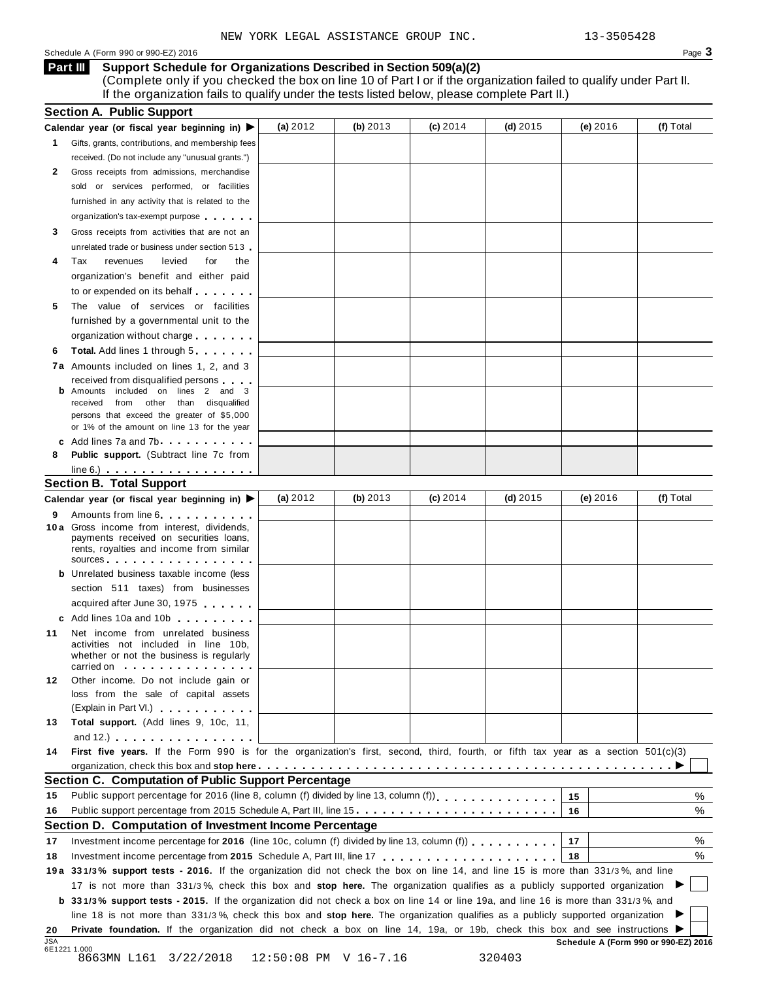#### Schedule A (Form 990 or 990-EZ) 2016  $\overline{\phantom{a}}$

**Support Schedule for Organizations Described in Section 509(a)(2) Part III**

(Complete only if you checked the box on line 10 of Part I or if the organization failed to qualify under Part II. If the organization fails to qualify under the tests listed below, please complete Part II.)

|            | <b>Section A. Public Support</b>                                                                                                                                                                                              |            |            |            |            |                                      |           |
|------------|-------------------------------------------------------------------------------------------------------------------------------------------------------------------------------------------------------------------------------|------------|------------|------------|------------|--------------------------------------|-----------|
|            | Calendar year (or fiscal year beginning in) ▶                                                                                                                                                                                 | (a) $2012$ | (b) 2013   | $(c)$ 2014 | (d) $2015$ | (e) 2016                             | (f) Total |
| 1.         | Gifts, grants, contributions, and membership fees                                                                                                                                                                             |            |            |            |            |                                      |           |
|            | received. (Do not include any "unusual grants.")                                                                                                                                                                              |            |            |            |            |                                      |           |
| 2          | Gross receipts from admissions, merchandise                                                                                                                                                                                   |            |            |            |            |                                      |           |
|            | sold or services performed, or facilities                                                                                                                                                                                     |            |            |            |            |                                      |           |
|            | furnished in any activity that is related to the                                                                                                                                                                              |            |            |            |            |                                      |           |
|            | organization's tax-exempt purpose                                                                                                                                                                                             |            |            |            |            |                                      |           |
| 3          | Gross receipts from activities that are not an                                                                                                                                                                                |            |            |            |            |                                      |           |
|            | unrelated trade or business under section 513                                                                                                                                                                                 |            |            |            |            |                                      |           |
| 4          | Tax<br>revenues<br>levied<br>for<br>the                                                                                                                                                                                       |            |            |            |            |                                      |           |
|            | organization's benefit and either paid                                                                                                                                                                                        |            |            |            |            |                                      |           |
|            | to or expended on its behalf                                                                                                                                                                                                  |            |            |            |            |                                      |           |
| 5          | The value of services or facilities                                                                                                                                                                                           |            |            |            |            |                                      |           |
|            | furnished by a governmental unit to the                                                                                                                                                                                       |            |            |            |            |                                      |           |
|            | organization without charge                                                                                                                                                                                                   |            |            |            |            |                                      |           |
| 6          | <b>Total.</b> Add lines 1 through 5                                                                                                                                                                                           |            |            |            |            |                                      |           |
|            | 7a Amounts included on lines 1, 2, and 3                                                                                                                                                                                      |            |            |            |            |                                      |           |
|            | received from disqualified persons                                                                                                                                                                                            |            |            |            |            |                                      |           |
|            | <b>b</b> Amounts included on lines 2 and 3                                                                                                                                                                                    |            |            |            |            |                                      |           |
|            | from other than disqualified<br>received                                                                                                                                                                                      |            |            |            |            |                                      |           |
|            | persons that exceed the greater of \$5,000                                                                                                                                                                                    |            |            |            |            |                                      |           |
|            | or 1% of the amount on line 13 for the year                                                                                                                                                                                   |            |            |            |            |                                      |           |
|            | c Add lines 7a and 7b.                                                                                                                                                                                                        |            |            |            |            |                                      |           |
| 8          | Public support. (Subtract line 7c from                                                                                                                                                                                        |            |            |            |            |                                      |           |
|            | $line 6.)$<br><b>Section B. Total Support</b>                                                                                                                                                                                 |            |            |            |            |                                      |           |
|            |                                                                                                                                                                                                                               | (a) $2012$ | (b) $2013$ | $(c)$ 2014 | (d) $2015$ | (e) 2016                             | (f) Total |
|            | Calendar year (or fiscal year beginning in) ▶                                                                                                                                                                                 |            |            |            |            |                                      |           |
| 9          | Amounts from line 6<br>10a Gross income from interest, dividends,                                                                                                                                                             |            |            |            |            |                                      |           |
|            | payments received on securities loans,                                                                                                                                                                                        |            |            |            |            |                                      |           |
|            | rents, royalties and income from similar                                                                                                                                                                                      |            |            |            |            |                                      |           |
|            | sources experiences and the set of the set of the set of the set of the set of the set of the set of the set of the set of the set of the set of the set of the set of the set of the set of the set of the set of the set of |            |            |            |            |                                      |           |
|            | <b>b</b> Unrelated business taxable income (less                                                                                                                                                                              |            |            |            |            |                                      |           |
|            | section 511 taxes) from businesses                                                                                                                                                                                            |            |            |            |            |                                      |           |
|            | acquired after June 30, 1975                                                                                                                                                                                                  |            |            |            |            |                                      |           |
|            | c Add lines 10a and 10b                                                                                                                                                                                                       |            |            |            |            |                                      |           |
| 11         | Net income from unrelated business                                                                                                                                                                                            |            |            |            |            |                                      |           |
|            | activities not included in line 10b,<br>whether or not the business is regularly                                                                                                                                              |            |            |            |            |                                      |           |
|            | carried on entering the set of the set of the set of the set of the set of the set of the set of the set of the                                                                                                               |            |            |            |            |                                      |           |
| 12         | Other income. Do not include gain or                                                                                                                                                                                          |            |            |            |            |                                      |           |
|            | loss from the sale of capital assets                                                                                                                                                                                          |            |            |            |            |                                      |           |
|            | (Explain in Part VI.) <b>All and Strategies</b>                                                                                                                                                                               |            |            |            |            |                                      |           |
| 13         | Total support. (Add lines 9, 10c, 11,                                                                                                                                                                                         |            |            |            |            |                                      |           |
|            | and $12.$ )                                                                                                                                                                                                                   |            |            |            |            |                                      |           |
| 14         | First five years. If the Form 990 is for the organization's first, second, third, fourth, or fifth tax year as a section 501(c)(3)                                                                                            |            |            |            |            |                                      |           |
|            |                                                                                                                                                                                                                               |            |            |            |            |                                      |           |
|            | Section C. Computation of Public Support Percentage                                                                                                                                                                           |            |            |            |            |                                      |           |
| 15         | Public support percentage for 2016 (line 8, column (f) divided by line 13, column (f)).                                                                                                                                       |            |            |            |            | 15                                   | ℅         |
| 16         | Public support percentage from 2015 Schedule A, Part III, line 15.                                                                                                                                                            |            |            |            |            | 16                                   | %         |
|            | Section D. Computation of Investment Income Percentage                                                                                                                                                                        |            |            |            |            |                                      |           |
| 17         | Investment income percentage for 2016 (line 10c, column (f) divided by line 13, column (f) $\ldots$ ,,,,,,,,                                                                                                                  |            |            |            |            | 17                                   | %         |
| 18         |                                                                                                                                                                                                                               |            |            |            |            | 18                                   | %         |
|            | 19a 331/3% support tests - 2016. If the organization did not check the box on line 14, and line 15 is more than 331/3%, and line                                                                                              |            |            |            |            |                                      |           |
|            | 17 is not more than 331/3%, check this box and stop here. The organization qualifies as a publicly supported organization                                                                                                     |            |            |            |            |                                      |           |
|            |                                                                                                                                                                                                                               |            |            |            |            |                                      |           |
|            | <b>b</b> 331/3% support tests - 2015. If the organization did not check a box on line 14 or line 19a, and line 16 is more than 331/3%, and                                                                                    |            |            |            |            |                                      |           |
|            | line 18 is not more than 331/3%, check this box and stop here. The organization qualifies as a publicly supported organization                                                                                                |            |            |            |            |                                      |           |
| 20         | Private foundation. If the organization did not check a box on line 14, 19a, or 19b, check this box and see instructions ▶                                                                                                    |            |            |            |            | Schedule A (Form 990 or 990-EZ) 2016 |           |
| <b>JSA</b> |                                                                                                                                                                                                                               |            |            |            |            |                                      |           |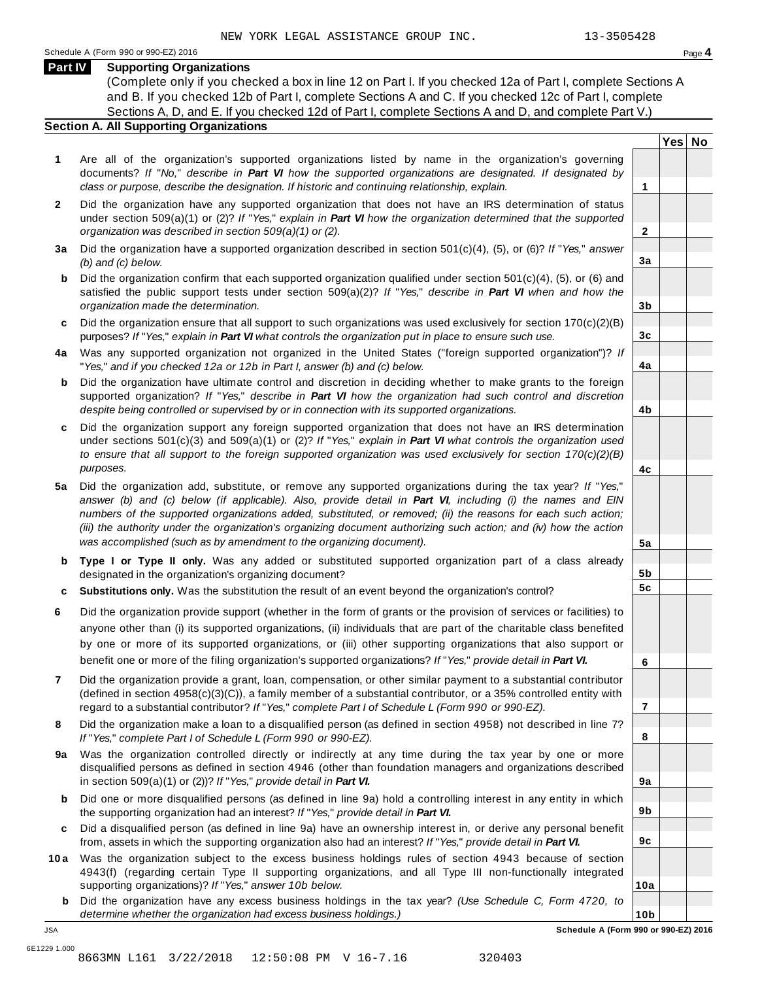## **Part IV Supporting Organizations**

(Complete only if you checked a box in line 12 on Part I. If you checked 12a of Part I, complete Sections A and B. If you checked 12b of Part I, complete Sections A and C. If you checked 12c of Part I, complete Sections A, D, and E. If you checked 12d of Part I, complete Sections A and D, and complete Part V.)

### **Section A. All Supporting Organizations**

- **1** Are all of the organization's supported organizations listed by name in the organization's governing documents? *If* "*No,*" *describe in Part VI how the supported organizations are designated. If designated by class or purpose, describe the designation. If historic and continuing relationship, explain.* **1**
- **2** Did the organization have any supported organization that does not have an IRS determination of status under section 509(a)(1) or (2)? *If*"*Yes,*" *explain in Part VI how the organization determined that the supported organization was described in section 509(a)(1) or (2).*
- **3 a** Did the organization have a supported organization described in section 501(c)(4), (5), or (6)? *If* "*Yes,*" *answer (b) and (c) below.*
- **b** Did the organization confirm that each supported organization qualified under section 501(c)(4), (5), or (6) and | satisfied the public support tests under section 509(a)(2)? *If* "*Yes,*" *describe in Part VI when and how the organization made the determination.*
- **c** Did the organization ensure that all support to such organizations was used exclusively for section 170(c)(2)(B) purposes? *If*"*Yes,*" *explain in Part VI what controls the organization put in place to ensure such use.*
- **4 a** Was any supported organization not organized in the United States ("foreign supported organization")? *If* "*Yes,*" *and if you checked 12a or 12b in Part I, answer (b) and (c) below.*
- **b** Did the organization have ultimate control and discretion in deciding whether to make grants to the foreign | supported organization? *If* "*Yes,*" *describe in Part VI how the organization had such control and discretion despite being controlled or supervised by or in connection with its supported organizations.*
- **c** Did the organization support any foreign supported organization that does not have an IRS determination | under sections 501(c)(3) and 509(a)(1) or (2)? *If* "*Yes,*" *explain in Part VI what controls the organization used to ensure that all support to the foreign supported organization was used exclusively for section 170(c)(2)(B) purposes.*
- **5 a** Did the organization add, substitute, or remove any supported organizations during the tax year? *If* "*Yes,*" answer (b) and (c) below (if applicable). Also, provide detail in Part VI, including (i) the names and EIN *numbers of the supported organizations added, substituted, or removed; (ii) the reasons for each such action;* (iii) the authority under the organization's organizing document authorizing such action; and (iv) how the action *was accomplished (such as by amendment to the organizing document).*
- **b** Type I or Type II only. Was any added or substituted supported organization part of a class already | designated in the organization's organizing document?
- **c Substitutions only.** Was the substitution the result of an event beyond the organization's control?
- **6** Did the organization provide support (whether in the form of grants or the provision of services or facilities) to anyone other than (i) its supported organizations, (ii) individuals that are part of the charitable class benefited by one or more of its supported organizations, or (iii) other supporting organizations that also support or benefit one or more of the filing organization's supported organizations? *If*"*Yes,*" *provide detail in Part VI.*
- **7** Did the organization provide a grant, loan, compensation, or other similar payment to a substantial contributor (defined in section 4958(c)(3)(C)), a family member of a substantial contributor, or a 35% controlled entity with regard to a substantial contributor? *If*"*Yes,*" *complete Part I of Schedule L (Form 990 or 990-EZ).*
- **8** Did the organization make a loan to a disqualified person (as defined in section 4958) not described in line 7? *If* "*Yes,*" *complete Part I of Schedule L (Form 990 or 990-EZ).*
- **a** Was the organization controlled directly or indirectly at any time during the tax year by one or more | **9** disqualified persons as defined in section 4946 (other than foundation managers and organizations described in section 509(a)(1) or (2))? *If*"*Yes,*" *provide detail in Part VI.*
- **b** Did one or more disqualified persons (as defined in line 9a) hold a controlling interest in any entity in which | the supporting organization had an interest? *If*"*Yes,*" *provide detail in Part VI.*
- **c** Did a disqualified person (as defined in line 9a) have an ownership interest in, or derive any personal benefit from, assets in which the supporting organization also had an interest? *If*"*Yes,*" *provide detail in Part VI.*
- **10a** Was the organization subject to the excess business holdings rules of section 4943 because of section | 4943(f) (regarding certain Type II supporting organizations, and all Type III non-functionally integrated supporting organizations)? *If*"*Yes,*" *answer 10b below.*
	- **b** Did the organization have any excess business holdings in the tax year? *(Use Schedule C, Form 4720, to determine whether the organization had excess business holdings.)*

**Yes No**

**2**

**3a**

**3b**

**3c**

**4a**

**4b**

**4c**

**5a**

**5b 5c**

**6**

**7**

**8**

**9a**

**9b**

**9c**

**10a**

**10b** JSA **Schedule A (Form 990 or 990-EZ) 2016**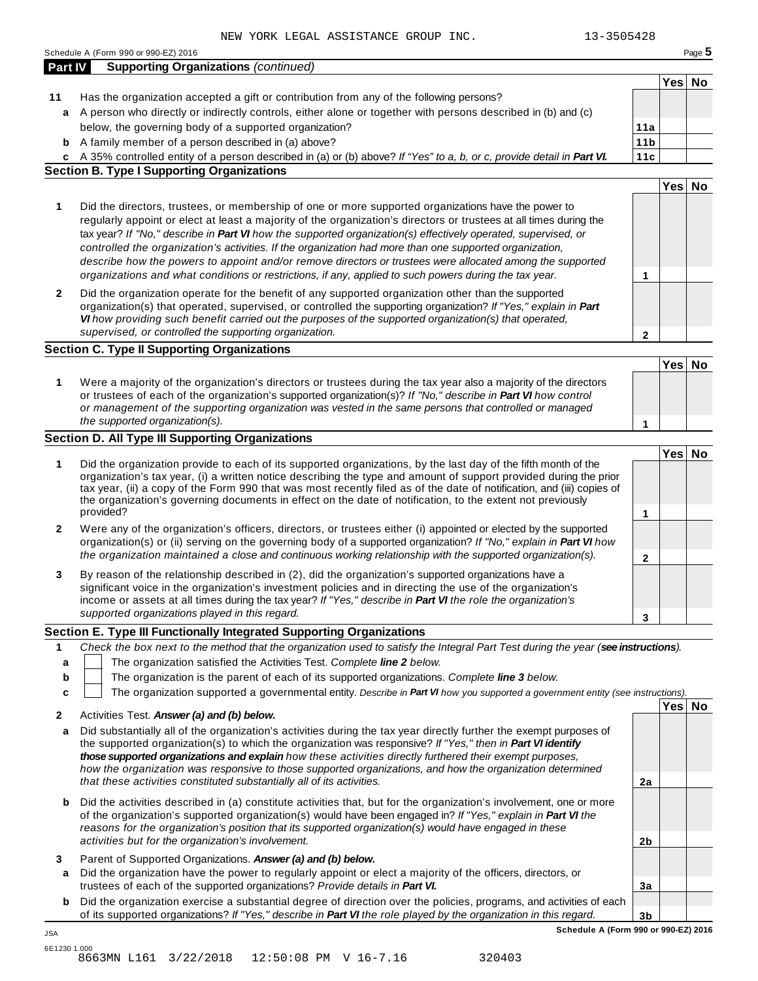|                  | Schedule A (Form 990 or 990-EZ) 2016                                                                                                                                                                                                                                                                                                                                                                                                                                                                                                                                                                                                                                         |                        |        | Page 5 |
|------------------|------------------------------------------------------------------------------------------------------------------------------------------------------------------------------------------------------------------------------------------------------------------------------------------------------------------------------------------------------------------------------------------------------------------------------------------------------------------------------------------------------------------------------------------------------------------------------------------------------------------------------------------------------------------------------|------------------------|--------|--------|
| Part IV          | <b>Supporting Organizations (continued)</b>                                                                                                                                                                                                                                                                                                                                                                                                                                                                                                                                                                                                                                  |                        |        |        |
|                  |                                                                                                                                                                                                                                                                                                                                                                                                                                                                                                                                                                                                                                                                              |                        | Yes No |        |
| 11               | Has the organization accepted a gift or contribution from any of the following persons?                                                                                                                                                                                                                                                                                                                                                                                                                                                                                                                                                                                      |                        |        |        |
|                  | a A person who directly or indirectly controls, either alone or together with persons described in (b) and (c)                                                                                                                                                                                                                                                                                                                                                                                                                                                                                                                                                               |                        |        |        |
|                  | below, the governing body of a supported organization?<br>A family member of a person described in (a) above?                                                                                                                                                                                                                                                                                                                                                                                                                                                                                                                                                                | 11a<br>11 <sub>b</sub> |        |        |
| b                | c A 35% controlled entity of a person described in (a) or (b) above? If "Yes" to a, b, or c, provide detail in Part VI.                                                                                                                                                                                                                                                                                                                                                                                                                                                                                                                                                      | 11c                    |        |        |
|                  | <b>Section B. Type I Supporting Organizations</b>                                                                                                                                                                                                                                                                                                                                                                                                                                                                                                                                                                                                                            |                        |        |        |
|                  |                                                                                                                                                                                                                                                                                                                                                                                                                                                                                                                                                                                                                                                                              |                        | Yes No |        |
| 1                | Did the directors, trustees, or membership of one or more supported organizations have the power to<br>regularly appoint or elect at least a majority of the organization's directors or trustees at all times during the<br>tax year? If "No," describe in Part VI how the supported organization(s) effectively operated, supervised, or<br>controlled the organization's activities. If the organization had more than one supported organization,<br>describe how the powers to appoint and/or remove directors or trustees were allocated among the supported<br>organizations and what conditions or restrictions, if any, applied to such powers during the tax year. | 1                      |        |        |
| $\mathbf{2}$     | Did the organization operate for the benefit of any supported organization other than the supported<br>organization(s) that operated, supervised, or controlled the supporting organization? If "Yes," explain in Part<br>VI how providing such benefit carried out the purposes of the supported organization(s) that operated,<br>supervised, or controlled the supporting organization.                                                                                                                                                                                                                                                                                   | 2                      |        |        |
|                  | <b>Section C. Type II Supporting Organizations</b>                                                                                                                                                                                                                                                                                                                                                                                                                                                                                                                                                                                                                           |                        |        |        |
|                  |                                                                                                                                                                                                                                                                                                                                                                                                                                                                                                                                                                                                                                                                              |                        | Yes No |        |
| 1                | Were a majority of the organization's directors or trustees during the tax year also a majority of the directors<br>or trustees of each of the organization's supported organization(s)? If "No," describe in Part VI how control<br>or management of the supporting organization was vested in the same persons that controlled or managed<br>the supported organization(s).                                                                                                                                                                                                                                                                                                | 1                      |        |        |
|                  | Section D. All Type III Supporting Organizations                                                                                                                                                                                                                                                                                                                                                                                                                                                                                                                                                                                                                             |                        |        |        |
| 1                | Did the organization provide to each of its supported organizations, by the last day of the fifth month of the<br>organization's tax year, (i) a written notice describing the type and amount of support provided during the prior<br>tax year, (ii) a copy of the Form 990 that was most recently filed as of the date of notification, and (iii) copies of<br>the organization's governing documents in effect on the date of notification, to the extent not previously<br>provided?                                                                                                                                                                                     | 1                      | Yes No |        |
| 2                | Were any of the organization's officers, directors, or trustees either (i) appointed or elected by the supported<br>organization(s) or (ii) serving on the governing body of a supported organization? If "No," explain in Part VI how<br>the organization maintained a close and continuous working relationship with the supported organization(s).                                                                                                                                                                                                                                                                                                                        | 2                      |        |        |
| 3                | By reason of the relationship described in (2), did the organization's supported organizations have a<br>significant voice in the organization's investment policies and in directing the use of the organization's<br>income or assets at all times during the tax year? If "Yes," describe in Part VI the role the organization's<br>supported organizations played in this regard.                                                                                                                                                                                                                                                                                        | 3                      |        |        |
|                  | Section E. Type III Functionally Integrated Supporting Organizations                                                                                                                                                                                                                                                                                                                                                                                                                                                                                                                                                                                                         |                        |        |        |
| 1<br>a<br>b<br>c | Check the box next to the method that the organization used to satisfy the Integral Part Test during the year (see instructions).<br>The organization satisfied the Activities Test. Complete line 2 below.<br>The organization is the parent of each of its supported organizations. Complete line 3 below.<br>The organization supported a governmental entity. Describe in Part VI how you supported a government entity (see instructions).                                                                                                                                                                                                                              |                        |        |        |
|                  |                                                                                                                                                                                                                                                                                                                                                                                                                                                                                                                                                                                                                                                                              |                        | Yes No |        |
| 2<br>a           | Activities Test. Answer (a) and (b) below.<br>Did substantially all of the organization's activities during the tax year directly further the exempt purposes of<br>the supported organization(s) to which the organization was responsive? If "Yes," then in Part VI identify<br>those supported organizations and explain how these activities directly furthered their exempt purposes,<br>how the organization was responsive to those supported organizations, and how the organization determined<br>that these activities constituted substantially all of its activities.                                                                                            | 2a                     |        |        |
| b                | Did the activities described in (a) constitute activities that, but for the organization's involvement, one or more<br>of the organization's supported organization(s) would have been engaged in? If "Yes," explain in Part VI the<br>reasons for the organization's position that its supported organization(s) would have engaged in these<br>activities but for the organization's involvement.                                                                                                                                                                                                                                                                          | 2 <sub>b</sub>         |        |        |
| 3                | Parent of Supported Organizations. Answer (a) and (b) below.                                                                                                                                                                                                                                                                                                                                                                                                                                                                                                                                                                                                                 |                        |        |        |
| a                | Did the organization have the power to regularly appoint or elect a majority of the officers, directors, or<br>trustees of each of the supported organizations? Provide details in Part VI.                                                                                                                                                                                                                                                                                                                                                                                                                                                                                  | 3a                     |        |        |
| b                | Did the organization exercise a substantial degree of direction over the policies, programs, and activities of each<br>of its supported organizations? If "Yes," describe in Part VI the role played by the organization in this regard.                                                                                                                                                                                                                                                                                                                                                                                                                                     | 3 <sub>b</sub>         |        |        |
| JSA              | Schedule A (Form 990 or 990-EZ) 2016                                                                                                                                                                                                                                                                                                                                                                                                                                                                                                                                                                                                                                         |                        |        |        |

6E1230 1.000 8663MN L161 3/22/2018 12:50:08 PM V 16-7.16 320403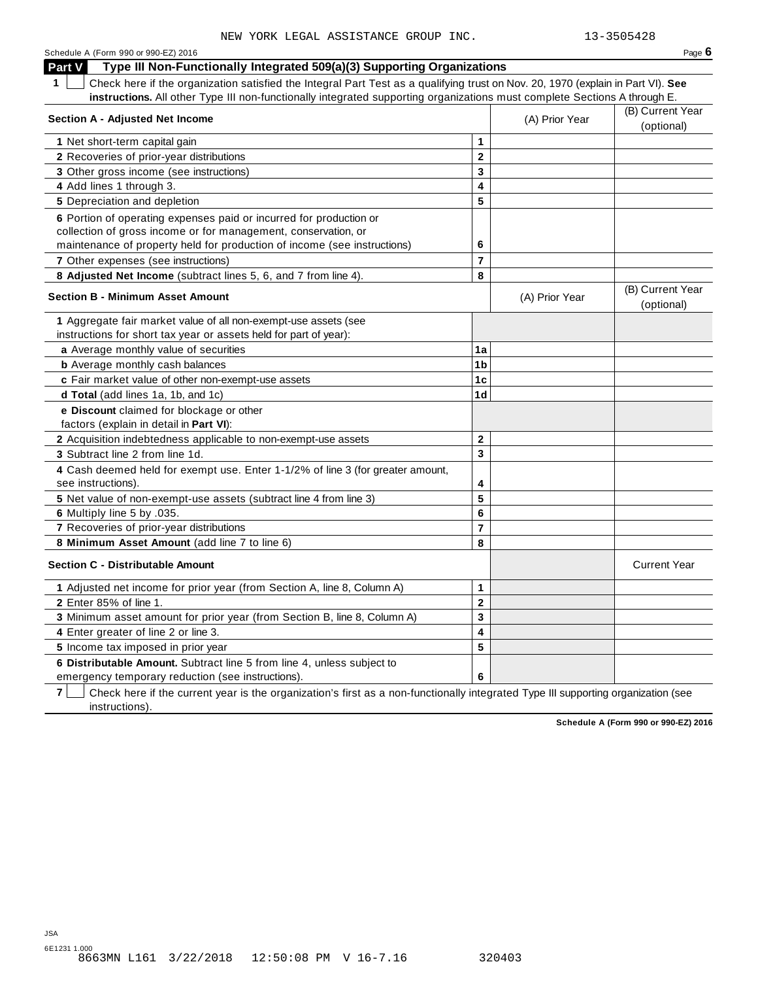| Schedule A (Form 990 or 990-EZ) 2016                                                                                                            |                |                | Page $6$                       |
|-------------------------------------------------------------------------------------------------------------------------------------------------|----------------|----------------|--------------------------------|
| Type III Non-Functionally Integrated 509(a)(3) Supporting Organizations<br>Part V                                                               |                |                |                                |
| $\mathbf 1$<br>Check here if the organization satisfied the Integral Part Test as a qualifying trust on Nov. 20, 1970 (explain in Part VI). See |                |                |                                |
| instructions. All other Type III non-functionally integrated supporting organizations must complete Sections A through E.                       |                |                |                                |
|                                                                                                                                                 |                |                | (B) Current Year               |
| <b>Section A - Adjusted Net Income</b>                                                                                                          |                | (A) Prior Year | (optional)                     |
| 1 Net short-term capital gain                                                                                                                   | 1              |                |                                |
| 2 Recoveries of prior-year distributions                                                                                                        | $\mathbf 2$    |                |                                |
| 3 Other gross income (see instructions)                                                                                                         | 3              |                |                                |
| 4 Add lines 1 through 3.                                                                                                                        | 4              |                |                                |
| 5 Depreciation and depletion                                                                                                                    | 5              |                |                                |
| 6 Portion of operating expenses paid or incurred for production or                                                                              |                |                |                                |
| collection of gross income or for management, conservation, or                                                                                  |                |                |                                |
| maintenance of property held for production of income (see instructions)                                                                        | 6              |                |                                |
| 7 Other expenses (see instructions)                                                                                                             | $\overline{7}$ |                |                                |
| 8 Adjusted Net Income (subtract lines 5, 6, and 7 from line 4).                                                                                 | 8              |                |                                |
| <b>Section B - Minimum Asset Amount</b>                                                                                                         |                | (A) Prior Year | (B) Current Year<br>(optional) |
| 1 Aggregate fair market value of all non-exempt-use assets (see                                                                                 |                |                |                                |
| instructions for short tax year or assets held for part of year):                                                                               |                |                |                                |
| a Average monthly value of securities                                                                                                           | 1a             |                |                                |
| <b>b</b> Average monthly cash balances                                                                                                          | 1 <sub>b</sub> |                |                                |
| c Fair market value of other non-exempt-use assets                                                                                              | 1c             |                |                                |
| d Total (add lines 1a, 1b, and 1c)                                                                                                              | 1 <sub>d</sub> |                |                                |
| e Discount claimed for blockage or other                                                                                                        |                |                |                                |
| factors (explain in detail in Part VI):                                                                                                         |                |                |                                |
| 2 Acquisition indebtedness applicable to non-exempt-use assets                                                                                  | $\mathbf{2}$   |                |                                |
| 3 Subtract line 2 from line 1d.                                                                                                                 | $\overline{3}$ |                |                                |
| 4 Cash deemed held for exempt use. Enter 1-1/2% of line 3 (for greater amount,<br>see instructions).                                            | 4              |                |                                |
| 5 Net value of non-exempt-use assets (subtract line 4 from line 3)                                                                              | 5              |                |                                |
| 6 Multiply line 5 by .035.                                                                                                                      | 6              |                |                                |
| 7 Recoveries of prior-year distributions                                                                                                        | $\overline{7}$ |                |                                |
| 8 Minimum Asset Amount (add line 7 to line 6)                                                                                                   | 8              |                |                                |
| <b>Section C - Distributable Amount</b>                                                                                                         |                |                | <b>Current Year</b>            |
| 1 Adjusted net income for prior year (from Section A, line 8, Column A)                                                                         | $\mathbf{1}$   |                |                                |
| 2 Enter 85% of line 1.                                                                                                                          | $\mathbf{2}$   |                |                                |
| 3 Minimum asset amount for prior year (from Section B, line 8, Column A)                                                                        | 3              |                |                                |
| 4 Enter greater of line 2 or line 3.                                                                                                            | 4              |                |                                |
| 5 Income tax imposed in prior year                                                                                                              | 5              |                |                                |
| 6 Distributable Amount. Subtract line 5 from line 4, unless subject to                                                                          |                |                |                                |
| emergency temporary reduction (see instructions).                                                                                               | 6              |                |                                |

**7** | Check here if the current year is the organization's first as a non-functionally integrated Type III supporting organization (see instructions).

**Schedule A (Form 990 or 990-EZ) 2016**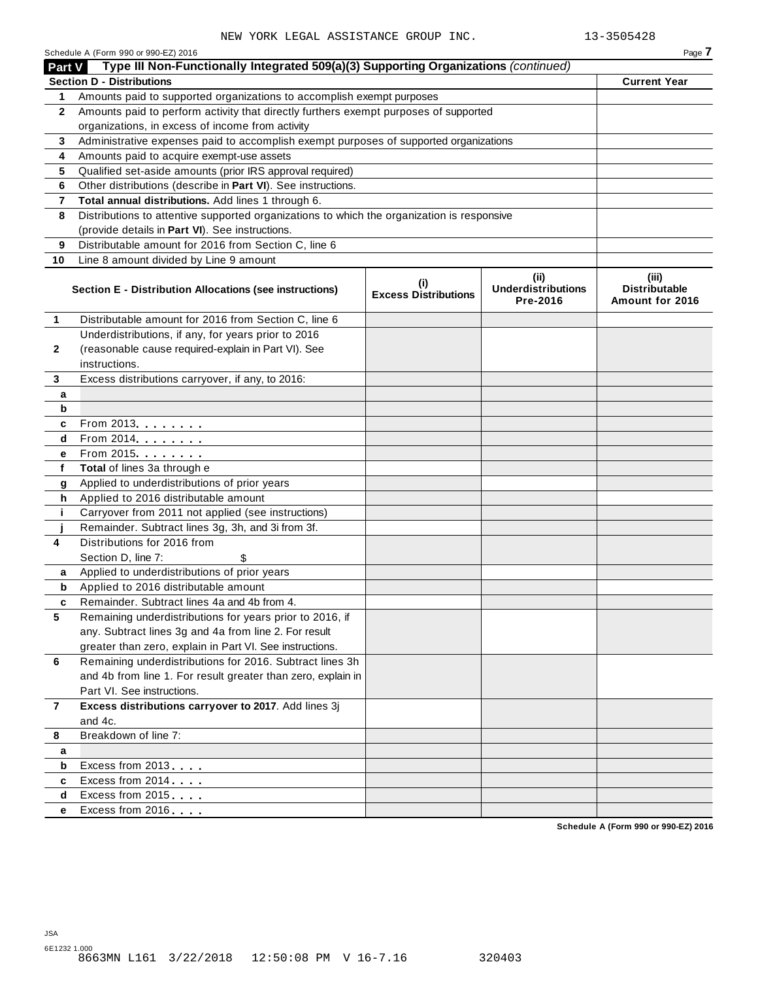|               | Schedule A (Form 990 or 990-EZ) 2016                                                                                    |                                    |                                                | Page 7                                      |
|---------------|-------------------------------------------------------------------------------------------------------------------------|------------------------------------|------------------------------------------------|---------------------------------------------|
| <b>Part V</b> | Type III Non-Functionally Integrated 509(a)(3) Supporting Organizations (continued)<br><b>Section D - Distributions</b> |                                    |                                                | <b>Current Year</b>                         |
| 1.            | Amounts paid to supported organizations to accomplish exempt purposes                                                   |                                    |                                                |                                             |
| $\mathbf{2}$  | Amounts paid to perform activity that directly furthers exempt purposes of supported                                    |                                    |                                                |                                             |
|               | organizations, in excess of income from activity                                                                        |                                    |                                                |                                             |
| 3             | Administrative expenses paid to accomplish exempt purposes of supported organizations                                   |                                    |                                                |                                             |
| 4             | Amounts paid to acquire exempt-use assets                                                                               |                                    |                                                |                                             |
| 5             | Qualified set-aside amounts (prior IRS approval required)                                                               |                                    |                                                |                                             |
| 6             | Other distributions (describe in Part VI). See instructions.                                                            |                                    |                                                |                                             |
| 7             | Total annual distributions. Add lines 1 through 6.                                                                      |                                    |                                                |                                             |
| 8             | Distributions to attentive supported organizations to which the organization is responsive                              |                                    |                                                |                                             |
|               | (provide details in Part VI). See instructions.                                                                         |                                    |                                                |                                             |
| 9             | Distributable amount for 2016 from Section C, line 6                                                                    |                                    |                                                |                                             |
| 10            | Line 8 amount divided by Line 9 amount                                                                                  |                                    |                                                |                                             |
|               | Section E - Distribution Allocations (see instructions)                                                                 | (i)<br><b>Excess Distributions</b> | (iii)<br><b>Underdistributions</b><br>Pre-2016 | (iii)<br>Distributable<br>Amount for 2016   |
| 1             | Distributable amount for 2016 from Section C, line 6                                                                    |                                    |                                                |                                             |
|               | Underdistributions, if any, for years prior to 2016                                                                     |                                    |                                                |                                             |
| 2             | (reasonable cause required-explain in Part VI). See                                                                     |                                    |                                                |                                             |
|               | instructions.                                                                                                           |                                    |                                                |                                             |
| 3             | Excess distributions carryover, if any, to 2016:                                                                        |                                    |                                                |                                             |
| а             |                                                                                                                         |                                    |                                                |                                             |
| b             |                                                                                                                         |                                    |                                                |                                             |
| c             |                                                                                                                         |                                    |                                                |                                             |
| d             | From 2014                                                                                                               |                                    |                                                |                                             |
| e             | From 2015.                                                                                                              |                                    |                                                |                                             |
| f             | Total of lines 3a through e                                                                                             |                                    |                                                |                                             |
| g             | Applied to underdistributions of prior years                                                                            |                                    |                                                |                                             |
| h             | Applied to 2016 distributable amount                                                                                    |                                    |                                                |                                             |
| j.            | Carryover from 2011 not applied (see instructions)                                                                      |                                    |                                                |                                             |
| Ĵ<br>4        | Remainder. Subtract lines 3g, 3h, and 3i from 3f.<br>Distributions for 2016 from                                        |                                    |                                                |                                             |
|               | Section D, line 7:                                                                                                      |                                    |                                                |                                             |
| а             | \$<br>Applied to underdistributions of prior years                                                                      |                                    |                                                |                                             |
| b             | Applied to 2016 distributable amount                                                                                    |                                    |                                                |                                             |
| c             | Remainder. Subtract lines 4a and 4b from 4.                                                                             |                                    |                                                |                                             |
| 5             | Remaining underdistributions for years prior to 2016, if                                                                |                                    |                                                |                                             |
|               | any. Subtract lines 3g and 4a from line 2. For result                                                                   |                                    |                                                |                                             |
|               | greater than zero, explain in Part VI. See instructions.                                                                |                                    |                                                |                                             |
| 6             | Remaining underdistributions for 2016. Subtract lines 3h                                                                |                                    |                                                |                                             |
|               | and 4b from line 1. For result greater than zero, explain in                                                            |                                    |                                                |                                             |
|               | Part VI. See instructions.                                                                                              |                                    |                                                |                                             |
| 7             | Excess distributions carryover to 2017. Add lines 3j                                                                    |                                    |                                                |                                             |
|               | and 4c.                                                                                                                 |                                    |                                                |                                             |
| 8             | Breakdown of line 7:                                                                                                    |                                    |                                                |                                             |
| а             |                                                                                                                         |                                    |                                                |                                             |
| b             | Excess from 2013                                                                                                        |                                    |                                                |                                             |
| c             | Excess from 2014                                                                                                        |                                    |                                                |                                             |
| d             | Excess from 2015                                                                                                        |                                    |                                                |                                             |
| е             | Excess from 2016                                                                                                        |                                    |                                                |                                             |
|               |                                                                                                                         |                                    |                                                | <b>Cohodulo A (Form 000 or 000 EZ) 2016</b> |

**Schedule A (Form 990 or 990-EZ) 2016**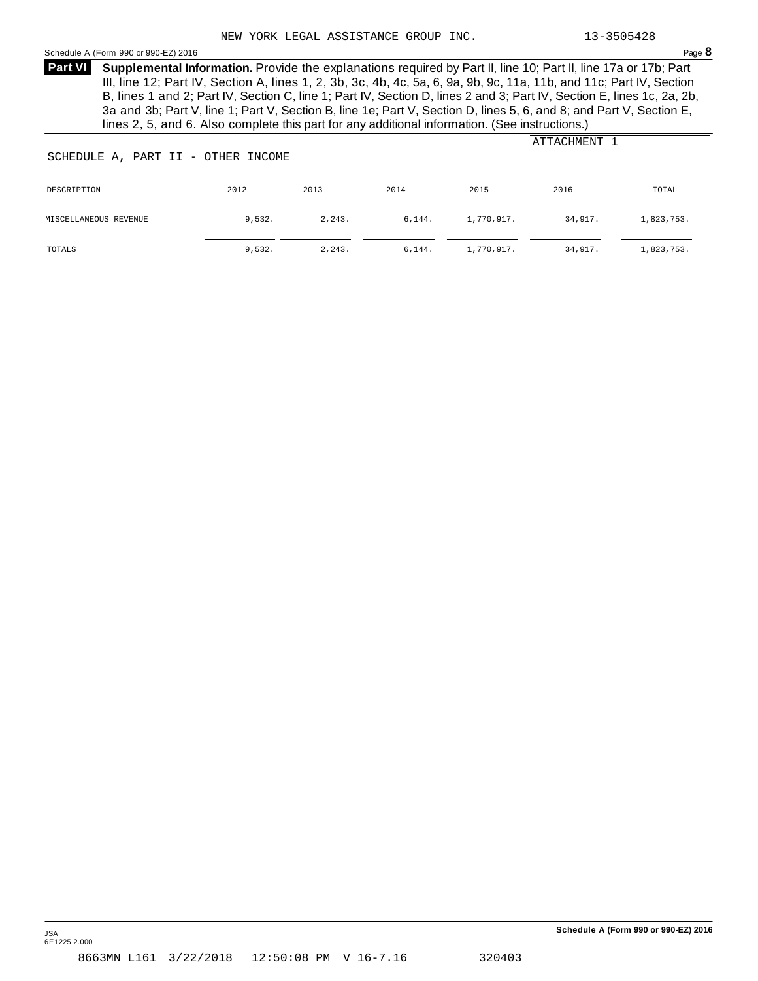<span id="page-20-0"></span>Schedule <sup>A</sup> (Form <sup>990</sup> or 990-EZ) <sup>2016</sup> Page **8**

**Supplemental Information.** Provide the explanations required by Part II, line 10; Part II, line 17a or 17b; Part **Part VI** III, line 12; Part IV, Section A, lines 1, 2, 3b, 3c, 4b, 4c, 5a, 6, 9a, 9b, 9c, 11a, 11b, and 11c; Part IV, Section B, lines 1 and 2; Part IV, Section C, line 1; Part IV, Section D, lines 2 and 3; Part IV, Section E, lines 1c, 2a, 2b, 3a and 3b; Part V, line 1; Part V, Section B, line 1e; Part V, Section D, lines 5, 6, and 8; and Part V, Section E, lines 2, 5, and 6. Also complete this part for any additional information. (See instructions.)

|                                    | ATTACHMENT 1 |        |        |            |         |            |  |  |  |  |
|------------------------------------|--------------|--------|--------|------------|---------|------------|--|--|--|--|
| SCHEDULE A, PART II - OTHER INCOME |              |        |        |            |         |            |  |  |  |  |
|                                    |              |        |        |            |         |            |  |  |  |  |
| DESCRIPTION                        | 2012         | 2013   | 2014   | 2015       | 2016    | TOTAL      |  |  |  |  |
|                                    |              |        |        |            |         |            |  |  |  |  |
| MISCELLANEOUS REVENUE              | 9,532.       | 2,243. | 6,144. | 1,770,917. | 34,917. | 1,823,753. |  |  |  |  |
|                                    |              |        |        |            |         |            |  |  |  |  |
| TOTALS                             | 9,532        | 2,243. | 6,144. | .770.917.  | 34,917. | .823,753.  |  |  |  |  |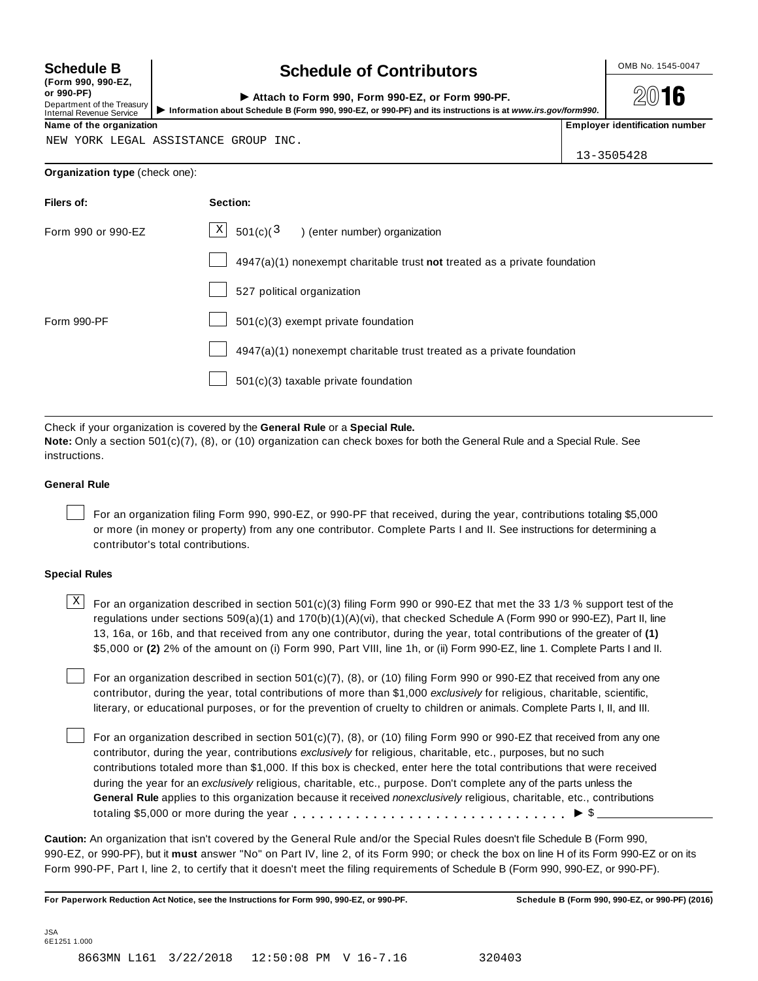**(Form 990, 990-EZ, or 990-PF)** Department of the Treasury<br>Internal Revenue Service

## **Schedule B**  $\leftarrow$  **Contributors**

**2016** 

| or 990-PF)<br>Department of the Treasury | Attach to Form 990. Form 990-EZ, or Form 990-PF.<br>Information about Schedule B (Form 990, 990-EZ, or 990-PF) and its instructions is at www.irs.gov/form990. |  | 2016                                  |
|------------------------------------------|----------------------------------------------------------------------------------------------------------------------------------------------------------------|--|---------------------------------------|
| Internal Revenue Service                 |                                                                                                                                                                |  |                                       |
| Name of the organization                 |                                                                                                                                                                |  | <b>Employer identification number</b> |

NEW YORK LEGAL ASSISTANCE GROUP INC.

13-3505428

| Filers of:         | Section:                                                                  |
|--------------------|---------------------------------------------------------------------------|
| Form 990 or 990-EZ | $\boxed{\text{X}}$ 501(c)(3) (enter number) organization                  |
|                    | 4947(a)(1) nonexempt charitable trust not treated as a private foundation |
|                    | 527 political organization                                                |
| Form 990-PF        | 501(c)(3) exempt private foundation                                       |
|                    | 4947(a)(1) nonexempt charitable trust treated as a private foundation     |
|                    | 501(c)(3) taxable private foundation                                      |
|                    |                                                                           |

Check if your organization is covered by the **General Rule** or a **Special Rule.**

**Note:** Only a section 501(c)(7), (8), or (10) organization can check boxes for both the General Rule and a Special Rule. See instructions.

#### **General Rule**

For an organization filing Form 990, 990-EZ, or 990-PF that received, during the year, contributions totaling \$5,000 or more (in money or property) from any one contributor. Complete Parts I and II. See instructions for determining a contributor's total contributions.

#### **Special Rules**

 $\text{X}$  For an organization described in section 501(c)(3) filing Form 990 or 990-EZ that met the 33 1/3 % support test of the regulations under sections 509(a)(1) and 170(b)(1)(A)(vi), that checked Schedule A (Form 990 or 990-EZ), Part II, line 13, 16a, or 16b, and that received from any one contributor, during the year, total contributions of the greater of **(1)** \$5,000 or **(2)** 2% of the amount on (i) Form 990, Part VIII, line 1h, or (ii) Form 990-EZ, line 1. Complete Parts I and II.

For an organization described in section 501(c)(7), (8), or (10) filing Form 990 or 990-EZ that received from any one contributor, during the year, total contributions of more than \$1,000 *exclusively* for religious, charitable, scientific, literary, or educational purposes, or for the prevention of cruelty to children or animals. Complete Parts I, II, and III.

For an organization described in section 501(c)(7), (8), or (10) filing Form 990 or 990-EZ that received from any one contributor, during the year, contributions *exclusively* for religious, charitable, etc., purposes, but no such contributions totaled more than \$1,000. If this box is checked, enter here the total contributions that were received during the year for an *exclusively* religious, charitable, etc., purpose. Don't complete any of the parts unless the **General Rule** applies to this organization because it received *nonexclusively* religious, charitable, etc., contributions totaling \$5,000 or more during the year m m m m m m m m m m m m m m m m m m m m m m m m m m m m m m m I \$

**Caution:** An organization that isn't covered by the General Rule and/or the Special Rules doesn't file Schedule B (Form 990, 990-EZ, or 990-PF), but it **must** answer "No" on Part IV, line 2, of its Form 990; or check the box on line H of its Form 990-EZ or on its Form 990-PF, Part I, line 2, to certify that it doesn't meet the filing requirements of Schedule B (Form 990, 990-EZ, or 990-PF).

For Paperwork Reduction Act Notice, see the Instructions for Form 990, 990-EZ, or 990-PF. Schedule B (Form 990, 990-EZ, or 990-PF) (2016)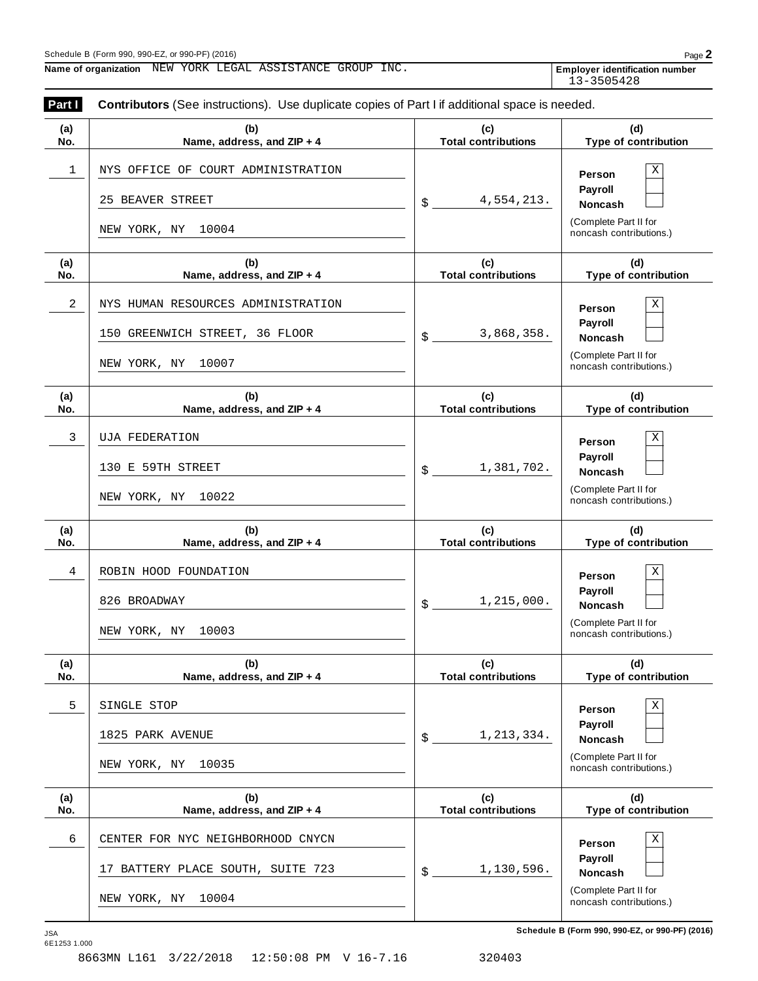**Name of organization Employer identification number** NEW YORK LEGAL ASSISTANCE GROUP INC.

Employer identification number<br>13-3505428

| Part I     | <b>Contributors</b> (See instructions). Use duplicate copies of Part I if additional space is needed. |                                   |                                                                    |
|------------|-------------------------------------------------------------------------------------------------------|-----------------------------------|--------------------------------------------------------------------|
| (a)<br>No. | (b)<br>Name, address, and ZIP + 4                                                                     | (c)<br><b>Total contributions</b> | (d)<br>Type of contribution                                        |
| 1          | NYS OFFICE OF COURT ADMINISTRATION<br>25 BEAVER STREET                                                | 4,554,213.<br>\$                  | Χ<br>Person<br>Payroll<br><b>Noncash</b>                           |
|            | NEW YORK, NY<br>10004                                                                                 |                                   | (Complete Part II for<br>noncash contributions.)                   |
| (a)<br>No. | (b)<br>Name, address, and ZIP + 4                                                                     | (c)<br><b>Total contributions</b> | (d)<br>Type of contribution                                        |
| 2          | NYS HUMAN RESOURCES ADMINISTRATION<br>150 GREENWICH STREET, 36 FLOOR                                  | 3,868,358.                        | Χ<br>Person<br>Payroll                                             |
|            | 10007<br>NEW YORK, NY                                                                                 | \$                                | <b>Noncash</b><br>(Complete Part II for<br>noncash contributions.) |
| (a)<br>No. | (b)<br>Name, address, and ZIP + 4                                                                     | (c)<br><b>Total contributions</b> | (d)<br>Type of contribution                                        |
| 3          | UJA FEDERATION                                                                                        |                                   | Χ<br>Person                                                        |
|            | 130 E 59TH STREET                                                                                     | 1,381,702.<br>\$                  | Payroll<br><b>Noncash</b>                                          |
|            | 10022<br>NEW YORK, NY                                                                                 |                                   | (Complete Part II for<br>noncash contributions.)                   |
| (a)<br>No. | (b)<br>Name, address, and ZIP + 4                                                                     | (c)<br><b>Total contributions</b> | (d)<br>Type of contribution                                        |
| 4          | ROBIN HOOD FOUNDATION                                                                                 |                                   | Χ<br>Person                                                        |
|            | 826 BROADWAY                                                                                          | 1,215,000.<br>\$                  | Payroll<br><b>Noncash</b>                                          |
|            | 10003<br>NEW YORK, NY                                                                                 |                                   | (Complete Part II for<br>noncash contributions.)                   |
| (a)<br>No. | (b)<br>Name, address, and ZIP + 4                                                                     | (c)<br><b>Total contributions</b> | (d)<br>Type of contribution                                        |
| 5          | SINGLE STOP                                                                                           |                                   | Χ<br>Person                                                        |
|            | 1825 PARK AVENUE                                                                                      | 1, 213, 334.<br>\$                | Payroll<br><b>Noncash</b>                                          |
|            | 10035<br>NEW YORK, NY                                                                                 |                                   | (Complete Part II for<br>noncash contributions.)                   |
| (a)<br>No. | (b)<br>Name, address, and ZIP + 4                                                                     | (c)<br><b>Total contributions</b> | (d)<br>Type of contribution                                        |
| 6          | CENTER FOR NYC NEIGHBORHOOD CNYCN                                                                     |                                   | Χ<br>Person                                                        |
|            | 17 BATTERY PLACE SOUTH, SUITE 723                                                                     | 1,130,596.<br>\$                  | Payroll<br>Noncash                                                 |
|            | 10004<br>NEW YORK, NY                                                                                 |                                   | (Complete Part II for<br>noncash contributions.)                   |

8663MN L161 3/22/2018 12:50:08 PM V 16-7.16 320403

 $S$ chedule B (Form 990, 990-EZ, or 990-PF) (2016)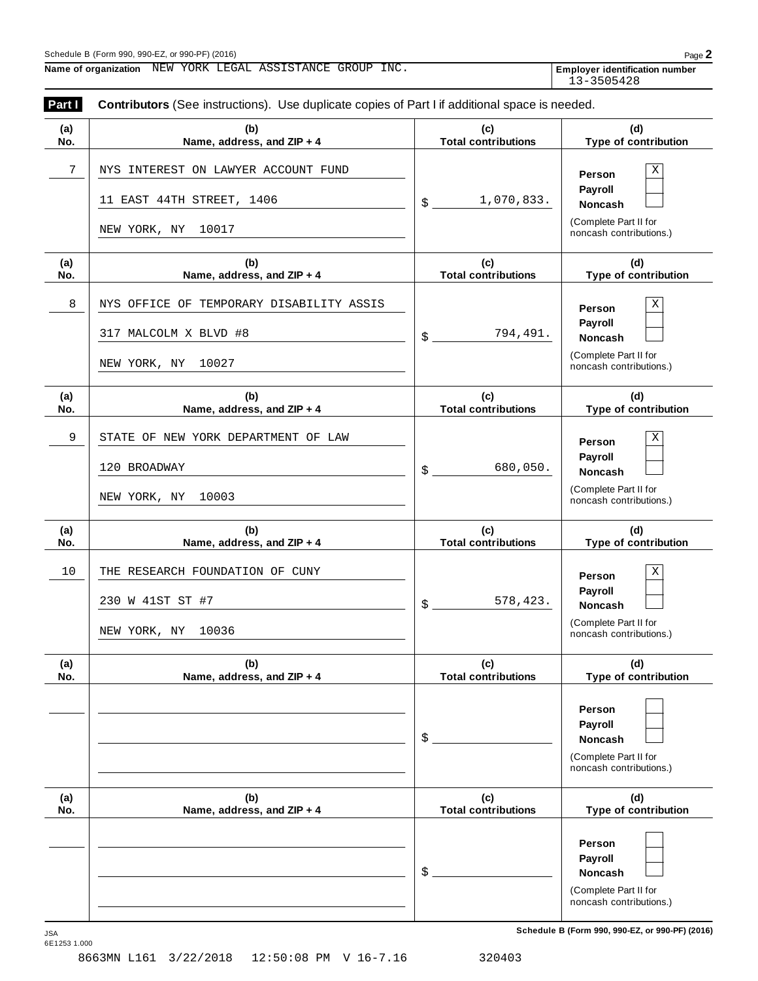**Name of organization Employer identification number** NEW YORK LEGAL ASSISTANCE GROUP INC.

Employer identification number<br>13-3505428

| (b)<br>Name, address, and ZIP + 4        | (c)<br><b>Total contributions</b> | (d)<br>Type of contribution                                                                    |
|------------------------------------------|-----------------------------------|------------------------------------------------------------------------------------------------|
| NYS INTEREST ON LAWYER ACCOUNT FUND      |                                   | Χ<br>Person<br>Payroll                                                                         |
| 11 EAST 44TH STREET, 1406                | 1,070,833.<br>\$                  | Noncash                                                                                        |
| NEW YORK, NY<br>10017                    |                                   | (Complete Part II for<br>noncash contributions.)                                               |
| (b)<br>Name, address, and ZIP + 4        | (c)<br><b>Total contributions</b> | (d)<br>Type of contribution                                                                    |
| NYS OFFICE OF TEMPORARY DISABILITY ASSIS |                                   | Χ<br>Person<br>Payroll                                                                         |
| 317 MALCOLM X BLVD #8                    | 794,491.<br>\$                    | Noncash                                                                                        |
| NEW YORK, NY<br>10027                    |                                   | (Complete Part II for<br>noncash contributions.)                                               |
| (b)<br>Name, address, and ZIP + 4        | (c)<br><b>Total contributions</b> | (d)<br>Type of contribution                                                                    |
| STATE OF NEW YORK DEPARTMENT OF LAW      |                                   | $\mathbf X$<br>Person                                                                          |
| 120 BROADWAY                             | 680,050.<br>\$                    | Payroll<br>Noncash                                                                             |
| 10003<br>NEW YORK, NY                    |                                   | (Complete Part II for<br>noncash contributions.)                                               |
| (b)<br>Name, address, and ZIP + 4        | (c)<br><b>Total contributions</b> | (d)<br>Type of contribution                                                                    |
| THE RESEARCH FOUNDATION OF CUNY          |                                   | $\mathbf X$<br>Person                                                                          |
| 230 W 41ST ST #7                         | 578,423.<br>\$                    | Payroll<br>Noncash                                                                             |
| 10036<br>NEW YORK, NY                    |                                   | (Complete Part II for<br>noncash contributions.)                                               |
| (b)<br>Name, address, and ZIP + 4        | (c)<br><b>Total contributions</b> | (d)<br>Type of contribution                                                                    |
|                                          |                                   |                                                                                                |
|                                          |                                   | Person<br>Payroll                                                                              |
|                                          | \$                                | <b>Noncash</b>                                                                                 |
|                                          |                                   | (Complete Part II for<br>noncash contributions.)                                               |
| (b)<br>Name, address, and ZIP + 4        | (c)<br><b>Total contributions</b> | (d)<br>Type of contribution                                                                    |
|                                          |                                   | Person                                                                                         |
|                                          | \$                                | Payroll<br>Noncash<br>(Complete Part II for                                                    |
|                                          |                                   | Contributors (See instructions). Use duplicate copies of Part I if additional space is needed. |

 $S$ chedule B (Form 990, 990-EZ, or 990-PF) (2016)

JSA<br>6E1253 1.000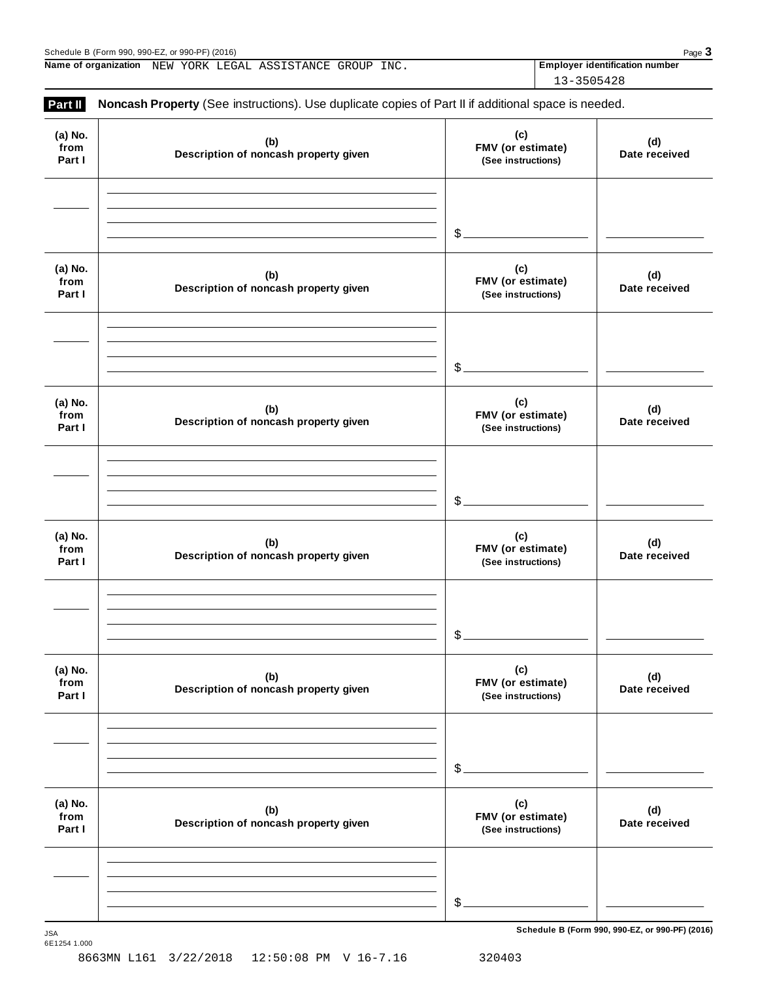Schedule B (Form 990, 990-EZ, or 990-PF) (2016)<br> **Name of organization** NEW YORK LEGAL ASSISTANCE GROUP INC. **Page 3 Page 3 Name of organization** NEW YORK LEGAL ASSISTANCE GROUP INC**. Employer** identification number

13-3505428

| Part II                   | Noncash Property (See instructions). Use duplicate copies of Part II if additional space is needed. |                                                |                      |
|---------------------------|-----------------------------------------------------------------------------------------------------|------------------------------------------------|----------------------|
| (a) No.<br>from<br>Part I | (b)<br>Description of noncash property given                                                        | (c)<br>FMV (or estimate)<br>(See instructions) | (d)<br>Date received |
|                           |                                                                                                     | $\mathcal{S}_{-}$                              |                      |
| (a) No.<br>from<br>Part I | (b)<br>Description of noncash property given                                                        | (c)<br>FMV (or estimate)<br>(See instructions) | (d)<br>Date received |
|                           |                                                                                                     | $\mathcal{S}_{-}$                              |                      |
| (a) No.<br>from<br>Part I | (b)<br>Description of noncash property given                                                        | (c)<br>FMV (or estimate)<br>(See instructions) | (d)<br>Date received |
|                           |                                                                                                     | $\mathcal{S}_{-}$                              |                      |
| (a) No.<br>from<br>Part I | (b)<br>Description of noncash property given                                                        | (c)<br>FMV (or estimate)<br>(See instructions) | (d)<br>Date received |
|                           |                                                                                                     | \$                                             |                      |
| (a) No.<br>from<br>Part I | (b)<br>Description of noncash property given                                                        | (c)<br>FMV (or estimate)<br>(See instructions) | (d)<br>Date received |
|                           |                                                                                                     | $\mathcal{S}_{-}$                              |                      |
| (a) No.<br>from<br>Part I | (b)<br>Description of noncash property given                                                        | (c)<br>FMV (or estimate)<br>(See instructions) | (d)<br>Date received |
|                           |                                                                                                     |                                                |                      |
|                           |                                                                                                     | $\mathcal{S}_{-}$                              |                      |

 $S$ chedule B (Form 990, 990-EZ, or 990-PF) (2016)

6E1254 1.000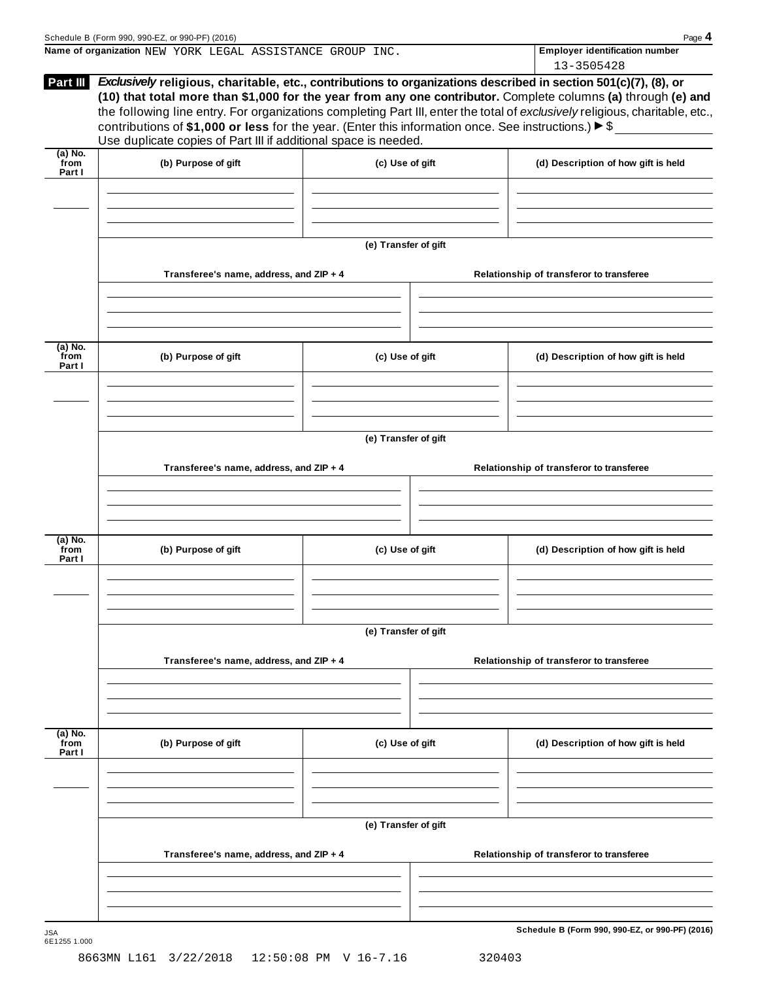|                           | Schedule B (Form 990, 990-EZ, or 990-PF) (2016)<br>Name of organization NEW YORK LEGAL ASSISTANCE GROUP INC.                                                                                                                                                                                                                                                                                                                                                                                                                                               |                      |                 | Page 4<br><b>Employer identification number</b> |
|---------------------------|------------------------------------------------------------------------------------------------------------------------------------------------------------------------------------------------------------------------------------------------------------------------------------------------------------------------------------------------------------------------------------------------------------------------------------------------------------------------------------------------------------------------------------------------------------|----------------------|-----------------|-------------------------------------------------|
|                           |                                                                                                                                                                                                                                                                                                                                                                                                                                                                                                                                                            |                      |                 | 13-3505428                                      |
| Part III                  | Exclusively religious, charitable, etc., contributions to organizations described in section 501(c)(7), (8), or<br>(10) that total more than \$1,000 for the year from any one contributor. Complete columns (a) through (e) and<br>the following line entry. For organizations completing Part III, enter the total of exclusively religious, charitable, etc.,<br>contributions of \$1,000 or less for the year. (Enter this information once. See instructions.) $\triangleright$ \$<br>Use duplicate copies of Part III if additional space is needed. |                      |                 |                                                 |
| (a) No.<br>from<br>Part I | (b) Purpose of gift                                                                                                                                                                                                                                                                                                                                                                                                                                                                                                                                        | (c) Use of gift      |                 | (d) Description of how gift is held             |
|                           |                                                                                                                                                                                                                                                                                                                                                                                                                                                                                                                                                            |                      |                 |                                                 |
|                           |                                                                                                                                                                                                                                                                                                                                                                                                                                                                                                                                                            | (e) Transfer of gift |                 |                                                 |
|                           | Transferee's name, address, and ZIP + 4                                                                                                                                                                                                                                                                                                                                                                                                                                                                                                                    |                      |                 | Relationship of transferor to transferee        |
|                           |                                                                                                                                                                                                                                                                                                                                                                                                                                                                                                                                                            |                      |                 |                                                 |
| (a) No.<br>from<br>Part I | (b) Purpose of gift                                                                                                                                                                                                                                                                                                                                                                                                                                                                                                                                        | (c) Use of gift      |                 | (d) Description of how gift is held             |
|                           |                                                                                                                                                                                                                                                                                                                                                                                                                                                                                                                                                            |                      |                 |                                                 |
|                           |                                                                                                                                                                                                                                                                                                                                                                                                                                                                                                                                                            | (e) Transfer of gift |                 |                                                 |
|                           | Transferee's name, address, and ZIP + 4                                                                                                                                                                                                                                                                                                                                                                                                                                                                                                                    |                      |                 | Relationship of transferor to transferee        |
|                           |                                                                                                                                                                                                                                                                                                                                                                                                                                                                                                                                                            |                      |                 |                                                 |
| (a) No.<br>from<br>Part I |                                                                                                                                                                                                                                                                                                                                                                                                                                                                                                                                                            |                      | (c) Use of gift | (d) Description of how gift is held             |

**(e) Transfer of gift**

**Transferee's name, address, and ZIP + 4 Relationship of transferor to transferee (a) No. from Part I (b) Purpose of gift (c) Use of gift (d) Description of how gift is held (e) Transfer of gift Transferee's name, address, and ZIP + 4 Relationship of transferor to transferee**

 $S$ chedule B (Form 990, 990-EZ, or 990-PF) (2016)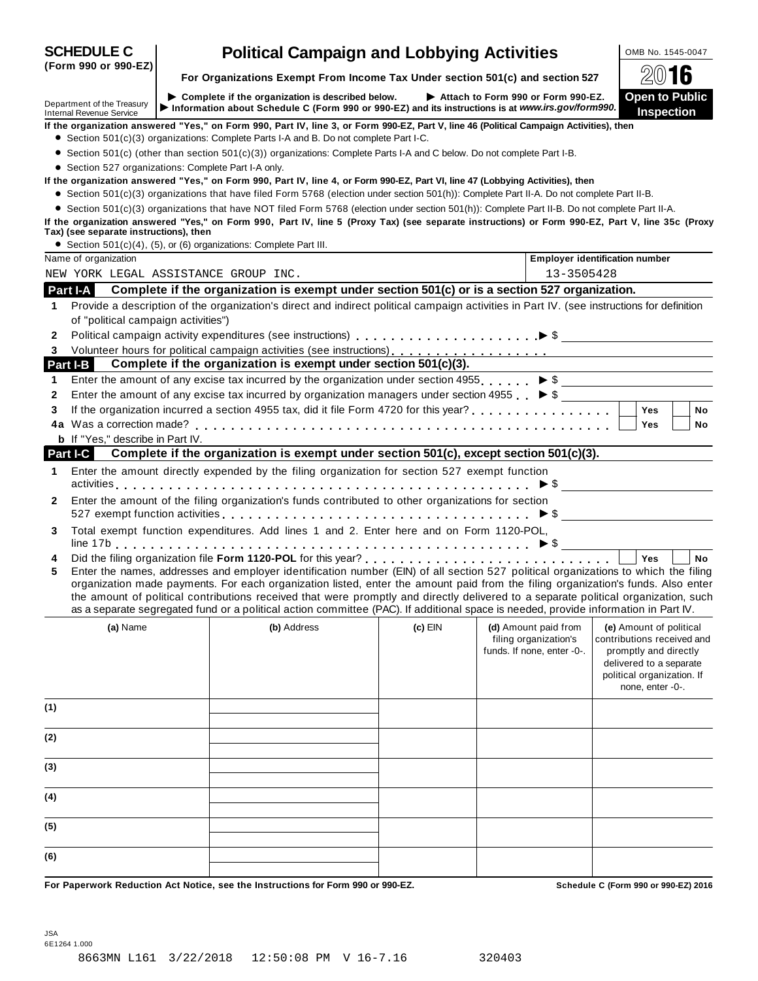| (Form 990 or 990-EZ)<br>For Organizations Exempt From Income Tax Under section 501(c) and section 527<br>$\triangleright$ Complete if the organization is described below.<br>Attach to Form 990 or Form 990-EZ.<br>Department of the Treasury<br>Information about Schedule C (Form 990 or 990-EZ) and its instructions is at www.irs.gov/form990.                                                                                                                                                                                                            |                                                     | 2016                                                                                                                             |
|----------------------------------------------------------------------------------------------------------------------------------------------------------------------------------------------------------------------------------------------------------------------------------------------------------------------------------------------------------------------------------------------------------------------------------------------------------------------------------------------------------------------------------------------------------------|-----------------------------------------------------|----------------------------------------------------------------------------------------------------------------------------------|
|                                                                                                                                                                                                                                                                                                                                                                                                                                                                                                                                                                |                                                     |                                                                                                                                  |
| <b>Internal Revenue Service</b>                                                                                                                                                                                                                                                                                                                                                                                                                                                                                                                                |                                                     | <b>Open to Public</b><br>Inspection                                                                                              |
| If the organization answered "Yes," on Form 990, Part IV, line 3, or Form 990-EZ, Part V, line 46 (Political Campaign Activities), then<br>• Section 501(c)(3) organizations: Complete Parts I-A and B. Do not complete Part I-C.                                                                                                                                                                                                                                                                                                                              |                                                     |                                                                                                                                  |
| • Section 501(c) (other than section 501(c)(3)) organizations: Complete Parts I-A and C below. Do not complete Part I-B.                                                                                                                                                                                                                                                                                                                                                                                                                                       |                                                     |                                                                                                                                  |
| • Section 527 organizations: Complete Part I-A only.                                                                                                                                                                                                                                                                                                                                                                                                                                                                                                           |                                                     |                                                                                                                                  |
| If the organization answered "Yes," on Form 990, Part IV, line 4, or Form 990-EZ, Part VI, line 47 (Lobbying Activities), then                                                                                                                                                                                                                                                                                                                                                                                                                                 |                                                     |                                                                                                                                  |
| • Section 501(c)(3) organizations that have filed Form 5768 (election under section 501(h)): Complete Part II-A. Do not complete Part II-B.                                                                                                                                                                                                                                                                                                                                                                                                                    |                                                     |                                                                                                                                  |
| • Section 501(c)(3) organizations that have NOT filed Form 5768 (election under section 501(h)): Complete Part II-B. Do not complete Part II-A.<br>If the organization answered "Yes," on Form 990, Part IV, line 5 (Proxy Tax) (see separate instructions) or Form 990-EZ, Part V, line 35c (Proxy                                                                                                                                                                                                                                                            |                                                     |                                                                                                                                  |
| Tax) (see separate instructions), then<br>• Section 501(c)(4), (5), or (6) organizations: Complete Part III.                                                                                                                                                                                                                                                                                                                                                                                                                                                   |                                                     |                                                                                                                                  |
| Name of organization                                                                                                                                                                                                                                                                                                                                                                                                                                                                                                                                           | <b>Employer identification number</b>               |                                                                                                                                  |
| NEW YORK LEGAL ASSISTANCE GROUP INC.                                                                                                                                                                                                                                                                                                                                                                                                                                                                                                                           | 13-3505428                                          |                                                                                                                                  |
| Complete if the organization is exempt under section 501(c) or is a section 527 organization.<br>Part I-A                                                                                                                                                                                                                                                                                                                                                                                                                                                      |                                                     |                                                                                                                                  |
| Provide a description of the organization's direct and indirect political campaign activities in Part IV. (see instructions for definition<br>1                                                                                                                                                                                                                                                                                                                                                                                                                |                                                     |                                                                                                                                  |
| of "political campaign activities")                                                                                                                                                                                                                                                                                                                                                                                                                                                                                                                            |                                                     |                                                                                                                                  |
| 2                                                                                                                                                                                                                                                                                                                                                                                                                                                                                                                                                              |                                                     |                                                                                                                                  |
| Volunteer hours for political campaign activities (see instructions)<br>and the set of the set of the set of the set of the set of the set of the set of the set of the set of the set of the set of the set of the set of the s<br>3                                                                                                                                                                                                                                                                                                                          |                                                     |                                                                                                                                  |
| Complete if the organization is exempt under section 501(c)(3).<br>Part I-B                                                                                                                                                                                                                                                                                                                                                                                                                                                                                    |                                                     |                                                                                                                                  |
| Enter the amount of any excise tax incurred by the organization under section 4955. $\triangleright$ \$<br>1                                                                                                                                                                                                                                                                                                                                                                                                                                                   |                                                     |                                                                                                                                  |
| Enter the amount of any excise tax incurred by organization managers under section 4955 $\triangleright$ \$<br>2                                                                                                                                                                                                                                                                                                                                                                                                                                               |                                                     |                                                                                                                                  |
| 3                                                                                                                                                                                                                                                                                                                                                                                                                                                                                                                                                              |                                                     | <b>Yes</b><br><b>No</b>                                                                                                          |
|                                                                                                                                                                                                                                                                                                                                                                                                                                                                                                                                                                |                                                     | Yes<br>No                                                                                                                        |
| <b>b</b> If "Yes," describe in Part IV.                                                                                                                                                                                                                                                                                                                                                                                                                                                                                                                        |                                                     |                                                                                                                                  |
| Complete if the organization is exempt under section 501(c), except section 501(c)(3).<br>Part I-C                                                                                                                                                                                                                                                                                                                                                                                                                                                             |                                                     |                                                                                                                                  |
| Enter the amount directly expended by the filing organization for section 527 exempt function<br>1                                                                                                                                                                                                                                                                                                                                                                                                                                                             |                                                     | $\triangleright$ \$                                                                                                              |
| Enter the amount of the filing organization's funds contributed to other organizations for section<br>2                                                                                                                                                                                                                                                                                                                                                                                                                                                        |                                                     |                                                                                                                                  |
| Total exempt function expenditures. Add lines 1 and 2. Enter here and on Form 1120-POL,<br>3                                                                                                                                                                                                                                                                                                                                                                                                                                                                   |                                                     |                                                                                                                                  |
| 4<br>Enter the names, addresses and employer identification number (EIN) of all section 527 political organizations to which the filing<br>5<br>organization made payments. For each organization listed, enter the amount paid from the filing organization's funds. Also enter<br>the amount of political contributions received that were promptly and directly delivered to a separate political organization, such<br>as a separate segregated fund or a political action committee (PAC). If additional space is needed, provide information in Part IV. |                                                     | Yes<br><b>No</b>                                                                                                                 |
| (b) Address<br>(c) EIN<br>(a) Name                                                                                                                                                                                                                                                                                                                                                                                                                                                                                                                             | (d) Amount paid from                                | (e) Amount of political                                                                                                          |
|                                                                                                                                                                                                                                                                                                                                                                                                                                                                                                                                                                | filing organization's<br>funds. If none, enter -0-. | contributions received and<br>promptly and directly<br>delivered to a separate<br>political organization. If<br>none, enter -0-. |
| (1)                                                                                                                                                                                                                                                                                                                                                                                                                                                                                                                                                            |                                                     |                                                                                                                                  |
| (2)                                                                                                                                                                                                                                                                                                                                                                                                                                                                                                                                                            |                                                     |                                                                                                                                  |
| (3)                                                                                                                                                                                                                                                                                                                                                                                                                                                                                                                                                            |                                                     |                                                                                                                                  |
| (4)                                                                                                                                                                                                                                                                                                                                                                                                                                                                                                                                                            |                                                     |                                                                                                                                  |
| (5)                                                                                                                                                                                                                                                                                                                                                                                                                                                                                                                                                            |                                                     |                                                                                                                                  |
| (6)<br>rk Poduction, Act Notice, can the Instructions for Form 000 or 000 F7                                                                                                                                                                                                                                                                                                                                                                                                                                                                                   |                                                     |                                                                                                                                  |

For Paperwork Reduction Act Notice, see the Instructions for Form 990 or 990-EZ. Schedule C (Form 990 or 990-EZ) 2016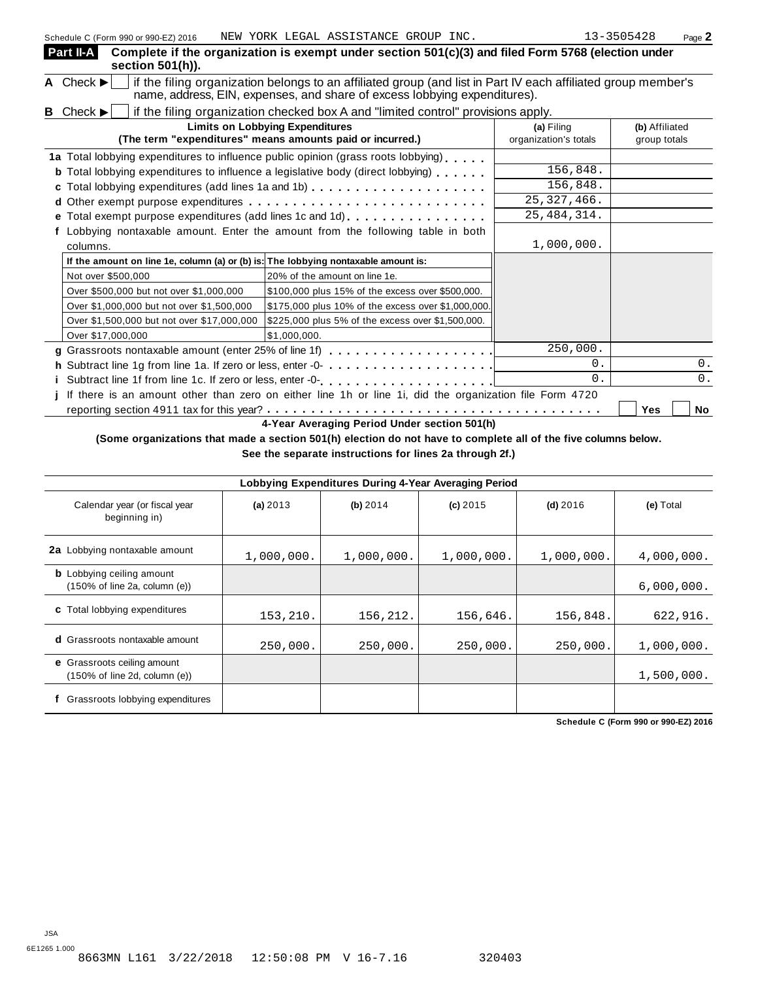| Ochedule O (I Onli 990 OF 990-LZ) ZUTU<br>Part II-A<br>section 501(h)).            | Complete if the organization is exempt under section 501(c)(3) and filed Form 5768 (election under                                                                                         |                                     | ı ay∈ ≞                        |
|------------------------------------------------------------------------------------|--------------------------------------------------------------------------------------------------------------------------------------------------------------------------------------------|-------------------------------------|--------------------------------|
| A Check $\blacktriangleright$                                                      | if the filing organization belongs to an affiliated group (and list in Part IV each affiliated group member's<br>name, address, EIN, expenses, and share of excess lobbying expenditures). |                                     |                                |
| <b>B</b> Check $\blacktriangleright$                                               | if the filing organization checked box A and "limited control" provisions apply.                                                                                                           |                                     |                                |
|                                                                                    | <b>Limits on Lobbying Expenditures</b><br>(The term "expenditures" means amounts paid or incurred.)                                                                                        | (a) Filing<br>organization's totals | (b) Affiliated<br>group totals |
|                                                                                    | 1a Total lobbying expenditures to influence public opinion (grass roots lobbying)                                                                                                          |                                     |                                |
|                                                                                    | <b>b</b> Total lobbying expenditures to influence a legislative body (direct lobbying)                                                                                                     | 156,848.                            |                                |
|                                                                                    |                                                                                                                                                                                            | 156,848.                            |                                |
|                                                                                    |                                                                                                                                                                                            | 25, 327, 466.                       |                                |
|                                                                                    |                                                                                                                                                                                            | 25, 484, 314.                       |                                |
|                                                                                    | Lobbying nontaxable amount. Enter the amount from the following table in both                                                                                                              |                                     |                                |
| columns.                                                                           |                                                                                                                                                                                            | 1,000,000.                          |                                |
| If the amount on line 1e, column (a) or (b) is: The lobbying nontaxable amount is: |                                                                                                                                                                                            |                                     |                                |
| Not over \$500,000                                                                 | 20% of the amount on line 1e.                                                                                                                                                              |                                     |                                |
| Over \$500,000 but not over \$1,000,000                                            | \$100,000 plus 15% of the excess over \$500,000.                                                                                                                                           |                                     |                                |
| Over \$1,000,000 but not over \$1,500,000                                          | \$175,000 plus 10% of the excess over \$1,000,000.                                                                                                                                         |                                     |                                |
| Over \$1,500,000 but not over \$17,000,000                                         | \$225,000 plus 5% of the excess over \$1,500,000.                                                                                                                                          |                                     |                                |
| Over \$17,000,000                                                                  | \$1.000.000.                                                                                                                                                                               |                                     |                                |
|                                                                                    | 250,000.                                                                                                                                                                                   |                                     |                                |
|                                                                                    | h Subtract line 1g from line 1a. If zero or less, enter -0-                                                                                                                                | 0.                                  | 0.                             |
|                                                                                    |                                                                                                                                                                                            | 0.                                  | 0.                             |
|                                                                                    | If there is an amount other than zero on either line 1h or line 1i, did the organization file Form 4720                                                                                    |                                     |                                |
|                                                                                    |                                                                                                                                                                                            |                                     | Yes<br>No                      |

**4-Year Averaging Period Under section 501(h)**

(Some organizations that made a section 501(h) election do not have to complete all of the five columns below.

**See the separate instructions for lines 2a through 2f.)**

| Lobbying Expenditures During 4-Year Averaging Period                                   |            |            |            |            |            |  |  |
|----------------------------------------------------------------------------------------|------------|------------|------------|------------|------------|--|--|
| Calendar year (or fiscal year<br>beginning in)                                         | (a) 2013   | (b) 2014   | $(c)$ 2015 | $(d)$ 2016 | (e) Total  |  |  |
| 2a Lobbying nontaxable amount                                                          | 1,000,000. | 1,000,000. | 1,000,000. | 1,000,000. | 4,000,000. |  |  |
| <b>b</b> Lobbying ceiling amount<br>$(150\% \text{ of line } 2a, \text{ column } (e))$ |            |            |            |            | 6,000,000. |  |  |
| c Total lobbying expenditures                                                          | 153,210.   | 156,212.   | 156,646.   | 156,848.   | 622,916.   |  |  |
| <b>d</b> Grassroots nontaxable amount                                                  | 250,000.   | 250,000.   | 250,000.   | 250,000.   | 1,000,000. |  |  |
| e Grassroots ceiling amount<br>(150% of line 2d, column (e))                           |            |            |            |            | 1,500,000. |  |  |
| Grassroots lobbying expenditures                                                       |            |            |            |            |            |  |  |

**Schedule C (Form 990 or 990-EZ) 2016**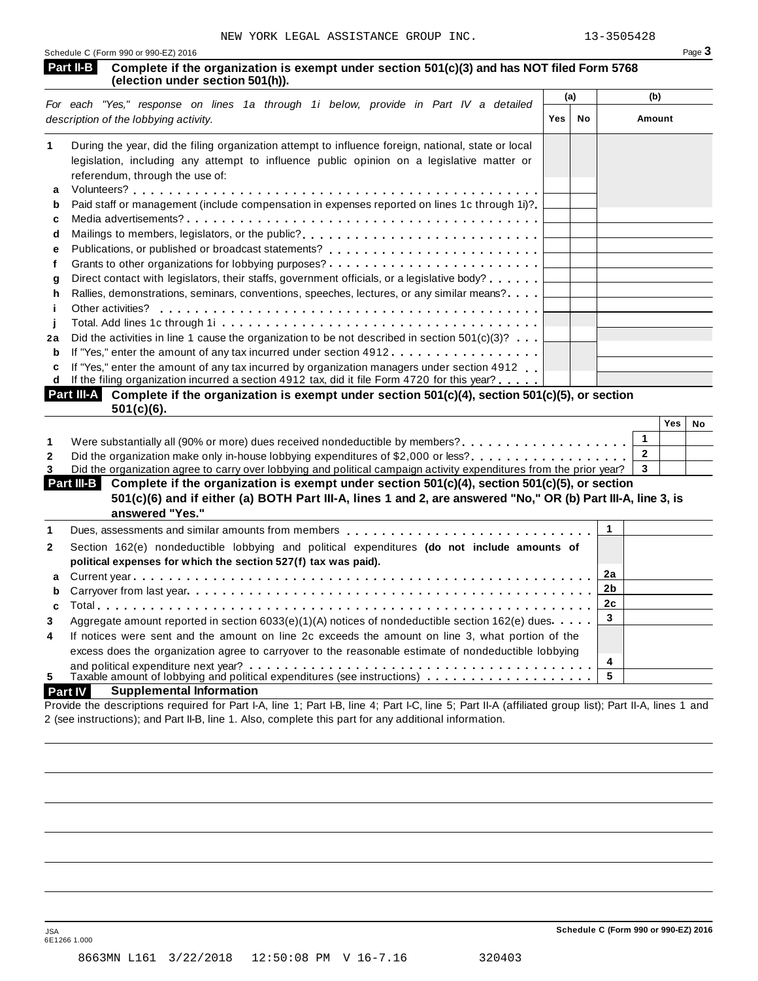| Schedule C (Form 990 or 990-EZ) 2016 | $P$ aqe $\bullet$ |
|--------------------------------------|-------------------|
|                                      |                   |

| <b>Part II-B</b> I | Complete if the organization is exempt under section 501(c)(3) and has NOT filed Form 5768 |  |
|--------------------|--------------------------------------------------------------------------------------------|--|
|                    | (election under section 501(h)).                                                           |  |

|    | For each "Yes," response on lines 1a through 1i below, provide in Part IV a detailed                                                                                                                                                                                                                                           | (a)        |    | (b)    |
|----|--------------------------------------------------------------------------------------------------------------------------------------------------------------------------------------------------------------------------------------------------------------------------------------------------------------------------------|------------|----|--------|
|    | description of the lobbying activity.                                                                                                                                                                                                                                                                                          | <b>Yes</b> | No | Amount |
| 1  | During the year, did the filing organization attempt to influence foreign, national, state or local                                                                                                                                                                                                                            |            |    |        |
|    | legislation, including any attempt to influence public opinion on a legislative matter or                                                                                                                                                                                                                                      |            |    |        |
|    | referendum, through the use of:                                                                                                                                                                                                                                                                                                |            |    |        |
| a  |                                                                                                                                                                                                                                                                                                                                |            |    |        |
| b  | Paid staff or management (include compensation in expenses reported on lines 1c through 1i)?                                                                                                                                                                                                                                   |            |    |        |
|    |                                                                                                                                                                                                                                                                                                                                |            |    |        |
| d  |                                                                                                                                                                                                                                                                                                                                |            |    |        |
| е  |                                                                                                                                                                                                                                                                                                                                |            |    |        |
|    | Grants to other organizations for lobbying purposes?                                                                                                                                                                                                                                                                           |            |    |        |
| a  | Direct contact with legislators, their staffs, government officials, or a legislative body?                                                                                                                                                                                                                                    |            |    |        |
| h. | Rallies, demonstrations, seminars, conventions, speeches, lectures, or any similar means?                                                                                                                                                                                                                                      |            |    |        |
|    | Other activities?                                                                                                                                                                                                                                                                                                              |            |    |        |
|    |                                                                                                                                                                                                                                                                                                                                |            |    |        |
| 2a | Did the activities in line 1 cause the organization to be not described in section $501(c)(3)$ ?                                                                                                                                                                                                                               |            |    |        |
| b  | If "Yes," enter the amount of any tax incurred under section 4912.                                                                                                                                                                                                                                                             |            |    |        |
| c  | If "Yes," enter the amount of any tax incurred by organization managers under section 4912                                                                                                                                                                                                                                     |            |    |        |
|    | If the filing organization incurred a section 4912 tax, did it file Form 4720 for this year?<br>the common contract of the common contract of the common contract of the common contract of the common contract of the common common common common common common common common common common common common common common commo |            |    |        |

| <b>Part III-A</b> Complete if the organization is exempt under section $501(c)(4)$ , section $501(c)(5)$ , or section |  |
|-----------------------------------------------------------------------------------------------------------------------|--|
| $501(c)(6)$ .                                                                                                         |  |

|                                                                                                                               | Yes | No |
|-------------------------------------------------------------------------------------------------------------------------------|-----|----|
| Were substantially all (90% or more) dues received nondeductible by members?<br>                                              |     |    |
| Did the organization make only in-house lobbying expenditures of \$2,000 or less?                                             |     |    |
| Did the organization agree to carry over lobbying and political campaign activity expenditures from the prior year? $\vert$ 3 |     |    |

| <b>Part III-B</b> Complete if the organization is exempt under section $501(c)(4)$ , section $501(c)(5)$ , or section |
|-----------------------------------------------------------------------------------------------------------------------|
| 501(c)(6) and if either (a) BOTH Part III-A, lines 1 and 2, are answered "No," OR (b) Part III-A, line 3, is          |
| answered "Yes."                                                                                                       |

|                | answered res.                                                                                                                          |    |  |
|----------------|----------------------------------------------------------------------------------------------------------------------------------------|----|--|
| 1              | Dues, assessments and similar amounts from members entitled values of the series of the series of the Dues, as                         |    |  |
| $\overline{2}$ | Section 162(e) nondeductible lobbying and political expenditures (do not include amounts of                                            |    |  |
|                | political expenses for which the section 527(f) tax was paid).                                                                         |    |  |
|                |                                                                                                                                        |    |  |
|                |                                                                                                                                        |    |  |
|                |                                                                                                                                        | 2c |  |
| 3              | Aggregate amount reported in section 6033(e)(1)(A) notices of nondeductible section 162(e) dues.                                       | -3 |  |
| $\overline{4}$ | If notices were sent and the amount on line 2c exceeds the amount on line 3, what portion of the                                       |    |  |
|                | excess does the organization agree to carryover to the reasonable estimate of nondeductible lobbying                                   |    |  |
|                | and political expenditure next year? $\dots \dots \dots \dots \dots \dots \dots \dots \dots \dots \dots \dots \dots \dots \dots \dots$ | 4  |  |
| 5              | Taxable amount of lobbying and political expenditures (see instructions) $\ldots \ldots \ldots \ldots \ldots$                          | 5  |  |

## **Part IV Supplemental Information**

Provide the descriptions required for Part I-A, line 1; Part I-B, line 4; Part I-C, line 5; Part II-A (affiliated group list); Part II-A, lines 1 and 2 (see instructions); and Part II-B, line 1. Also, complete this part for any additional information.

JSA **Schedule C (Form 990 or 990-EZ) 2016**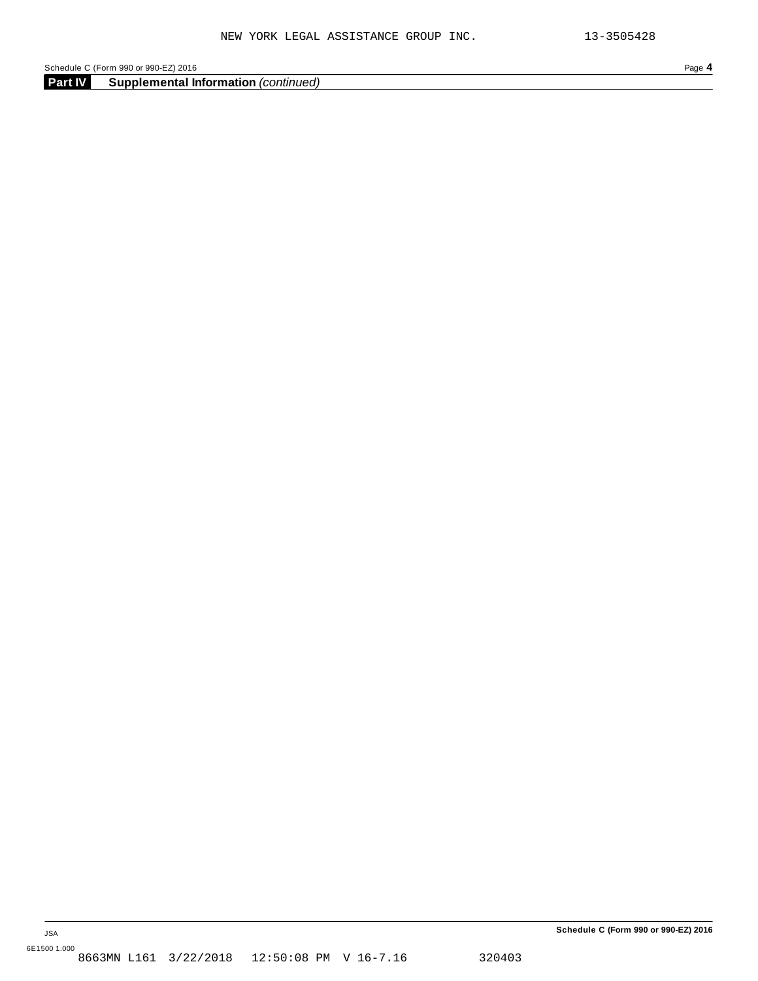**Part IV Supplemental Information** *(continued)*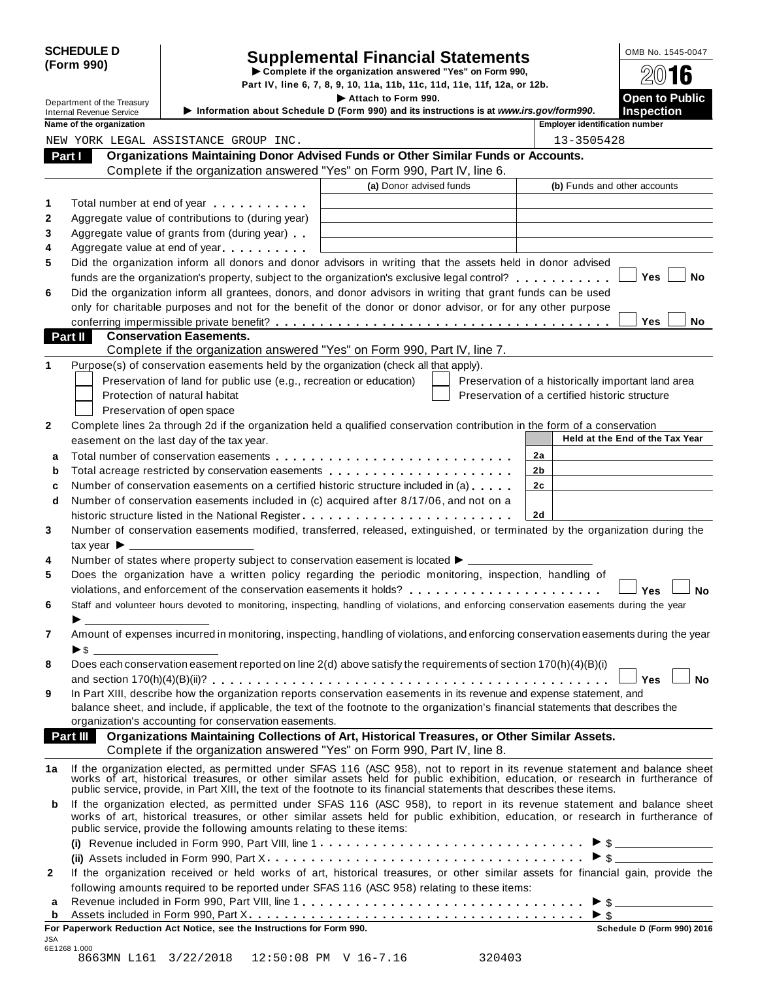|            | <b>SCHEDULE D</b> |
|------------|-------------------|
| (Form 990) |                   |

# Supplemental Financial Statements<br>  $\triangleright$  Complete if the organization answered "Yes" on Form 990,<br>
Part IV, line 6, 7, 8, 9, 10, 11a, 11b, 11c, 11d, 11e, 11f, 12a, or 12b.

Department of the Treasury **I Attach is the Treasury** I **Attach to Form** 990.<br> **Department of the Treasury** Information about Schoolule D. (Form 990) and its instructions is at unusuits gov/form990. Internal Revenue Service I**Information about Schedule <sup>D</sup> (Form 990) and its instructions is at** *www.irs.gov/form990***. Inspection Name of the organization intervalse the control of the control of the control of the control of the organization number Organizations Maintaining Donor Advised Funds or Other Similar Funds or Accounts. Part I** Crganizations Maintaining Donor Advised Funds or Other Similar Funds<br>Complete if the organization answered "Yes" on Form 990, Part IV, line 6. **(a)** Donor advised funds **(b)** Funds and other accounts **1 2 3 4 5 6** Total number at end of year  $\dots\dots\dots\dots$ Aggregate value of contributions to (during year) Aggregate value of contributions to (during year)<br>Aggregate value of grants from (during year) Aggregate value of grants from (during year)<br>Aggregate value at end of year Did the organization inform all donors and donor advisors in writing that the assets held in donor advised funds are the organization's property, subject to the organization's exclusive legal control? m m m m m m m m m m m **Yes No** Did the organization inform all grantees, donors, and donor advisors in writing that grant funds can be used only for charitable purposes and not for the benefit of the donor or donor advisor, or for any other purpose **conferring impermissible private benefit?** metals are metals and more matured more metals of  $\blacksquare$  **Yes**  $\blacksquare$  **No Conservation Easements. Part II** Conservation Easements.<br>Complete if the organization answered "Yes" on Form 990, Part IV, line 7. **1** Purpose(s) of conservation easements held by the organization (check all that apply). Preservation of land for public use (e.g., recreation or education) Protection of natural habitat Preservation of open space Preservation of a historically important land area Preservation of a certified historic structure **2** Complete lines 2a through 2d if the organization held a qualified conservation contribution in the form of a conservation easement on the last day of the tax year. **Held at the End** of the Tax Year **2a 2b 2c 2d** easement on the last day of the tax year.<br>**a** Total number of conservation easements **...........................**. **a** Total number of conservation easements ............................<br>**b** Total acreage restricted by conservation easements ..................... **b** Total acreage restricted by conservation easements<br>**c** Number of conservation easements on a certified historic structure included in (a) . . . . . . **d** Number of conservation easements included in (c) acquired after 8/17/06, and not on a  $\mid$ historic structure listed in the National Register m m m m m m m m m m m m m m m m m m m m m m m m **3 4 5 6 7 8 9** Number of conservation easements modified, transferred, released, extinguished, or terminated by the organization during the tax vear  $\blacktriangleright$ Number of states where property subject to conservation easement is located  $\blacktriangleright$ . Does the organization have a written policy regarding the periodic monitoring, inspection, handling of violations, and enforcement of the conservation easements it holds? musical manager mann m m m m **y** es  $\Box$  No Staff and volunteer hours devoted to monitoring, inspecting, handling of violations, and enforcing conservation easements during the year <br>
> Amount of expenses incurred in monitoring, inspecting, handling of violations, and enforcing conservation easements during the year  $\blacktriangleright$  s Does each conservation easement reported on line 2(d) above satisfy the requirements of section 170(h)(4)(B)(i) and section 170(h)(4)(B)(ii)? m m m m m m m m m m m m m m m m m m m m m m m m m m m m m m m m m m m m m m m m m m m m m **Yes No** In Part XIII, describe how the organization reports conservation easements in its revenue and expense statement, and balance sheet, and include, if applicable, the text of the footnote to the organization's financial statements that describes the organization's accounting for conservation easements. **Organizations Maintaining Collections of Art, Historical Treasures, or Other Similar Assets. Part III Organizations Maintaining Collections of Art, Historical Treasures, or Organization answered "Yes" on Form 990, Part IV, line 8.** 1a If the organization elected, as permitted under SFAS 116 (ASC 958), not to report in its revenue statement and balance sheet<br>works of art, historical treasures, or other similar assets held for public exhibition, educat public service, provide, in Part XIII, the text of the footnote to its financial statements that describes these items. **b** If the organization elected, as permitted under SFAS 116 (ASC 958), to report in its revenue statement and balance sheet works of art, historical treasures, or other similar assets held for public exhibition, education, or research in furtherance of public service, provide the following amounts relating to these items: **(i)** I Revenue included in Form 990, Part VIII, line 1 m m m m m m m m m m m m m m m m m m m m m m m m m m m m m m \$ **(ii)** Assets included in Form 990, Part X m m m m m m m m m m m m m m m m m m m m m m m m m m m m m m m m m m m m I \$ **2** If the organization received or held works of art, historical treasures, or other similar assets for financial gain, provide the following amounts required to be reported under SFAS 116 (ASC 958) relating to these items: following amounts required to be reported under SFAS 116 (ASC 958) relating to these items:<br>**a** Revenue included in Form 990, Part VIII, line 1 **a** a more continuantly be a matter included in Form 000, Dart Y **a** Revenue included in Form 990, Part VIII, line 1  $\ldots$   $\ldots$   $\ldots$   $\ldots$   $\ldots$   $\ldots$   $\ldots$   $\ldots$   $\ldots$   $\ldots$   $\ldots$   $\ldots$   $\ldots$   $\ldots$   $\ldots$   $\ldots$   $\ldots$   $\ldots$   $\ldots$   $\ldots$   $\ldots$   $\ldots$   $\ldots$   $\ldots$   $\ldots$   $\ldots$   $\ldots$   $\ldots$  **For Paperwork Reduction Act Notice, see the Instructions for Form 990. Schedule D (Form 990) 2016** NEW YORK LEGAL ASSISTANCE GROUP INC. 13-3505428

JSA 6E1268 1.000<br>8663MN L161 3/22/2018 12:50:08 PM V 16-7.16 320403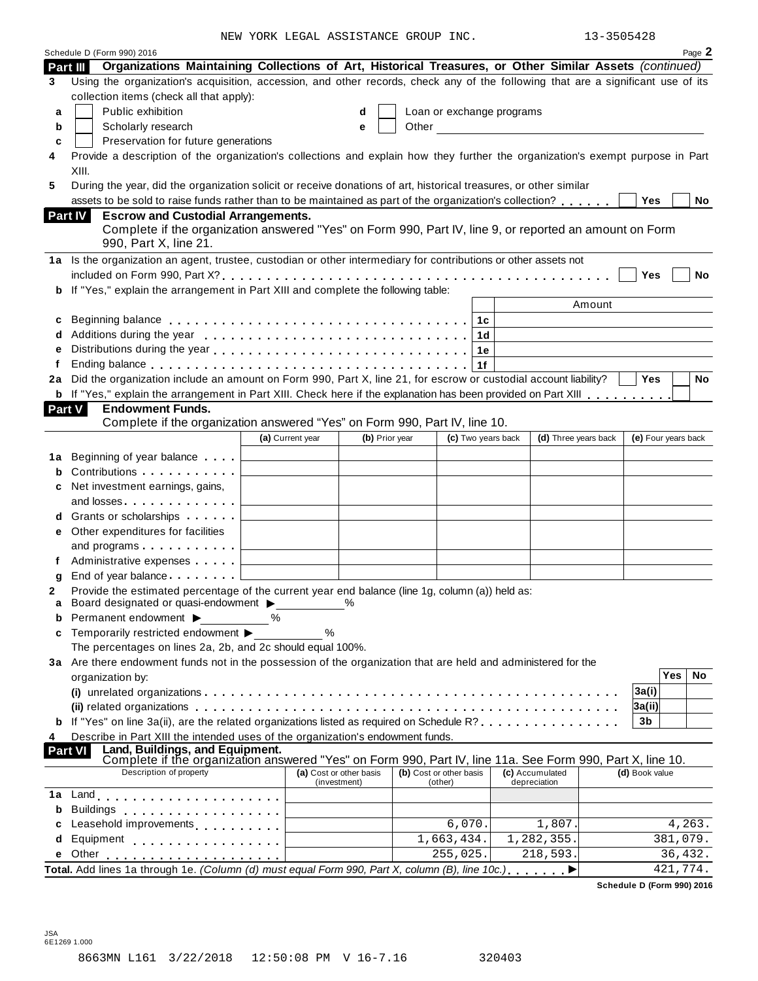NEW YORK LEGAL ASSISTANCE GROUP INC. 13-3505428

| 13–3505428 |  |
|------------|--|
|            |  |

|          | NEW IORR DEGAL ASSISIANCE GROUP INC.<br>Schedule D (Form 990) 2016                                                                                                          |                         |                |  |                           |          |                      | ⊥ גדנ∪ככ−כ |                     | Page 2                     |
|----------|-----------------------------------------------------------------------------------------------------------------------------------------------------------------------------|-------------------------|----------------|--|---------------------------|----------|----------------------|------------|---------------------|----------------------------|
| Part III | Organizations Maintaining Collections of Art, Historical Treasures, or Other Similar Assets (continued)                                                                     |                         |                |  |                           |          |                      |            |                     |                            |
| 3        | Using the organization's acquisition, accession, and other records, check any of the following that are a significant use of its                                            |                         |                |  |                           |          |                      |            |                     |                            |
|          | collection items (check all that apply):                                                                                                                                    |                         |                |  |                           |          |                      |            |                     |                            |
| a        | Public exhibition                                                                                                                                                           |                         | d              |  | Loan or exchange programs |          |                      |            |                     |                            |
| b        | Scholarly research                                                                                                                                                          |                         | е              |  |                           |          |                      |            |                     |                            |
| C        | Preservation for future generations                                                                                                                                         |                         |                |  |                           |          |                      |            |                     |                            |
| 4        | Provide a description of the organization's collections and explain how they further the organization's exempt purpose in Part                                              |                         |                |  |                           |          |                      |            |                     |                            |
|          | XIII.                                                                                                                                                                       |                         |                |  |                           |          |                      |            |                     |                            |
| 5        | During the year, did the organization solicit or receive donations of art, historical treasures, or other similar                                                           |                         |                |  |                           |          |                      |            |                     |                            |
|          | assets to be sold to raise funds rather than to be maintained as part of the organization's collection?                                                                     |                         |                |  |                           |          |                      |            | <b>Yes</b>          | No                         |
|          | Part IV<br><b>Escrow and Custodial Arrangements.</b>                                                                                                                        |                         |                |  |                           |          |                      |            |                     |                            |
|          | Complete if the organization answered "Yes" on Form 990, Part IV, line 9, or reported an amount on Form                                                                     |                         |                |  |                           |          |                      |            |                     |                            |
|          | 990, Part X, line 21.                                                                                                                                                       |                         |                |  |                           |          |                      |            |                     |                            |
|          | 1a Is the organization an agent, trustee, custodian or other intermediary for contributions or other assets not                                                             |                         |                |  |                           |          |                      |            |                     |                            |
|          |                                                                                                                                                                             |                         |                |  |                           |          |                      |            | Yes                 | <b>No</b>                  |
|          | If "Yes," explain the arrangement in Part XIII and complete the following table:                                                                                            |                         |                |  |                           |          |                      | Amount     |                     |                            |
|          |                                                                                                                                                                             |                         |                |  |                           |          |                      |            |                     |                            |
| c<br>d   |                                                                                                                                                                             |                         |                |  |                           | 1с<br>1d |                      |            |                     |                            |
| e        |                                                                                                                                                                             |                         |                |  |                           | 1e       |                      |            |                     |                            |
| f        |                                                                                                                                                                             |                         |                |  |                           | 1f       |                      |            |                     |                            |
| 2a       | Did the organization include an amount on Form 990, Part X, line 21, for escrow or custodial account liability?                                                             |                         |                |  |                           |          |                      |            | Yes                 | <b>No</b>                  |
| b        | If "Yes," explain the arrangement in Part XIII. Check here if the explanation has been provided on Part XIII                                                                |                         |                |  |                           |          |                      |            |                     |                            |
|          | Part V<br><b>Endowment Funds.</b>                                                                                                                                           |                         |                |  |                           |          |                      |            |                     |                            |
|          | Complete if the organization answered "Yes" on Form 990, Part IV, line 10.                                                                                                  |                         |                |  |                           |          |                      |            |                     |                            |
|          |                                                                                                                                                                             | (a) Current year        | (b) Prior year |  | (c) Two years back        |          | (d) Three years back |            | (e) Four years back |                            |
|          | <b>1a</b> Beginning of year balance                                                                                                                                         |                         |                |  |                           |          |                      |            |                     |                            |
| b        | Contributions                                                                                                                                                               |                         |                |  |                           |          |                      |            |                     |                            |
| С        | Net investment earnings, gains,                                                                                                                                             |                         |                |  |                           |          |                      |            |                     |                            |
|          | and losses and in the set of the set of the set of the set of the set of the set of the set of the set of the                                                               |                         |                |  |                           |          |                      |            |                     |                            |
|          | Grants or scholarships <b>Community</b>                                                                                                                                     |                         |                |  |                           |          |                      |            |                     |                            |
| е        | Other expenditures for facilities                                                                                                                                           |                         |                |  |                           |          |                      |            |                     |                            |
|          | and programs                                                                                                                                                                |                         |                |  |                           |          |                      |            |                     |                            |
|          | Administrative expenses [1994]                                                                                                                                              |                         |                |  |                           |          |                      |            |                     |                            |
| g        | End of year balance                                                                                                                                                         |                         |                |  |                           |          |                      |            |                     |                            |
|          | Provide the estimated percentage of the current year end balance (line 1g, column (a)) held as:                                                                             |                         |                |  |                           |          |                      |            |                     |                            |
| a        | Board designated or quasi-endowment ▶                                                                                                                                       |                         | %              |  |                           |          |                      |            |                     |                            |
| b        | Permanent endowment ▶<br>%                                                                                                                                                  |                         |                |  |                           |          |                      |            |                     |                            |
| c        | Temporarily restricted endowment ▶                                                                                                                                          | %                       |                |  |                           |          |                      |            |                     |                            |
|          | The percentages on lines 2a, 2b, and 2c should equal 100%.<br>3a Are there endowment funds not in the possession of the organization that are held and administered for the |                         |                |  |                           |          |                      |            |                     |                            |
|          | organization by:                                                                                                                                                            |                         |                |  |                           |          |                      |            |                     | <b>Yes</b><br>∣ No         |
|          |                                                                                                                                                                             |                         |                |  |                           |          |                      |            | 3a(i)               |                            |
|          |                                                                                                                                                                             |                         |                |  |                           |          |                      |            | 3a(ii)              |                            |
|          | If "Yes" on line 3a(ii), are the related organizations listed as required on Schedule R?                                                                                    |                         |                |  |                           |          |                      |            | 3b                  |                            |
| 4        | Describe in Part XIII the intended uses of the organization's endowment funds.                                                                                              |                         |                |  |                           |          |                      |            |                     |                            |
|          | Land, Buildings, and Equipment.<br><b>Part VI</b>                                                                                                                           |                         |                |  |                           |          |                      |            |                     |                            |
|          | Complete if the organization answered "Yes" on Form 990, Part IV, line 11a. See Form 990, Part X, line 10.<br>Description of property                                       | (a) Cost or other basis |                |  | (b) Cost or other basis   |          | (c) Accumulated      |            | (d) Book value      |                            |
|          |                                                                                                                                                                             | (investment)            |                |  | (other)                   |          | depreciation         |            |                     |                            |
| 1a       |                                                                                                                                                                             |                         |                |  |                           |          |                      |            |                     |                            |
| b        | Buildings                                                                                                                                                                   |                         |                |  |                           |          |                      |            |                     |                            |
| c        | Leasehold improvements <b>Leasehold</b> improvements                                                                                                                        |                         |                |  | 6,070.                    |          | 1,807.               |            |                     | 4,263.                     |
| d        | Equipment experience and a series and a series of the series of the series of the series of the series of the                                                               |                         |                |  | 1,663,434.                |          | 1,282,355.           |            |                     | 381,079.                   |
| е        | Other                                                                                                                                                                       |                         |                |  | 255,025.                  |          | 218,593.             |            |                     | 36,432.                    |
|          | Total. Add lines 1a through 1e. (Column (d) must equal Form 990, Part X, column (B), line 10c.).                                                                            |                         |                |  |                           |          |                      |            |                     | 421,774.                   |
|          |                                                                                                                                                                             |                         |                |  |                           |          |                      |            |                     | Schedule D (Form 990) 2016 |

JSA 6E1269 1.000 8663MN L161 3/22/2018 12:50:08 PM V 16-7.16 320403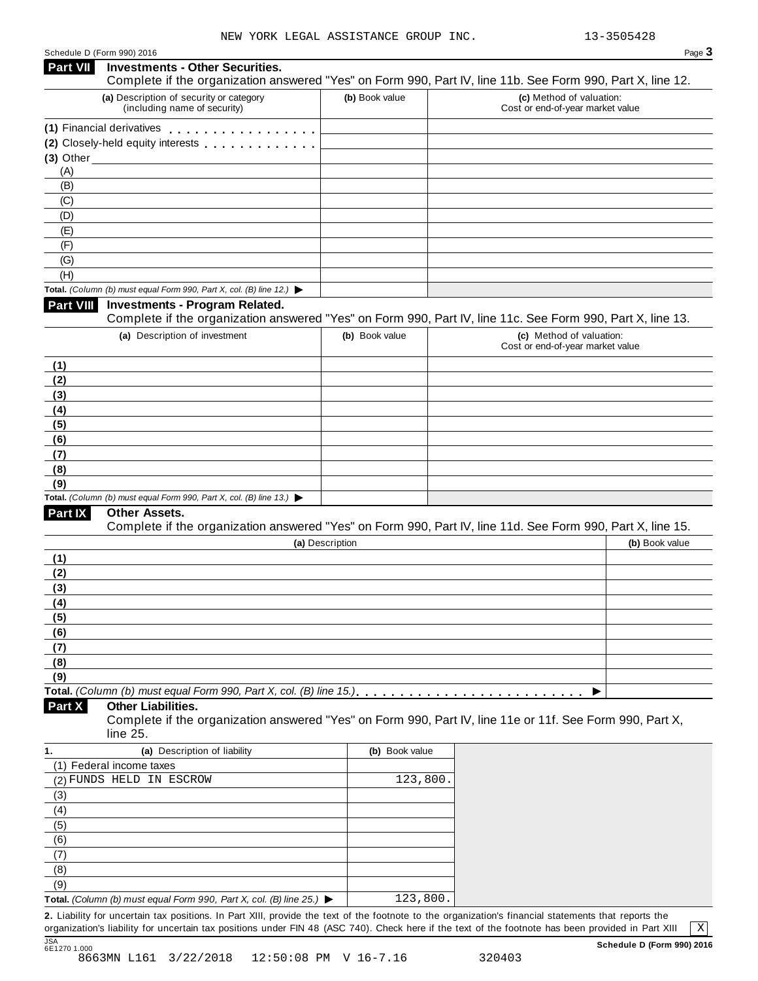| Schedule D (Form 990) 2016 |
|----------------------------|
|----------------------------|

| <b>Part VII</b>                                                                                       |                                                                                          |                 | Page 3                                                                                                                       |
|-------------------------------------------------------------------------------------------------------|------------------------------------------------------------------------------------------|-----------------|------------------------------------------------------------------------------------------------------------------------------|
|                                                                                                       | <b>Investments - Other Securities.</b>                                                   |                 | Complete if the organization answered "Yes" on Form 990, Part IV, line 11b. See Form 990, Part X, line 12.                   |
|                                                                                                       | (a) Description of security or category<br>(including name of security)                  | (b) Book value  | (c) Method of valuation:<br>Cost or end-of-year market value                                                                 |
|                                                                                                       | (1) Financial derivatives                                                                |                 |                                                                                                                              |
|                                                                                                       | (2) Closely-held equity interests [1] [1] Closely-held equity interests                  |                 |                                                                                                                              |
| $(3)$ Other                                                                                           |                                                                                          |                 |                                                                                                                              |
| (A)                                                                                                   |                                                                                          |                 |                                                                                                                              |
| (B)                                                                                                   |                                                                                          |                 |                                                                                                                              |
| (C)                                                                                                   |                                                                                          |                 |                                                                                                                              |
| (D)                                                                                                   |                                                                                          |                 |                                                                                                                              |
| (E)                                                                                                   |                                                                                          |                 |                                                                                                                              |
| (F)                                                                                                   |                                                                                          |                 |                                                                                                                              |
| (G)                                                                                                   |                                                                                          |                 |                                                                                                                              |
| (H)                                                                                                   |                                                                                          |                 |                                                                                                                              |
|                                                                                                       | Total. (Column (b) must equal Form 990, Part X, col. (B) line 12.) $\blacktriangleright$ |                 |                                                                                                                              |
| <b>Part VIII</b>                                                                                      | <b>Investments - Program Related.</b>                                                    |                 | Complete if the organization answered "Yes" on Form 990, Part IV, line 11c. See Form 990, Part X, line 13.                   |
|                                                                                                       | (a) Description of investment                                                            | (b) Book value  | (c) Method of valuation:<br>Cost or end-of-year market value                                                                 |
| (1)                                                                                                   |                                                                                          |                 |                                                                                                                              |
| (2)                                                                                                   |                                                                                          |                 |                                                                                                                              |
| (3)                                                                                                   |                                                                                          |                 |                                                                                                                              |
| (4)                                                                                                   |                                                                                          |                 |                                                                                                                              |
| (5)                                                                                                   |                                                                                          |                 |                                                                                                                              |
| (6)                                                                                                   |                                                                                          |                 |                                                                                                                              |
| (7)                                                                                                   |                                                                                          |                 |                                                                                                                              |
| (8)                                                                                                   |                                                                                          |                 |                                                                                                                              |
| (9)                                                                                                   | Total. (Column (b) must equal Form 990, Part X, col. (B) line 13.) $\blacktriangleright$ |                 |                                                                                                                              |
|                                                                                                       | <b>Other Assets.</b>                                                                     |                 |                                                                                                                              |
|                                                                                                       |                                                                                          |                 |                                                                                                                              |
|                                                                                                       |                                                                                          |                 |                                                                                                                              |
|                                                                                                       |                                                                                          | (a) Description | Complete if the organization answered "Yes" on Form 990, Part IV, line 11d. See Form 990, Part X, line 15.<br>(b) Book value |
|                                                                                                       |                                                                                          |                 |                                                                                                                              |
|                                                                                                       |                                                                                          |                 |                                                                                                                              |
|                                                                                                       |                                                                                          |                 |                                                                                                                              |
|                                                                                                       |                                                                                          |                 |                                                                                                                              |
|                                                                                                       |                                                                                          |                 |                                                                                                                              |
|                                                                                                       |                                                                                          |                 |                                                                                                                              |
|                                                                                                       |                                                                                          |                 |                                                                                                                              |
|                                                                                                       |                                                                                          |                 |                                                                                                                              |
|                                                                                                       |                                                                                          |                 |                                                                                                                              |
|                                                                                                       |                                                                                          |                 |                                                                                                                              |
|                                                                                                       | <b>Other Liabilities.</b>                                                                |                 | Complete if the organization answered "Yes" on Form 990, Part IV, line 11e or 11f. See Form 990, Part X,                     |
|                                                                                                       | line 25.                                                                                 |                 |                                                                                                                              |
|                                                                                                       | (a) Description of liability                                                             | (b) Book value  |                                                                                                                              |
|                                                                                                       | (1) Federal income taxes                                                                 |                 |                                                                                                                              |
|                                                                                                       | (2) FUNDS HELD IN ESCROW                                                                 | 123,800.        |                                                                                                                              |
|                                                                                                       |                                                                                          |                 |                                                                                                                              |
|                                                                                                       |                                                                                          |                 |                                                                                                                              |
| Part IX<br>(1)<br>(2)<br>(3)<br>(4)<br>(5)<br>(6)<br>(7)<br>(8)<br>(9)<br>Part X<br>(3)<br>(4)<br>(5) |                                                                                          |                 |                                                                                                                              |
| (6)                                                                                                   |                                                                                          |                 |                                                                                                                              |
|                                                                                                       |                                                                                          |                 |                                                                                                                              |
| (7)<br>(8)<br>(9)                                                                                     |                                                                                          |                 |                                                                                                                              |

organization's liability for uncertain tax positions under FIN 48 (ASC 740). Check here ifthe text of the footnote has been provided in Part XIII JSA **Schedule D (Form 990) 2016** 6E1270 1.000

X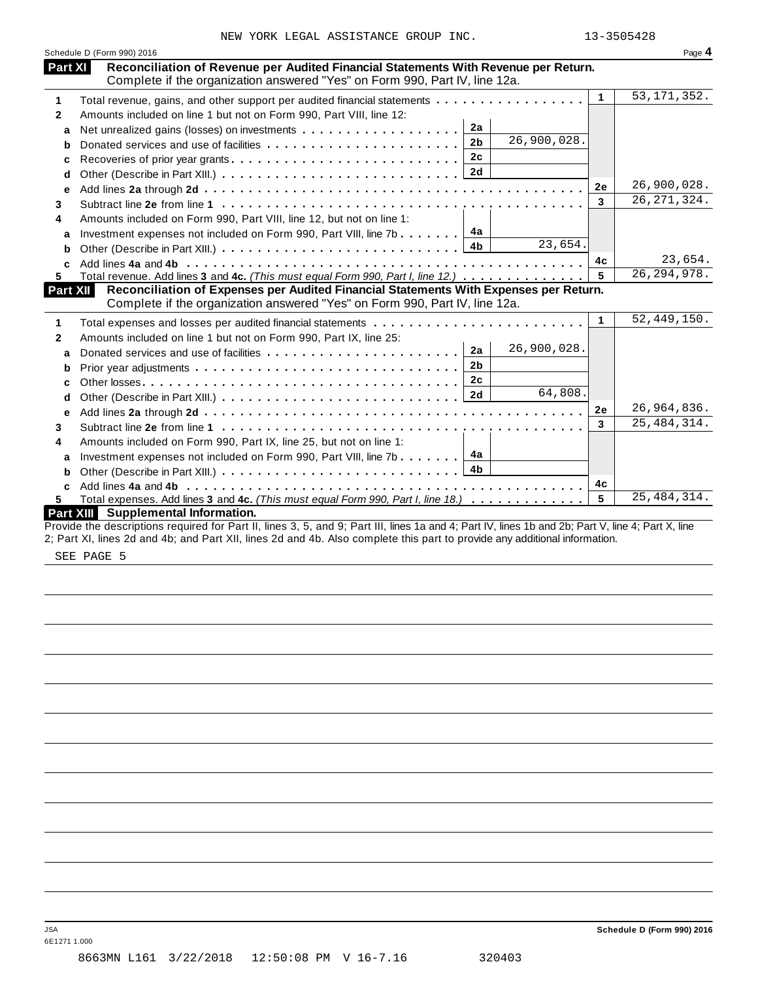| Schedule D (Form 990) 2016                                                                                                                                                           |                 | Page 4        |
|--------------------------------------------------------------------------------------------------------------------------------------------------------------------------------------|-----------------|---------------|
| <b>Part XI</b><br>Reconciliation of Revenue per Audited Financial Statements With Revenue per Return.<br>Complete if the organization answered "Yes" on Form 990, Part IV, line 12a. |                 |               |
| Total revenue, gains, and other support per audited financial statements<br>1                                                                                                        | $\mathbf 1$     | 53, 171, 352. |
| Amounts included on line 1 but not on Form 990, Part VIII, line 12:<br>$\mathbf{2}$                                                                                                  |                 |               |
| 2a<br>a                                                                                                                                                                              |                 |               |
| 26,900,028.<br>2 <sub>b</sub><br>Donated services and use of facilities<br>b                                                                                                         |                 |               |
| 2c<br>Recoveries of prior year grants<br>c                                                                                                                                           |                 |               |
| 2d<br>d                                                                                                                                                                              |                 |               |
| e                                                                                                                                                                                    | 2e              | 26,900,028.   |
| 3                                                                                                                                                                                    | 3               | 26, 271, 324. |
| Amounts included on Form 990, Part VIII, line 12, but not on line 1:<br>4                                                                                                            |                 |               |
| 4a<br>Investment expenses not included on Form 990, Part VIII, line 7b<br>a                                                                                                          |                 |               |
| 23,654.<br>4b<br>b                                                                                                                                                                   |                 |               |
| C                                                                                                                                                                                    | 4c              | 23,654.       |
| Total revenue. Add lines 3 and 4c. (This must equal Form 990, Part I, line 12.)<br>5                                                                                                 | 5               | 26, 294, 978. |
| Reconciliation of Expenses per Audited Financial Statements With Expenses per Return.<br>Part XII                                                                                    |                 |               |
| Complete if the organization answered "Yes" on Form 990, Part IV, line 12a.                                                                                                          |                 |               |
| 1                                                                                                                                                                                    | 1               | 52,449,150.   |
| Amounts included on line 1 but not on Form 990, Part IX, line 25:<br>$\mathbf{2}$                                                                                                    |                 |               |
| 26,900,028.<br>2a<br>a                                                                                                                                                               |                 |               |
| 2 <sub>b</sub><br>b                                                                                                                                                                  |                 |               |
| 2c<br>c                                                                                                                                                                              |                 |               |
| 64,808.<br>d                                                                                                                                                                         |                 |               |
| е                                                                                                                                                                                    | 2e              | 26,964,836.   |
| 3                                                                                                                                                                                    | 3               | 25, 484, 314. |
| Amounts included on Form 990, Part IX, line 25, but not on line 1:<br>4                                                                                                              |                 |               |
| 4a<br>Investment expenses not included on Form 990, Part VIII, line 7b<br>a                                                                                                          |                 |               |
|                                                                                                                                                                                      |                 |               |
| C                                                                                                                                                                                    | 4c              |               |
| Total expenses. Add lines 3 and 4c. (This must equal Form 990, Part I, line 18.)<br>5.                                                                                               | $5\overline{5}$ | 25, 484, 314. |
| Part XIII Supplemental Information.                                                                                                                                                  |                 |               |
| Provide the descriptions required for Part II, lines 3, 5, and 9; Part III, lines 1a and 4; Part IV, lines 1b and 2b; Part V, line 4; Part X, line                                   |                 |               |
| 2; Part XI, lines 2d and 4b; and Part XII, lines 2d and 4b. Also complete this part to provide any additional information.                                                           |                 |               |

JSA **Schedule D (Form 990) 2016**

SEE PAGE 5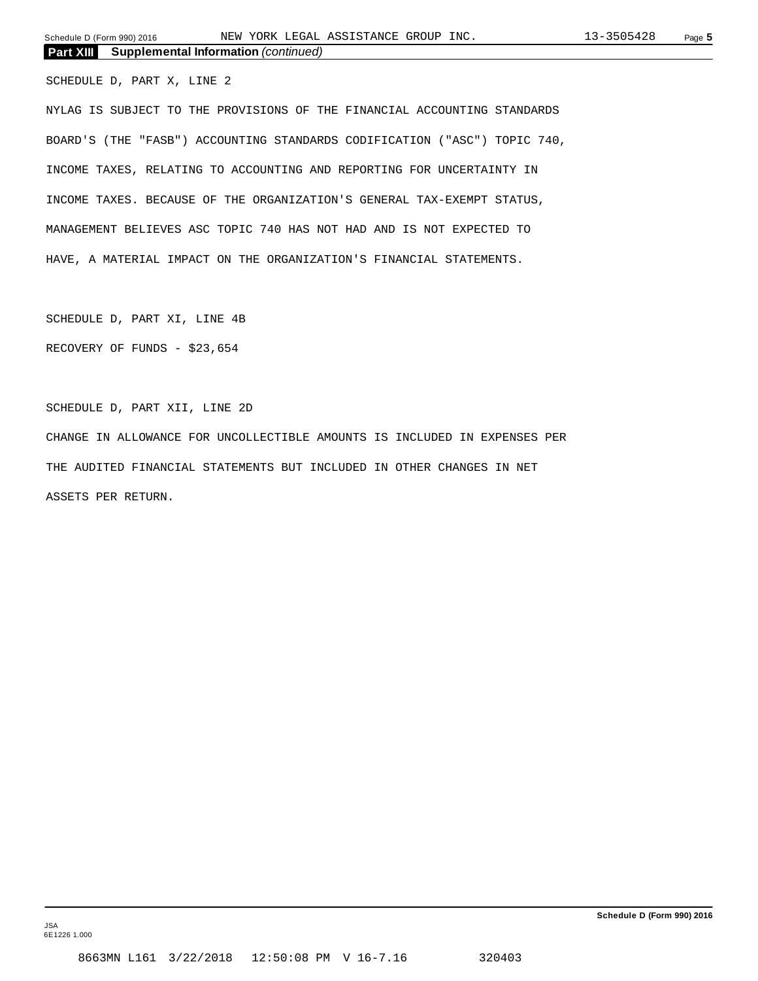Schedule D (Form 990) 2016 NEW YORK LEGAL ASSISTANCE GROUP INC. 13-3505428 Page **5 Part XIII Supplemental Information** *(continued)*

SCHEDULE D, PART X, LINE 2

NYLAG IS SUBJECT TO THE PROVISIONS OF THE FINANCIAL ACCOUNTING STANDARDS BOARD'S (THE "FASB") ACCOUNTING STANDARDS CODIFICATION ("ASC") TOPIC 740, INCOME TAXES, RELATING TO ACCOUNTING AND REPORTING FOR UNCERTAINTY IN INCOME TAXES. BECAUSE OF THE ORGANIZATION'S GENERAL TAX-EXEMPT STATUS, MANAGEMENT BELIEVES ASC TOPIC 740 HAS NOT HAD AND IS NOT EXPECTED TO HAVE, A MATERIAL IMPACT ON THE ORGANIZATION'S FINANCIAL STATEMENTS.

SCHEDULE D, PART XI, LINE 4B

RECOVERY OF FUNDS - \$23,654

SCHEDULE D, PART XII, LINE 2D

CHANGE IN ALLOWANCE FOR UNCOLLECTIBLE AMOUNTS IS INCLUDED IN EXPENSES PER THE AUDITED FINANCIAL STATEMENTS BUT INCLUDED IN OTHER CHANGES IN NET ASSETS PER RETURN.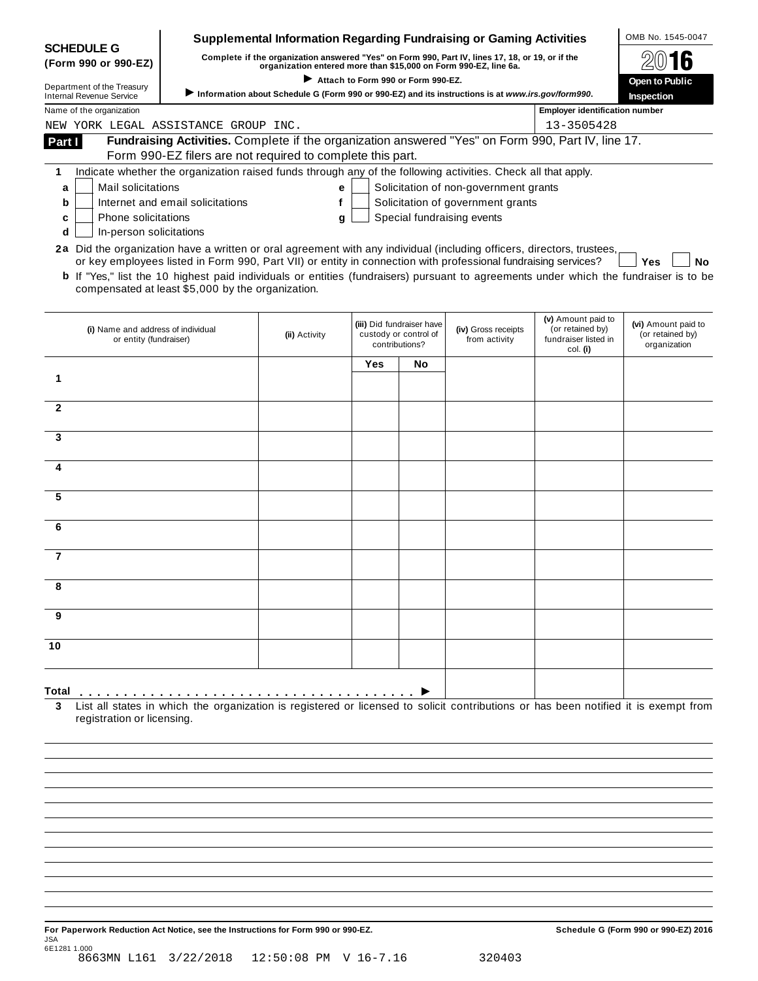|                                                                                                                        |                                                                                                                                                                                                                                                                | <b>Supplemental Information Regarding Fundraising or Gaming Activities</b>                        |     |                                                                      |                                       |                                                                            | OMB No. 1545-0047                                       |
|------------------------------------------------------------------------------------------------------------------------|----------------------------------------------------------------------------------------------------------------------------------------------------------------------------------------------------------------------------------------------------------------|---------------------------------------------------------------------------------------------------|-----|----------------------------------------------------------------------|---------------------------------------|----------------------------------------------------------------------------|---------------------------------------------------------|
| <b>SCHEDULE G</b><br>(Form 990 or 990-EZ)                                                                              | Complete if the organization answered "Yes" on Form 990, Part IV, lines 17, 18, or 19, or if the                                                                                                                                                               |                                                                                                   |     |                                                                      |                                       |                                                                            |                                                         |
| Department of the Treasury                                                                                             |                                                                                                                                                                                                                                                                |                                                                                                   |     | Attach to Form 990 or Form 990-EZ.                                   |                                       |                                                                            | <b>Open to Public</b>                                   |
| <b>Internal Revenue Service</b>                                                                                        |                                                                                                                                                                                                                                                                | Information about Schedule G (Form 990 or 990-EZ) and its instructions is at www.irs.gov/form990. |     |                                                                      |                                       |                                                                            | Inspection                                              |
| Name of the organization                                                                                               |                                                                                                                                                                                                                                                                |                                                                                                   |     |                                                                      |                                       | <b>Employer identification number</b>                                      |                                                         |
| NEW YORK LEGAL ASSISTANCE GROUP INC.                                                                                   |                                                                                                                                                                                                                                                                |                                                                                                   |     |                                                                      |                                       | 13-3505428                                                                 |                                                         |
| Part I                                                                                                                 | Fundraising Activities. Complete if the organization answered "Yes" on Form 990, Part IV, line 17.                                                                                                                                                             |                                                                                                   |     |                                                                      |                                       |                                                                            |                                                         |
|                                                                                                                        | Form 990-EZ filers are not required to complete this part.                                                                                                                                                                                                     |                                                                                                   |     |                                                                      |                                       |                                                                            |                                                         |
| 1                                                                                                                      | Indicate whether the organization raised funds through any of the following activities. Check all that apply.                                                                                                                                                  |                                                                                                   |     |                                                                      |                                       |                                                                            |                                                         |
| Mail solicitations<br>a                                                                                                |                                                                                                                                                                                                                                                                | е                                                                                                 |     |                                                                      | Solicitation of non-government grants |                                                                            |                                                         |
| b                                                                                                                      | Internet and email solicitations                                                                                                                                                                                                                               | f                                                                                                 |     |                                                                      | Solicitation of government grants     |                                                                            |                                                         |
| Phone solicitations<br>c                                                                                               |                                                                                                                                                                                                                                                                | g                                                                                                 |     |                                                                      | Special fundraising events            |                                                                            |                                                         |
| In-person solicitations<br>d                                                                                           |                                                                                                                                                                                                                                                                |                                                                                                   |     |                                                                      |                                       |                                                                            |                                                         |
| 2a Did the organization have a written or oral agreement with any individual (including officers, directors, trustees, |                                                                                                                                                                                                                                                                |                                                                                                   |     |                                                                      |                                       |                                                                            |                                                         |
|                                                                                                                        | or key employees listed in Form 990, Part VII) or entity in connection with professional fundraising services?<br><b>b</b> If "Yes," list the 10 highest paid individuals or entities (fundraisers) pursuant to agreements under which the fundraiser is to be |                                                                                                   |     |                                                                      |                                       |                                                                            | Yes<br>No                                               |
|                                                                                                                        | compensated at least \$5,000 by the organization.                                                                                                                                                                                                              |                                                                                                   |     |                                                                      |                                       |                                                                            |                                                         |
|                                                                                                                        |                                                                                                                                                                                                                                                                |                                                                                                   |     |                                                                      |                                       |                                                                            |                                                         |
| (i) Name and address of individual<br>or entity (fundraiser)                                                           |                                                                                                                                                                                                                                                                | (ii) Activity                                                                                     |     | (iii) Did fundraiser have<br>custody or control of<br>contributions? | (iv) Gross receipts<br>from activity  | (v) Amount paid to<br>(or retained by)<br>fundraiser listed in<br>col. (i) | (vi) Amount paid to<br>(or retained by)<br>organization |
|                                                                                                                        |                                                                                                                                                                                                                                                                |                                                                                                   | Yes | No                                                                   |                                       |                                                                            |                                                         |
| 1                                                                                                                      |                                                                                                                                                                                                                                                                |                                                                                                   |     |                                                                      |                                       |                                                                            |                                                         |
| $\mathbf{2}$                                                                                                           |                                                                                                                                                                                                                                                                |                                                                                                   |     |                                                                      |                                       |                                                                            |                                                         |
| 3                                                                                                                      |                                                                                                                                                                                                                                                                |                                                                                                   |     |                                                                      |                                       |                                                                            |                                                         |
|                                                                                                                        |                                                                                                                                                                                                                                                                |                                                                                                   |     |                                                                      |                                       |                                                                            |                                                         |
|                                                                                                                        |                                                                                                                                                                                                                                                                |                                                                                                   |     |                                                                      |                                       |                                                                            |                                                         |
| 5                                                                                                                      |                                                                                                                                                                                                                                                                |                                                                                                   |     |                                                                      |                                       |                                                                            |                                                         |
| 6                                                                                                                      |                                                                                                                                                                                                                                                                |                                                                                                   |     |                                                                      |                                       |                                                                            |                                                         |
| 7                                                                                                                      |                                                                                                                                                                                                                                                                |                                                                                                   |     |                                                                      |                                       |                                                                            |                                                         |
| 8                                                                                                                      |                                                                                                                                                                                                                                                                |                                                                                                   |     |                                                                      |                                       |                                                                            |                                                         |
|                                                                                                                        |                                                                                                                                                                                                                                                                |                                                                                                   |     |                                                                      |                                       |                                                                            |                                                         |
| 9                                                                                                                      |                                                                                                                                                                                                                                                                |                                                                                                   |     |                                                                      |                                       |                                                                            |                                                         |
| 10                                                                                                                     |                                                                                                                                                                                                                                                                |                                                                                                   |     |                                                                      |                                       |                                                                            |                                                         |
|                                                                                                                        |                                                                                                                                                                                                                                                                |                                                                                                   |     |                                                                      |                                       |                                                                            |                                                         |
| Total                                                                                                                  |                                                                                                                                                                                                                                                                |                                                                                                   |     |                                                                      |                                       |                                                                            |                                                         |
| 3<br>registration or licensing.                                                                                        | List all states in which the organization is registered or licensed to solicit contributions or has been notified it is exempt from                                                                                                                            |                                                                                                   |     |                                                                      |                                       |                                                                            |                                                         |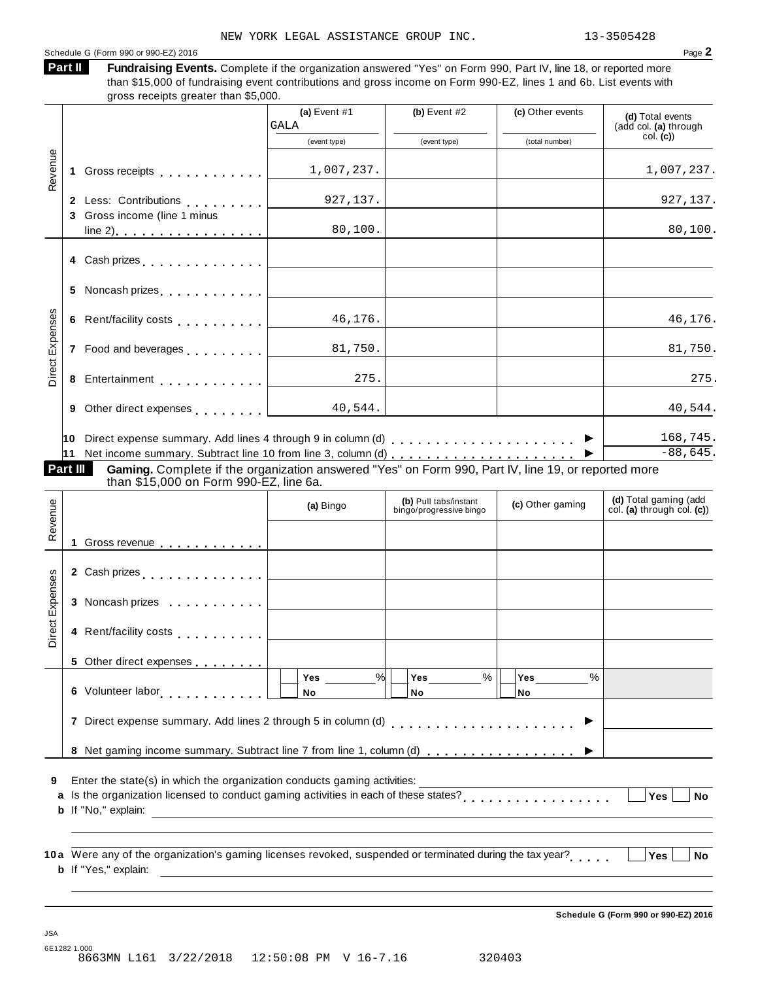#### Schedule <sup>G</sup> (Form <sup>990</sup> or 990-EZ) <sup>2016</sup> Page **2**

Fundraising Events. Complete if the organization answered "Yes" on Form 990, Part IV, line 18, or reported more than \$15,000 of fundraising event contributions and gross income on Form 990-EZ, lines 1 and 6b. List events with gross receipts greater than \$5,000. **Part II**

|                 |                                                                                                                                                                                                                                     | (a) Event $#1$<br>GALA | (b) Event $#2$                                   | (c) Other events | (d) Total events<br>(add col. (a) through            |
|-----------------|-------------------------------------------------------------------------------------------------------------------------------------------------------------------------------------------------------------------------------------|------------------------|--------------------------------------------------|------------------|------------------------------------------------------|
|                 |                                                                                                                                                                                                                                     | (event type)           | (event type)                                     | (total number)   | col. (c)                                             |
| Revenue         |                                                                                                                                                                                                                                     | 1,007,237.             |                                                  |                  | 1,007,237.                                           |
|                 | 2 Less: Contributions [1, 1, 1, 1, 1]<br>3 Gross income (line 1 minus                                                                                                                                                               | 927,137.               |                                                  |                  | 927,137.                                             |
|                 |                                                                                                                                                                                                                                     | 80,100.                |                                                  |                  | 80,100.                                              |
|                 | 4 Cash prizes <b>All Accord Prizes</b>                                                                                                                                                                                              |                        |                                                  |                  |                                                      |
|                 |                                                                                                                                                                                                                                     |                        |                                                  |                  |                                                      |
|                 | 6 Rent/facility costs                                                                                                                                                                                                               | 46,176.                |                                                  |                  | 46,176.                                              |
| Direct Expenses | 7 Food and beverages [1, 1, 1, 1, 1]                                                                                                                                                                                                | 81,750.                |                                                  |                  | 81,750.                                              |
|                 | 8 Entertainment                                                                                                                                                                                                                     | 275.                   |                                                  |                  | 275.                                                 |
|                 | 9 Other direct expenses                                                                                                                                                                                                             | $40,544$ .             |                                                  |                  | 40,544.                                              |
|                 | 10 Direct expense summary. Add lines 4 through 9 in column (d) $\blacksquare$                                                                                                                                                       |                        |                                                  |                  | 168,745.<br>$-88,645.$                               |
| Part III        | Gaming. Complete if the organization answered "Yes" on Form 990, Part IV, line 19, or reported more                                                                                                                                 |                        |                                                  |                  |                                                      |
|                 | than \$15,000 on Form 990-EZ, line 6a.                                                                                                                                                                                              |                        |                                                  |                  |                                                      |
|                 |                                                                                                                                                                                                                                     | (a) Bingo              | (b) Pull tabs/instant<br>bingo/progressive bingo | (c) Other gaming | (d) Total gaming (add<br>col. (a) through col. $(c)$ |
| Revenue         | 1 Gross revenue <b>contracts</b> and a series of the series of the series of the series of the series of the series of the series of the series of the series of the series of the series of the series of the series of the series |                        |                                                  |                  |                                                      |
|                 |                                                                                                                                                                                                                                     |                        |                                                  |                  |                                                      |
| Direct Expenses |                                                                                                                                                                                                                                     |                        |                                                  |                  |                                                      |
|                 | 4 Rent/facility costs                                                                                                                                                                                                               |                        |                                                  |                  |                                                      |
|                 | 5 Other direct expenses                                                                                                                                                                                                             |                        |                                                  |                  |                                                      |
|                 | 6 Volunteer labor <b>6 Volunteer</b> labor                                                                                                                                                                                          | %<br>Yes<br>No         | $\%$<br>Yes<br>No                                | %<br>Yes<br>No   |                                                      |
|                 | 7 Direct expense summary. Add lines 2 through 5 in column (d)                                                                                                                                                                       |                        | <u>. </u>                                        |                  |                                                      |
|                 | 8 Net gaming income summary. Subtract line 7 from line 1, column (d)                                                                                                                                                                |                        |                                                  |                  |                                                      |
| 9<br>a<br>b     | Enter the state(s) in which the organization conducts gaming activities:<br>Is the organization licensed to conduct gaming activities in each of these states?<br>If "No," explain:                                                 |                        |                                                  |                  | Yes<br>No                                            |
|                 | 10a Were any of the organization's gaming licenses revoked, suspended or terminated during the tax year?<br><b>b</b> If "Yes," explain:                                                                                             |                        |                                                  |                  | <b>Yes</b><br>No                                     |

8663MN L161 3/22/2018 12:50:08 PM V 16-7.16 320403

JSA 6E1282 1.000 **Schedule G (Form 990 or 990-EZ) 2016**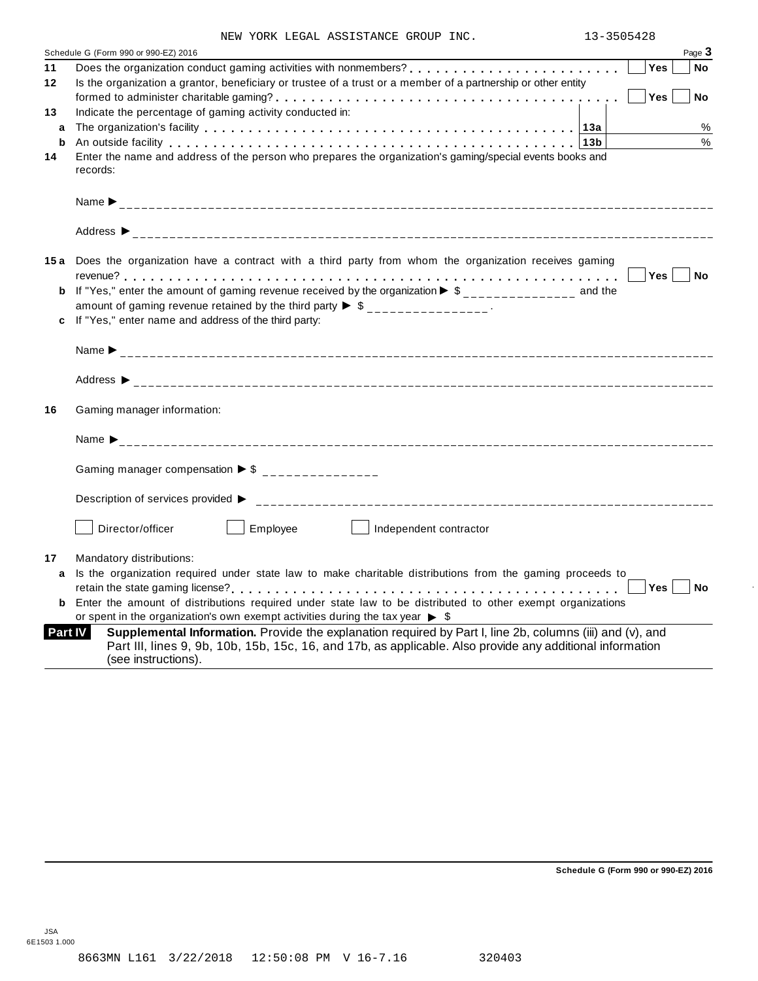|                | Schedule G (Form 990 or 990-EZ) 2016                                                                                                                                                                                                                                                                                                                |     | Page 3               |
|----------------|-----------------------------------------------------------------------------------------------------------------------------------------------------------------------------------------------------------------------------------------------------------------------------------------------------------------------------------------------------|-----|----------------------|
| 11             |                                                                                                                                                                                                                                                                                                                                                     | Yes | No                   |
| $12 \,$        | Is the organization a grantor, beneficiary or trustee of a trust or a member of a partnership or other entity                                                                                                                                                                                                                                       |     |                      |
|                |                                                                                                                                                                                                                                                                                                                                                     | Yes | <b>No</b>            |
| 13             | Indicate the percentage of gaming activity conducted in:                                                                                                                                                                                                                                                                                            |     |                      |
| a              |                                                                                                                                                                                                                                                                                                                                                     |     | %                    |
| b              | An outside facility enterpreteration of the control of the control of the control of the control of the control of the control of the control of the control of the control of the control of the control of the control of th                                                                                                                      |     | $\%$                 |
| 14             | Enter the name and address of the person who prepares the organization's gaming/special events books and<br>records:                                                                                                                                                                                                                                |     |                      |
|                |                                                                                                                                                                                                                                                                                                                                                     |     |                      |
|                |                                                                                                                                                                                                                                                                                                                                                     |     |                      |
|                | 15a Does the organization have a contract with a third party from whom the organization receives gaming                                                                                                                                                                                                                                             |     |                      |
|                |                                                                                                                                                                                                                                                                                                                                                     |     | $Yes \mid \text{No}$ |
|                | <b>b</b> If "Yes," enter the amount of gaming revenue received by the organization $\triangleright$ \$______________ and the                                                                                                                                                                                                                        |     |                      |
|                | amount of gaming revenue retained by the third party $\triangleright$ \$ ________________.                                                                                                                                                                                                                                                          |     |                      |
|                | If "Yes," enter name and address of the third party:                                                                                                                                                                                                                                                                                                |     |                      |
|                |                                                                                                                                                                                                                                                                                                                                                     |     |                      |
|                |                                                                                                                                                                                                                                                                                                                                                     |     |                      |
| 16             | Gaming manager information:                                                                                                                                                                                                                                                                                                                         |     |                      |
|                |                                                                                                                                                                                                                                                                                                                                                     |     |                      |
|                | Gaming manager compensation $\triangleright$ \$ ________________                                                                                                                                                                                                                                                                                    |     |                      |
|                | Description of services provided ▶                                                                                                                                                                                                                                                                                                                  |     |                      |
|                | Director/officer<br>Employee<br>$\vert$   Independent contractor                                                                                                                                                                                                                                                                                    |     |                      |
| 17<br>a<br>b   | Mandatory distributions:<br>Is the organization required under state law to make charitable distributions from the gaming proceeds to<br>Enter the amount of distributions required under state law to be distributed to other exempt organizations<br>or spent in the organization's own exempt activities during the tax year $\triangleright$ \$ | Yes | <b>No</b>            |
| <b>Part IV</b> | Supplemental Information. Provide the explanation required by Part I, line 2b, columns (iii) and (v), and<br>Part III, lines 9, 9b, 10b, 15b, 15c, 16, and 17b, as applicable. Also provide any additional information<br>(see instructions).                                                                                                       |     |                      |

**Schedule G (Form 990 or 990-EZ) 2016**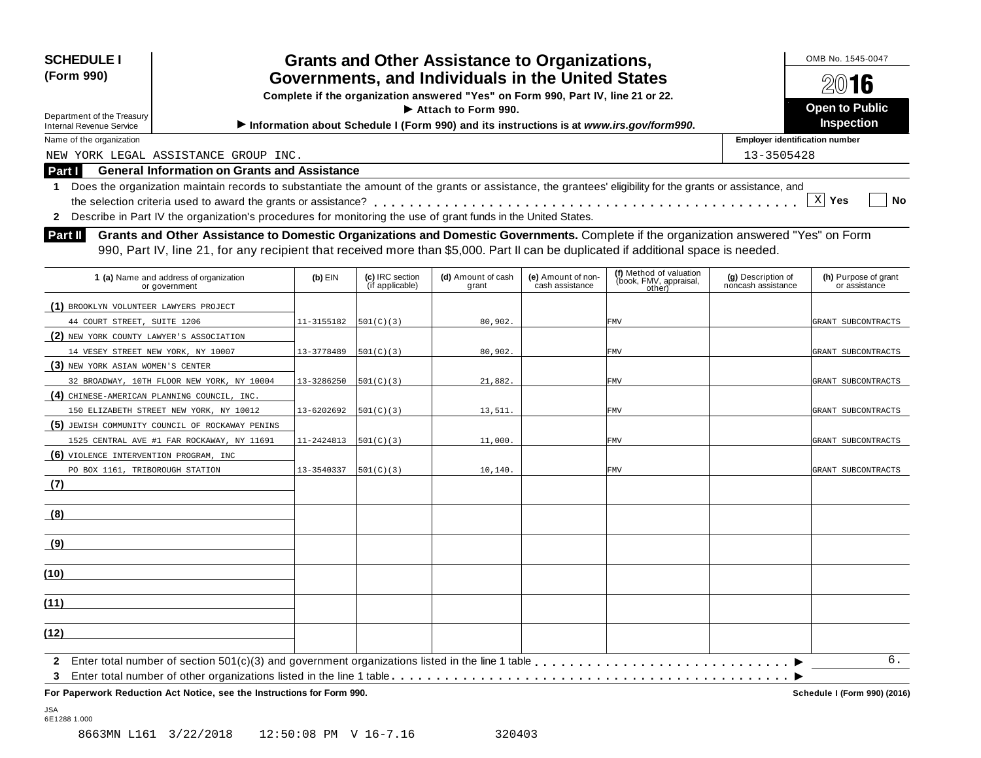| <b>SCHEDULE I</b>                                                                                                                                                                                                                                                 |                          |                                    | <b>Grants and Other Assistance to Organizations,</b>                             |                                       |                                                                                         |                                          | OMB No. 1545-0047                     |  |
|-------------------------------------------------------------------------------------------------------------------------------------------------------------------------------------------------------------------------------------------------------------------|--------------------------|------------------------------------|----------------------------------------------------------------------------------|---------------------------------------|-----------------------------------------------------------------------------------------|------------------------------------------|---------------------------------------|--|
| (Form 990)                                                                                                                                                                                                                                                        |                          |                                    | Governments, and Individuals in the United States                                |                                       |                                                                                         |                                          | 16                                    |  |
|                                                                                                                                                                                                                                                                   |                          |                                    | Complete if the organization answered "Yes" on Form 990, Part IV, line 21 or 22. |                                       |                                                                                         |                                          |                                       |  |
| Department of the Treasury                                                                                                                                                                                                                                        |                          |                                    | Attach to Form 990.                                                              |                                       |                                                                                         |                                          | <b>Open to Public</b>                 |  |
| <b>Internal Revenue Service</b>                                                                                                                                                                                                                                   |                          |                                    |                                                                                  |                                       | Information about Schedule I (Form 990) and its instructions is at www.irs.gov/form990. |                                          | Inspection                            |  |
| Name of the organization                                                                                                                                                                                                                                          |                          |                                    |                                                                                  |                                       |                                                                                         | <b>Employer identification number</b>    |                                       |  |
| NEW YORK LEGAL ASSISTANCE GROUP INC.                                                                                                                                                                                                                              |                          |                                    |                                                                                  |                                       |                                                                                         | 13-3505428                               |                                       |  |
| <b>General Information on Grants and Assistance</b><br>Part I<br>1 Does the organization maintain records to substantiate the amount of the grants or assistance, the grantees' eligibility for the grants or assistance, and                                     |                          |                                    |                                                                                  |                                       |                                                                                         |                                          |                                       |  |
| 2 Describe in Part IV the organization's procedures for monitoring the use of grant funds in the United States.<br>Grants and Other Assistance to Domestic Organizations and Domestic Governments. Complete if the organization answered "Yes" on Form<br>Part II |                          |                                    |                                                                                  |                                       |                                                                                         |                                          | X Yes<br><b>No</b>                    |  |
| 990, Part IV, line 21, for any recipient that received more than \$5,000. Part II can be duplicated if additional space is needed.<br>1 (a) Name and address of organization<br>or government                                                                     | $(b)$ EIN                | (c) IRC section<br>(if applicable) | (d) Amount of cash<br>grant                                                      | (e) Amount of non-<br>cash assistance | (f) Method of valuation<br>(book, FMV, appraisal,<br>other)                             | (g) Description of<br>noncash assistance | (h) Purpose of grant<br>or assistance |  |
| (1) BROOKLYN VOLUNTEER LAWYERS PROJECT                                                                                                                                                                                                                            |                          |                                    |                                                                                  |                                       |                                                                                         |                                          |                                       |  |
| 44 COURT STREET, SUITE 1206                                                                                                                                                                                                                                       | $11-3155182$   501(C)(3) |                                    | 80,902.                                                                          |                                       | <b>FMV</b>                                                                              |                                          | GRANT SUBCONTRACTS                    |  |
| (2) NEW YORK COUNTY LAWYER'S ASSOCIATION                                                                                                                                                                                                                          |                          |                                    |                                                                                  |                                       |                                                                                         |                                          |                                       |  |
| 14 VESEY STREET NEW YORK, NY 10007                                                                                                                                                                                                                                | 13-3778489               | 501(C)(3)                          | 80,902.                                                                          |                                       | FMV                                                                                     |                                          | GRANT SUBCONTRACTS                    |  |
| (3) NEW YORK ASIAN WOMEN'S CENTER                                                                                                                                                                                                                                 |                          |                                    |                                                                                  |                                       |                                                                                         |                                          |                                       |  |
| 32 BROADWAY, 10TH FLOOR NEW YORK, NY 10004                                                                                                                                                                                                                        | 13-3286250               | 501(C)(3)                          | 21,882.                                                                          |                                       | FMV                                                                                     |                                          | GRANT SUBCONTRACTS                    |  |
| (4) CHINESE-AMERICAN PLANNING COUNCIL, INC.                                                                                                                                                                                                                       |                          |                                    |                                                                                  |                                       |                                                                                         |                                          |                                       |  |
| 150 ELIZABETH STREET NEW YORK, NY 10012                                                                                                                                                                                                                           | 13-6202692               | 501(C)(3)                          | 13,511.                                                                          |                                       | FMV                                                                                     |                                          | GRANT SUBCONTRACTS                    |  |
| (5) JEWISH COMMUNITY COUNCIL OF ROCKAWAY PENINS                                                                                                                                                                                                                   |                          |                                    |                                                                                  |                                       |                                                                                         |                                          |                                       |  |
| 1525 CENTRAL AVE #1 FAR ROCKAWAY, NY 11691                                                                                                                                                                                                                        | $11-2424813$ 501(C)(3)   |                                    | 11,000.                                                                          |                                       | <b>FMV</b>                                                                              |                                          | GRANT SUBCONTRACTS                    |  |
| (6) VIOLENCE INTERVENTION PROGRAM, INC                                                                                                                                                                                                                            |                          |                                    |                                                                                  |                                       |                                                                                         |                                          |                                       |  |
| PO BOX 1161, TRIBOROUGH STATION                                                                                                                                                                                                                                   | 13-3540337               | 501(C)(3)                          | 10,140.                                                                          |                                       | FMV                                                                                     |                                          | GRANT SUBCONTRACTS                    |  |
| (7)                                                                                                                                                                                                                                                               |                          |                                    |                                                                                  |                                       |                                                                                         |                                          |                                       |  |
| (8)                                                                                                                                                                                                                                                               |                          |                                    |                                                                                  |                                       |                                                                                         |                                          |                                       |  |
| (9)                                                                                                                                                                                                                                                               |                          |                                    |                                                                                  |                                       |                                                                                         |                                          |                                       |  |
| (10)                                                                                                                                                                                                                                                              |                          |                                    |                                                                                  |                                       |                                                                                         |                                          |                                       |  |
| (11)                                                                                                                                                                                                                                                              |                          |                                    |                                                                                  |                                       |                                                                                         |                                          |                                       |  |
|                                                                                                                                                                                                                                                                   |                          |                                    |                                                                                  |                                       |                                                                                         |                                          |                                       |  |

 $\overline{\phantom{a}}$ I **3** Enter total number of other organizations listed in the line 1 table m m m m m m m m m m m m m m m m m m m m m m m m m m m m m m m m m m m m m m m m m m m m m **2** Enter total number of section 501(c)(3) and government organizations listed in the line 1 table **manufact in the line 1** 

**For Paperwork Reduction Act Notice, see the Instructions for Form 990. Schedule I (Form 990) (2016)**

6.

**(12)**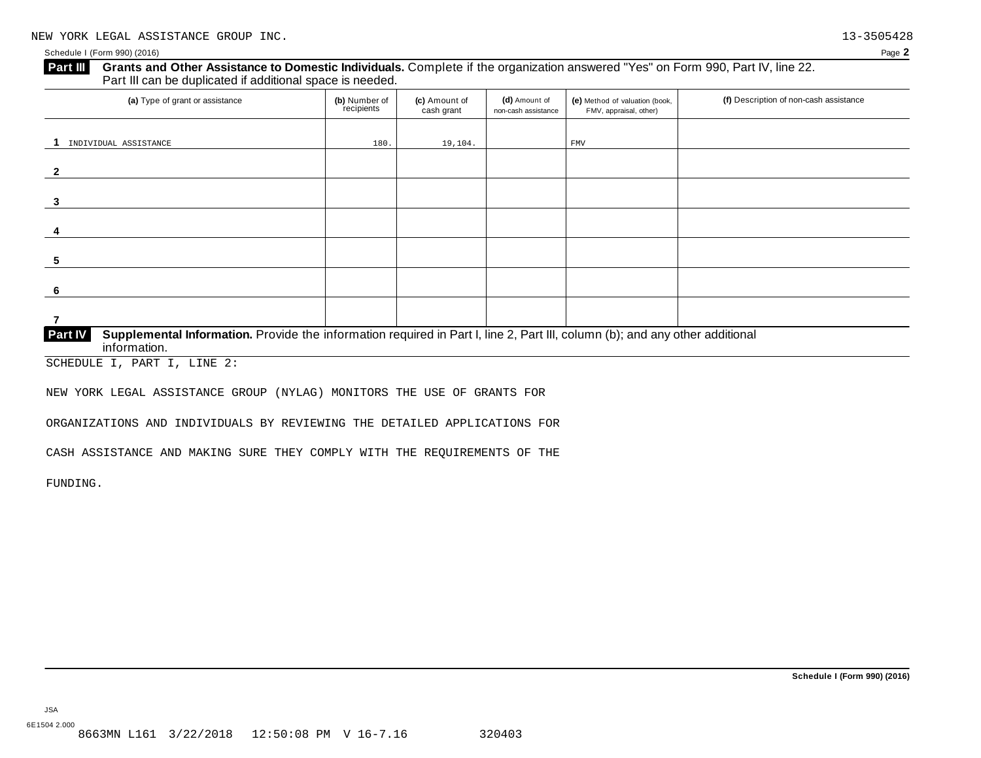#### Schedule I (Form 990) (2016) Page **2**

#### Grants and Other Assistance to Domestic Individuals. Complete if the organization answered "Yes" on Form 990, Part IV, line 22. **Part III** Grants and Other Assistance to Domestic Individuals<br>Part III can be duplicated if additional space is needed.

| (a) Type of grant or assistance                                                                                                                                | (b) Number of<br>recipients | (c) Amount of<br>cash grant | (d) Amount of<br>non-cash assistance | (e) Method of valuation (book,<br>FMV, appraisal, other) | (f) Description of non-cash assistance |
|----------------------------------------------------------------------------------------------------------------------------------------------------------------|-----------------------------|-----------------------------|--------------------------------------|----------------------------------------------------------|----------------------------------------|
| INDIVIDUAL ASSISTANCE                                                                                                                                          | 180.                        |                             |                                      | <b>FMV</b>                                               |                                        |
|                                                                                                                                                                |                             | 19,104.                     |                                      |                                                          |                                        |
|                                                                                                                                                                |                             |                             |                                      |                                                          |                                        |
| 3                                                                                                                                                              |                             |                             |                                      |                                                          |                                        |
|                                                                                                                                                                |                             |                             |                                      |                                                          |                                        |
| -5                                                                                                                                                             |                             |                             |                                      |                                                          |                                        |
| 6                                                                                                                                                              |                             |                             |                                      |                                                          |                                        |
|                                                                                                                                                                |                             |                             |                                      |                                                          |                                        |
| Supplemental Information. Provide the information required in Part I, line 2, Part III, column (b); and any other additional<br><b>Part IV</b><br>information. |                             |                             |                                      |                                                          |                                        |

SCHEDULE I, PART I, LINE 2:

NEW YORK LEGAL ASSISTANCE GROUP (NYLAG) MONITORS THE USE OF GRANTS FOR

ORGANIZATIONS AND INDIVIDUALS BY REVIEWING THE DETAILED APPLICATIONS FOR

CASH ASSISTANCE AND MAKING SURE THEY COMPLY WITH THE REQUIREMENTS OF THE

FUNDING.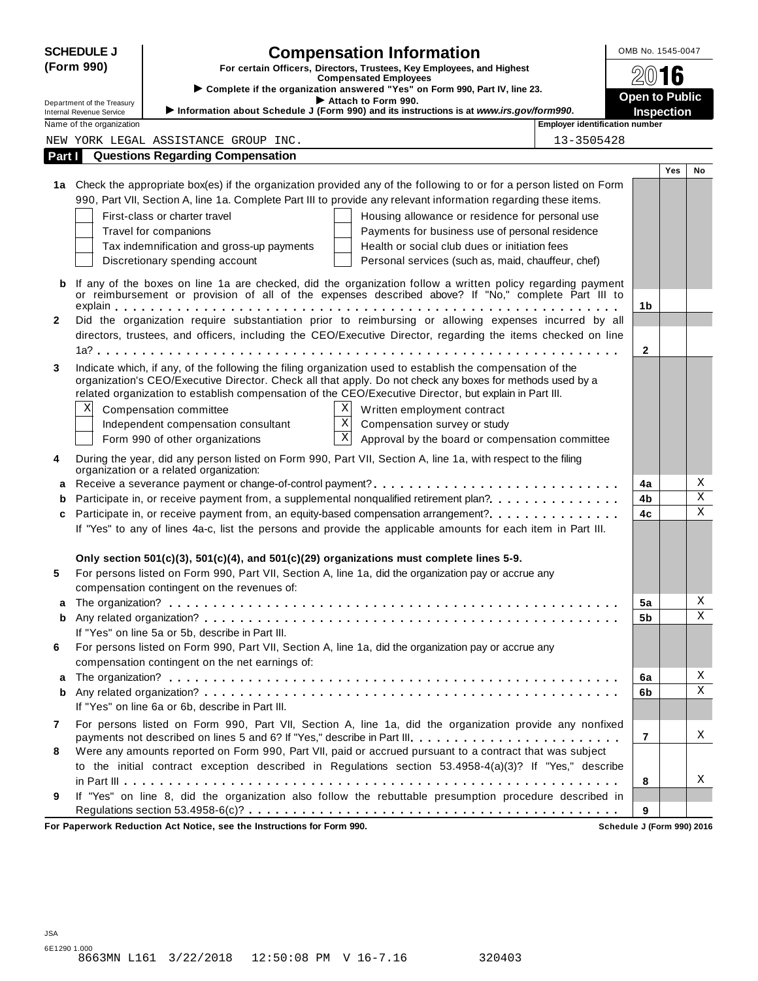|              | <b>SCHEDULE J</b>                                    |                                                  | <b>Compensation Information</b>                                                                                                                                                     |            | OMB No. 1545-0047     |            |             |
|--------------|------------------------------------------------------|--------------------------------------------------|-------------------------------------------------------------------------------------------------------------------------------------------------------------------------------------|------------|-----------------------|------------|-------------|
|              | (Form 990)                                           |                                                  | For certain Officers, Directors, Trustees, Key Employees, and Highest                                                                                                               |            |                       | 6          |             |
|              |                                                      |                                                  | <b>Compensated Employees</b><br>Complete if the organization answered "Yes" on Form 990, Part IV, line 23.                                                                          |            |                       |            |             |
|              | Department of the Treasury                           |                                                  | Attach to Form 990.<br>Information about Schedule J (Form 990) and its instructions is at www.irs.gov/form990.                                                                      |            | <b>Open to Public</b> |            |             |
|              | Internal Revenue Service<br>Name of the organization | <b>Employer identification number</b>            | Inspection                                                                                                                                                                          |            |                       |            |             |
|              |                                                      | NEW YORK LEGAL ASSISTANCE GROUP INC.             |                                                                                                                                                                                     | 13-3505428 |                       |            |             |
| Part I       |                                                      | <b>Questions Regarding Compensation</b>          |                                                                                                                                                                                     |            |                       |            |             |
|              |                                                      |                                                  |                                                                                                                                                                                     |            |                       | <b>Yes</b> | No          |
|              |                                                      |                                                  | 1a Check the appropriate box(es) if the organization provided any of the following to or for a person listed on Form                                                                |            |                       |            |             |
|              |                                                      |                                                  | 990, Part VII, Section A, line 1a. Complete Part III to provide any relevant information regarding these items.                                                                     |            |                       |            |             |
|              |                                                      | First-class or charter travel                    | Housing allowance or residence for personal use                                                                                                                                     |            |                       |            |             |
|              |                                                      | Travel for companions                            | Payments for business use of personal residence                                                                                                                                     |            |                       |            |             |
|              |                                                      | Tax indemnification and gross-up payments        | Health or social club dues or initiation fees                                                                                                                                       |            |                       |            |             |
|              |                                                      | Discretionary spending account                   | Personal services (such as, maid, chauffeur, chef)                                                                                                                                  |            |                       |            |             |
| b            |                                                      |                                                  | If any of the boxes on line 1a are checked, did the organization follow a written policy regarding payment                                                                          |            |                       |            |             |
|              |                                                      |                                                  | or reimbursement or provision of all of the expenses described above? If "No," complete Part III to                                                                                 |            | 1b                    |            |             |
| $\mathbf{2}$ |                                                      |                                                  | Did the organization require substantiation prior to reimbursing or allowing expenses incurred by all                                                                               |            |                       |            |             |
|              |                                                      |                                                  | directors, trustees, and officers, including the CEO/Executive Director, regarding the items checked on line                                                                        |            |                       |            |             |
|              |                                                      |                                                  |                                                                                                                                                                                     |            | 2                     |            |             |
| 3            |                                                      |                                                  | Indicate which, if any, of the following the filing organization used to establish the compensation of the                                                                          |            |                       |            |             |
|              |                                                      |                                                  | organization's CEO/Executive Director. Check all that apply. Do not check any boxes for methods used by a                                                                           |            |                       |            |             |
|              |                                                      |                                                  | related organization to establish compensation of the CEO/Executive Director, but explain in Part III.                                                                              |            |                       |            |             |
|              | Χ                                                    | Compensation committee                           | $\mathbf{X}$<br>Written employment contract                                                                                                                                         |            |                       |            |             |
|              |                                                      | Independent compensation consultant              | $\overline{X}$<br>Compensation survey or study                                                                                                                                      |            |                       |            |             |
|              |                                                      | Form 990 of other organizations                  | $\overline{\mathbf{x}}$<br>Approval by the board or compensation committee                                                                                                          |            |                       |            |             |
| 4            |                                                      |                                                  | During the year, did any person listed on Form 990, Part VII, Section A, line 1a, with respect to the filing                                                                        |            |                       |            |             |
|              |                                                      | organization or a related organization:          |                                                                                                                                                                                     |            |                       |            | Χ           |
|              |                                                      |                                                  | Receive a severance payment or change-of-control payment?                                                                                                                           |            | 4a                    |            | $\mathbf X$ |
| b            |                                                      |                                                  | Participate in, or receive payment from, a supplemental nonqualified retirement plan?<br>Participate in, or receive payment from, an equity-based compensation arrangement?         |            | 4b<br>4c              |            | $\mathbf X$ |
| c            |                                                      |                                                  | If "Yes" to any of lines 4a-c, list the persons and provide the applicable amounts for each item in Part III.                                                                       |            |                       |            |             |
|              |                                                      |                                                  |                                                                                                                                                                                     |            |                       |            |             |
|              |                                                      |                                                  | Only section $501(c)(3)$ , $501(c)(4)$ , and $501(c)(29)$ organizations must complete lines 5-9.                                                                                    |            |                       |            |             |
| 5            |                                                      |                                                  | For persons listed on Form 990, Part VII, Section A, line 1a, did the organization pay or accrue any                                                                                |            |                       |            |             |
|              |                                                      | compensation contingent on the revenues of:      |                                                                                                                                                                                     |            |                       |            |             |
|              |                                                      |                                                  |                                                                                                                                                                                     |            | 5a                    |            | Χ           |
| b            |                                                      |                                                  |                                                                                                                                                                                     |            | 5b                    |            | X           |
|              |                                                      | If "Yes" on line 5a or 5b, describe in Part III. |                                                                                                                                                                                     |            |                       |            |             |
| 6            |                                                      |                                                  | For persons listed on Form 990, Part VII, Section A, line 1a, did the organization pay or accrue any                                                                                |            |                       |            |             |
|              |                                                      | compensation contingent on the net earnings of:  |                                                                                                                                                                                     |            |                       |            |             |
| a            |                                                      |                                                  |                                                                                                                                                                                     |            | 6a                    |            | Χ<br>X      |
| b            |                                                      |                                                  |                                                                                                                                                                                     |            | 6b                    |            |             |
|              |                                                      | If "Yes" on line 6a or 6b, describe in Part III. |                                                                                                                                                                                     |            |                       |            |             |
| 7            |                                                      |                                                  | For persons listed on Form 990, Part VII, Section A, line 1a, did the organization provide any nonfixed<br>payments not described on lines 5 and 6? If "Yes," describe in Part III. |            | $\overline{7}$        |            | Χ           |
| 8            |                                                      |                                                  | Were any amounts reported on Form 990, Part VII, paid or accrued pursuant to a contract that was subject                                                                            |            |                       |            |             |
|              |                                                      |                                                  | to the initial contract exception described in Regulations section 53.4958-4(a)(3)? If "Yes," describe                                                                              |            |                       |            |             |
|              |                                                      |                                                  |                                                                                                                                                                                     |            | 8                     |            | Χ           |
| 9            |                                                      |                                                  | If "Yes" on line 8, did the organization also follow the rebuttable presumption procedure described in                                                                              |            |                       |            |             |
|              |                                                      |                                                  |                                                                                                                                                                                     |            | 9                     |            |             |
|              |                                                      |                                                  |                                                                                                                                                                                     |            |                       |            |             |

**For Paperwork Reduction Act Notice, see the Instructions for Form 990. Schedule J (Form 990) 2016**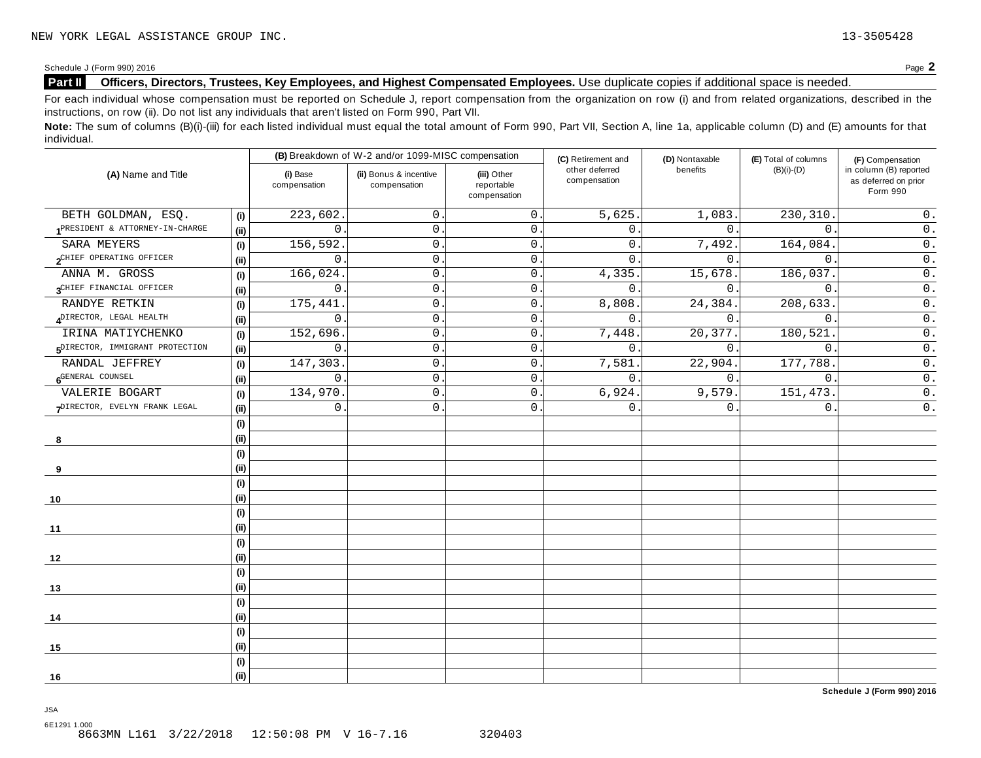### **Part II Officers, Directors, Trustees, Key Employees, and Highest Compensated Employees.** Use duplicate copies ifadditional space is needed.

For each individual whose compensation must be reported on Schedule J, report compensation from the organization on row (i) and from related organizations, described in the instructions, on row (ii). Do not list any individuals that aren't listed on Form 990, Part VII.

Note: The sum of columns (B)(i)-(iii) for each listed individual must equal the total amount of Form 990, Part VII, Section A, line 1a, applicable column (D) and (E) amounts for that individual.

| (A) Name and Title                          |                              |                          | (B) Breakdown of W-2 and/or 1099-MISC compensation |                                           | (C) Retirement and             | (D) Nontaxable | (E) Total of columns | (F) Compensation                                           |  |
|---------------------------------------------|------------------------------|--------------------------|----------------------------------------------------|-------------------------------------------|--------------------------------|----------------|----------------------|------------------------------------------------------------|--|
|                                             |                              | (i) Base<br>compensation | (ii) Bonus & incentive<br>compensation             | (iii) Other<br>reportable<br>compensation | other deferred<br>compensation | benefits       | $(B)(i)-(D)$         | in column (B) reported<br>as deferred on prior<br>Form 990 |  |
| BETH GOLDMAN, ESQ.                          | (i)                          | 223,602.                 | $\mathbf{0}$                                       | 0.                                        | 5,625                          | 1,083.         | 230,310.             | $0$ .                                                      |  |
| PRESIDENT & ATTORNEY-IN-CHARGE              | (i)                          | $\mathbf 0$              | 0.                                                 | $\mathsf{O}$                              | 0                              | 0.             | $\Omega$             | $\overline{0}$ .                                           |  |
| SARA MEYERS                                 | (i)                          | 156,592                  | $\mathsf{0}$ .                                     | $\mathsf{O}$ .                            | $\mathbf{0}$                   | 7,492.         | 164,084.             | $\mathfrak o$ .                                            |  |
| 2CHIEF OPERATING OFFICER                    | (i)                          | 0                        | $\mathsf{0}$ .                                     | $\mathbf{0}$                              | $\mathbf{0}$                   | 0.             | $\mathbf{0}$ .       | $\overline{0}$ .                                           |  |
| ANNA M. GROSS                               | (i)                          | 166,024                  | $\mathsf{O}$                                       | 0.                                        | 4,335                          | 15,678.        | 186,037.             | $\overline{0}$ .                                           |  |
| 3CHIEF FINANCIAL OFFICER                    | (i)                          | $\mathbf 0$              | $\mathsf{O}$                                       | 0.                                        | $\mathbf{0}$                   | 0.             | $\mathsf{O}$ .       | $\overline{0}$ .                                           |  |
| RANDYE RETKIN                               | (i)                          | 175,441                  | $\mathbf{0}$                                       | $\overline{0}$ .                          | 8,808.                         | 24,384.        | 208,633.             | $\overline{0}$ .                                           |  |
| DIRECTOR, LEGAL HEALTH                      | (i)                          | $\mathsf{O}$             | $0\,$ .                                            | 0.                                        | $\mathbf{0}$ .                 | 0.             | $\mathbf{0}$ .       | $\overline{0}$ .                                           |  |
| IRINA MATIYCHENKO                           | (i)                          | 152,696                  | $0\,$ .                                            | 0.                                        | 7,448                          | 20, 377.       | 180,521              | $\overline{0}$ .                                           |  |
| S <sup>DIRECTOR, IMMIGRANT PROTECTION</sup> | (i)                          | 0                        | $\mathsf{0}$ .                                     | $\mathsf{O}$                              | 0                              | 0.             | $\mathsf{O}$ .       | $\overline{0}$ .                                           |  |
| RANDAL JEFFREY                              | (i)                          | 147,303                  | $\mathsf{0}$ .                                     | $\mathbf{0}$                              | 7,581                          | 22,904.        | 177,788.             | $\overline{0}$ .                                           |  |
| GENERAL COUNSEL                             | (i)                          | 0                        | $\mathsf{0}$ .                                     | $\mathbf{0}$                              | $\mathbf{0}$                   | 0.             | $\mathsf{O}$ .       | $\overline{0}$ .                                           |  |
| VALERIE BOGART                              | (i)                          | 134,970                  | $0\,$ .                                            | 0.                                        | 6,924.                         | 9,579.         | 151,473.             | $\overline{0}$ .                                           |  |
| PIRECTOR, EVELYN FRANK LEGAL                | (ii)                         | 0                        | $\mathsf{0}$ .                                     | 0.                                        | $\mathbf{0}$                   | 0.             | $\mathbf 0$          | $\overline{0}$ .                                           |  |
| 8                                           | (i)<br>(i)                   |                          |                                                    |                                           |                                |                |                      |                                                            |  |
|                                             | (i)                          |                          |                                                    |                                           |                                |                |                      |                                                            |  |
| 9                                           | (i)                          |                          |                                                    |                                           |                                |                |                      |                                                            |  |
|                                             | (i)                          |                          |                                                    |                                           |                                |                |                      |                                                            |  |
| 10                                          | (i)                          |                          |                                                    |                                           |                                |                |                      |                                                            |  |
|                                             | (i)                          |                          |                                                    |                                           |                                |                |                      |                                                            |  |
| 11                                          | (ii)                         |                          |                                                    |                                           |                                |                |                      |                                                            |  |
|                                             | $\qquad \qquad \textbf{(i)}$ |                          |                                                    |                                           |                                |                |                      |                                                            |  |
| 12                                          | (ii)                         |                          |                                                    |                                           |                                |                |                      |                                                            |  |
|                                             | (i)                          |                          |                                                    |                                           |                                |                |                      |                                                            |  |
| 13                                          | (i)                          |                          |                                                    |                                           |                                |                |                      |                                                            |  |
|                                             | (i)                          |                          |                                                    |                                           |                                |                |                      |                                                            |  |
| 14                                          | (ii)                         |                          |                                                    |                                           |                                |                |                      |                                                            |  |
|                                             | (i)                          |                          |                                                    |                                           |                                |                |                      |                                                            |  |
| 15                                          | (ii)                         |                          |                                                    |                                           |                                |                |                      |                                                            |  |
|                                             | (i)                          |                          |                                                    |                                           |                                |                |                      |                                                            |  |
| 16                                          | (i)                          |                          |                                                    |                                           |                                |                |                      |                                                            |  |

**Schedule J (Form 990) 2016**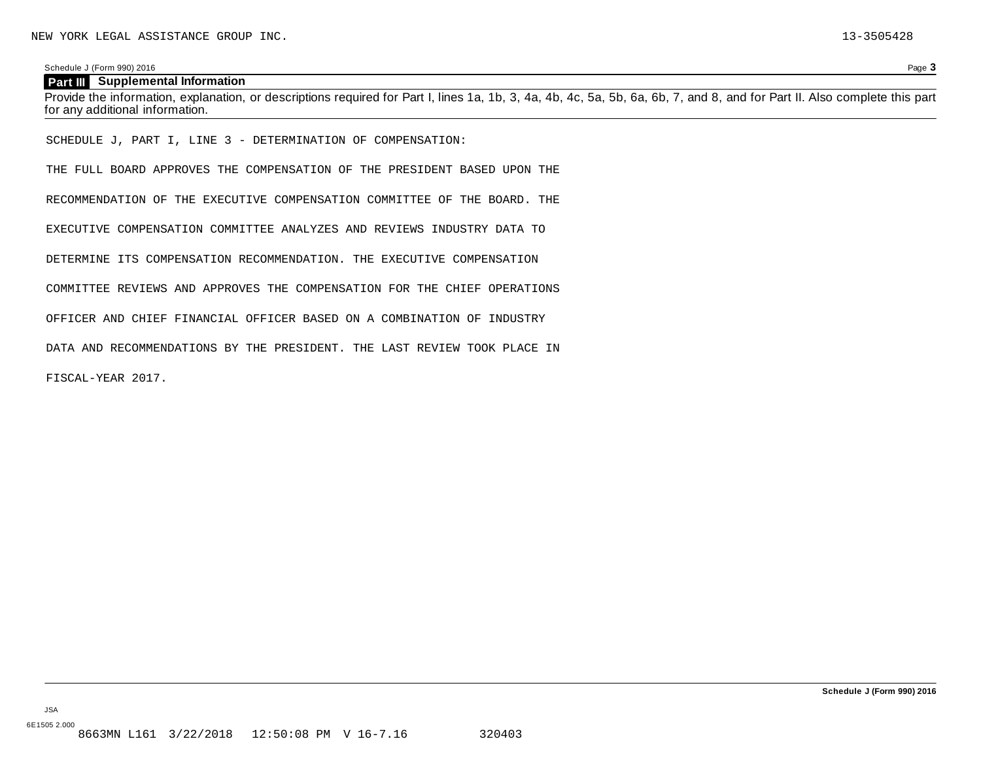Schedule J (Form 990) 2016 Page **3**

#### **Part III Supplemental Information**

Provide the information, explanation, or descriptions required for Part I, lines 1a, 1b, 3, 4a, 4b, 4c, 5a, 5b, 6a, 6b, 7, and 8, and for Part II. Also complete this part for any additional information.

SCHEDULE J, PART I, LINE 3 - DETERMINATION OF COMPENSATION:

THE FULL BOARD APPROVES THE COMPENSATION OF THE PRESIDENT BASED UPON THE

RECOMMENDATION OF THE EXECUTIVE COMPENSATION COMMITTEE OF THE BOARD. THE

EXECUTIVE COMPENSATION COMMITTEE ANALYZES AND REVIEWS INDUSTRY DATA TO

DETERMINE ITS COMPENSATION RECOMMENDATION. THE EXECUTIVE COMPENSATION

COMMITTEE REVIEWS AND APPROVES THE COMPENSATION FOR THE CHIEF OPERATIONS

OFFICER AND CHIEF FINANCIAL OFFICER BASED ON A COMBINATION OF INDUSTRY

DATA AND RECOMMENDATIONS BY THE PRESIDENT. THE LAST REVIEW TOOK PLACE IN

FISCAL-YEAR 2017.

JSA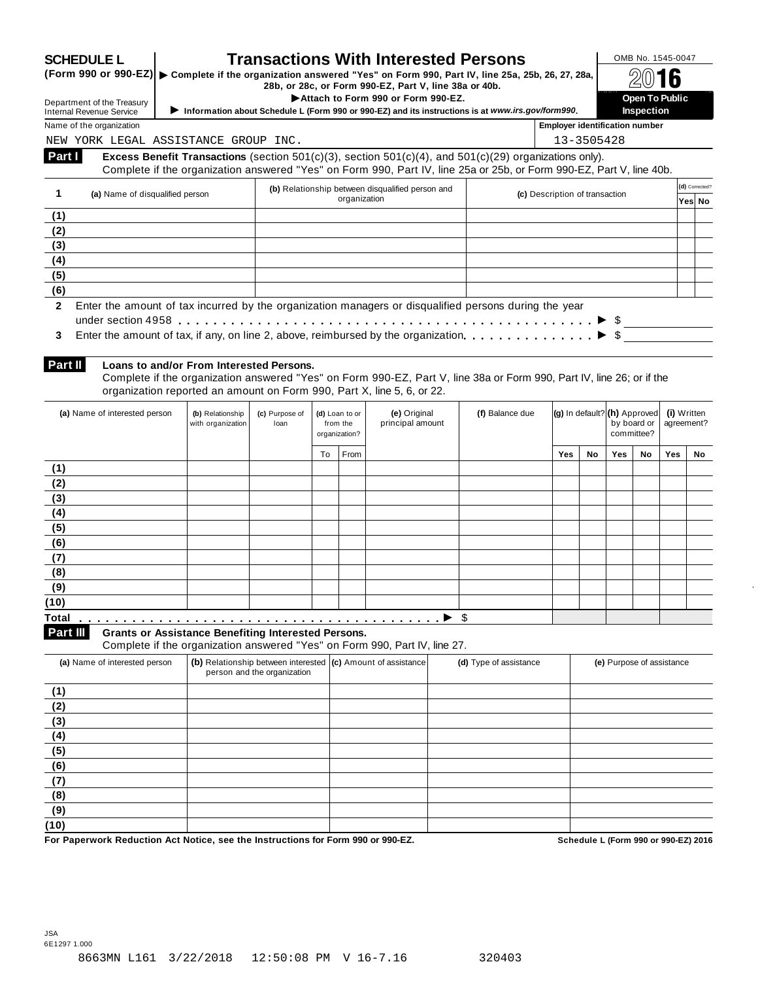|                                                                                                                                                                                                                                                                                                                                                                                           |                                                                                                                    |                                       |                                                                  |                                             |                                                              |                                | <b>Transactions With Interested Persons</b>                                                                           |                                       |                              |                              | OMB No. 1545-0047         |                           |    |
|-------------------------------------------------------------------------------------------------------------------------------------------------------------------------------------------------------------------------------------------------------------------------------------------------------------------------------------------------------------------------------------------|--------------------------------------------------------------------------------------------------------------------|---------------------------------------|------------------------------------------------------------------|---------------------------------------------|--------------------------------------------------------------|--------------------------------|-----------------------------------------------------------------------------------------------------------------------|---------------------------------------|------------------------------|------------------------------|---------------------------|---------------------------|----|
| (Form 990 or 990-EZ) ► Complete if the organization answered "Yes" on Form 990, Part IV, line 25a, 25b, 26, 27, 28a,<br>28b, or 28c, or Form 990-EZ, Part V, line 38a or 40b.<br>Attach to Form 990 or Form 990-EZ.<br>Department of the Treasury<br>Information about Schedule L (Form 990 or 990-EZ) and its instructions is at www.irs.gov/form990.<br><b>Internal Revenue Service</b> |                                                                                                                    |                                       |                                                                  |                                             |                                                              |                                |                                                                                                                       |                                       |                              | Open To Public<br>Inspection |                           |                           |    |
|                                                                                                                                                                                                                                                                                                                                                                                           | Name of the organization                                                                                           |                                       |                                                                  |                                             |                                                              |                                |                                                                                                                       | <b>Employer identification number</b> |                              |                              |                           |                           |    |
|                                                                                                                                                                                                                                                                                                                                                                                           | NEW YORK LEGAL ASSISTANCE GROUP INC.                                                                               |                                       |                                                                  |                                             |                                                              |                                |                                                                                                                       |                                       | 13-3505428                   |                              |                           |                           |    |
| Part I                                                                                                                                                                                                                                                                                                                                                                                    |                                                                                                                    |                                       |                                                                  |                                             |                                                              |                                | Excess Benefit Transactions (section $501(c)(3)$ , section $501(c)(4)$ , and $501(c)(29)$ organizations only).        |                                       |                              |                              |                           |                           |    |
|                                                                                                                                                                                                                                                                                                                                                                                           |                                                                                                                    |                                       |                                                                  |                                             |                                                              |                                | Complete if the organization answered "Yes" on Form 990, Part IV, line 25a or 25b, or Form 990-EZ, Part V, line 40b.  |                                       |                              |                              |                           |                           |    |
| 1                                                                                                                                                                                                                                                                                                                                                                                         | (a) Name of disqualified person                                                                                    |                                       | (b) Relationship between disqualified person and<br>organization |                                             |                                                              | (c) Description of transaction |                                                                                                                       |                                       |                              | (d) Corrected?<br>Yes No     |                           |                           |    |
| (1)                                                                                                                                                                                                                                                                                                                                                                                       |                                                                                                                    |                                       |                                                                  |                                             |                                                              |                                |                                                                                                                       |                                       |                              |                              |                           |                           |    |
| (2)                                                                                                                                                                                                                                                                                                                                                                                       |                                                                                                                    |                                       |                                                                  |                                             |                                                              |                                |                                                                                                                       |                                       |                              |                              |                           |                           |    |
| (3)                                                                                                                                                                                                                                                                                                                                                                                       |                                                                                                                    |                                       |                                                                  |                                             |                                                              |                                |                                                                                                                       |                                       |                              |                              |                           |                           |    |
| (4)                                                                                                                                                                                                                                                                                                                                                                                       |                                                                                                                    |                                       |                                                                  |                                             |                                                              |                                |                                                                                                                       |                                       |                              |                              |                           |                           |    |
| (5)<br>(6)                                                                                                                                                                                                                                                                                                                                                                                |                                                                                                                    |                                       |                                                                  |                                             |                                                              |                                |                                                                                                                       |                                       |                              |                              |                           |                           |    |
| $\mathbf{2}$<br>3                                                                                                                                                                                                                                                                                                                                                                         | Enter the amount of tax incurred by the organization managers or disqualified persons during the year              |                                       |                                                                  |                                             |                                                              |                                |                                                                                                                       |                                       |                              |                              |                           |                           |    |
| Part II                                                                                                                                                                                                                                                                                                                                                                                   | Loans to and/or From Interested Persons.<br>organization reported an amount on Form 990, Part X, line 5, 6, or 22. |                                       |                                                                  |                                             |                                                              |                                | Complete if the organization answered "Yes" on Form 990-EZ, Part V, line 38a or Form 990, Part IV, line 26; or if the |                                       |                              |                              |                           |                           |    |
|                                                                                                                                                                                                                                                                                                                                                                                           | (a) Name of interested person                                                                                      | (b) Relationship<br>with organization | (c) Purpose of<br>loan                                           | (d) Loan to or<br>from the<br>organization? | (e) Original<br>principal amount                             |                                | (f) Balance due                                                                                                       |                                       | (g) In default? (h) Approved | committee?                   | by board or               | (i) Written<br>agreement? |    |
|                                                                                                                                                                                                                                                                                                                                                                                           |                                                                                                                    |                                       |                                                                  | From<br>To                                  |                                                              |                                |                                                                                                                       | Yes                                   | No                           | Yes                          | No                        | Yes                       | No |
|                                                                                                                                                                                                                                                                                                                                                                                           |                                                                                                                    |                                       |                                                                  |                                             |                                                              |                                |                                                                                                                       |                                       |                              |                              |                           |                           |    |
|                                                                                                                                                                                                                                                                                                                                                                                           |                                                                                                                    |                                       |                                                                  |                                             |                                                              |                                |                                                                                                                       |                                       |                              |                              |                           |                           |    |
|                                                                                                                                                                                                                                                                                                                                                                                           |                                                                                                                    |                                       |                                                                  |                                             |                                                              |                                |                                                                                                                       |                                       |                              |                              |                           |                           |    |
|                                                                                                                                                                                                                                                                                                                                                                                           |                                                                                                                    |                                       |                                                                  |                                             |                                                              |                                |                                                                                                                       |                                       |                              |                              |                           |                           |    |
|                                                                                                                                                                                                                                                                                                                                                                                           |                                                                                                                    |                                       |                                                                  |                                             |                                                              |                                |                                                                                                                       |                                       |                              |                              |                           |                           |    |
|                                                                                                                                                                                                                                                                                                                                                                                           |                                                                                                                    |                                       |                                                                  |                                             |                                                              |                                |                                                                                                                       |                                       |                              |                              |                           |                           |    |
|                                                                                                                                                                                                                                                                                                                                                                                           |                                                                                                                    |                                       |                                                                  |                                             |                                                              |                                |                                                                                                                       |                                       |                              |                              |                           |                           |    |
|                                                                                                                                                                                                                                                                                                                                                                                           |                                                                                                                    |                                       |                                                                  |                                             |                                                              |                                |                                                                                                                       |                                       |                              |                              |                           |                           |    |
|                                                                                                                                                                                                                                                                                                                                                                                           |                                                                                                                    |                                       |                                                                  |                                             |                                                              |                                |                                                                                                                       |                                       |                              |                              |                           |                           |    |
|                                                                                                                                                                                                                                                                                                                                                                                           |                                                                                                                    |                                       |                                                                  |                                             |                                                              |                                |                                                                                                                       |                                       |                              |                              |                           |                           |    |
|                                                                                                                                                                                                                                                                                                                                                                                           |                                                                                                                    |                                       |                                                                  |                                             |                                                              |                                |                                                                                                                       |                                       |                              |                              |                           |                           |    |
|                                                                                                                                                                                                                                                                                                                                                                                           | <b>Grants or Assistance Benefiting Interested Persons.</b>                                                         |                                       |                                                                  |                                             |                                                              |                                | \$                                                                                                                    |                                       |                              |                              |                           |                           |    |
|                                                                                                                                                                                                                                                                                                                                                                                           | Complete if the organization answered "Yes" on Form 990, Part IV, line 27.<br>(a) Name of interested person        |                                       | person and the organization                                      |                                             | (b) Relationship between interested (c) Amount of assistance |                                | (d) Type of assistance                                                                                                |                                       |                              |                              | (e) Purpose of assistance |                           |    |
|                                                                                                                                                                                                                                                                                                                                                                                           |                                                                                                                    |                                       |                                                                  |                                             |                                                              |                                |                                                                                                                       |                                       |                              |                              |                           |                           |    |
|                                                                                                                                                                                                                                                                                                                                                                                           |                                                                                                                    |                                       |                                                                  |                                             |                                                              |                                |                                                                                                                       |                                       |                              |                              |                           |                           |    |
|                                                                                                                                                                                                                                                                                                                                                                                           |                                                                                                                    |                                       |                                                                  |                                             |                                                              |                                |                                                                                                                       |                                       |                              |                              |                           |                           |    |
|                                                                                                                                                                                                                                                                                                                                                                                           |                                                                                                                    |                                       |                                                                  |                                             |                                                              |                                |                                                                                                                       |                                       |                              |                              |                           |                           |    |
|                                                                                                                                                                                                                                                                                                                                                                                           |                                                                                                                    |                                       |                                                                  |                                             |                                                              |                                |                                                                                                                       |                                       |                              |                              |                           |                           |    |
| (1)<br>(2)<br>(3)<br>(4)<br>(5)<br>(6)<br>(7)<br>(8)<br>(9)<br>(10)<br>Total<br>Part III<br>(1)<br>(2)<br>(3)<br>(4)<br>(5)<br>(6)                                                                                                                                                                                                                                                        |                                                                                                                    |                                       |                                                                  |                                             |                                                              |                                |                                                                                                                       |                                       |                              |                              |                           |                           |    |
| (7)                                                                                                                                                                                                                                                                                                                                                                                       |                                                                                                                    |                                       |                                                                  |                                             |                                                              |                                |                                                                                                                       |                                       |                              |                              |                           |                           |    |
|                                                                                                                                                                                                                                                                                                                                                                                           |                                                                                                                    |                                       |                                                                  |                                             |                                                              |                                |                                                                                                                       |                                       |                              |                              |                           |                           |    |
| (8)<br>(9)                                                                                                                                                                                                                                                                                                                                                                                |                                                                                                                    |                                       |                                                                  |                                             |                                                              |                                |                                                                                                                       |                                       |                              |                              |                           |                           |    |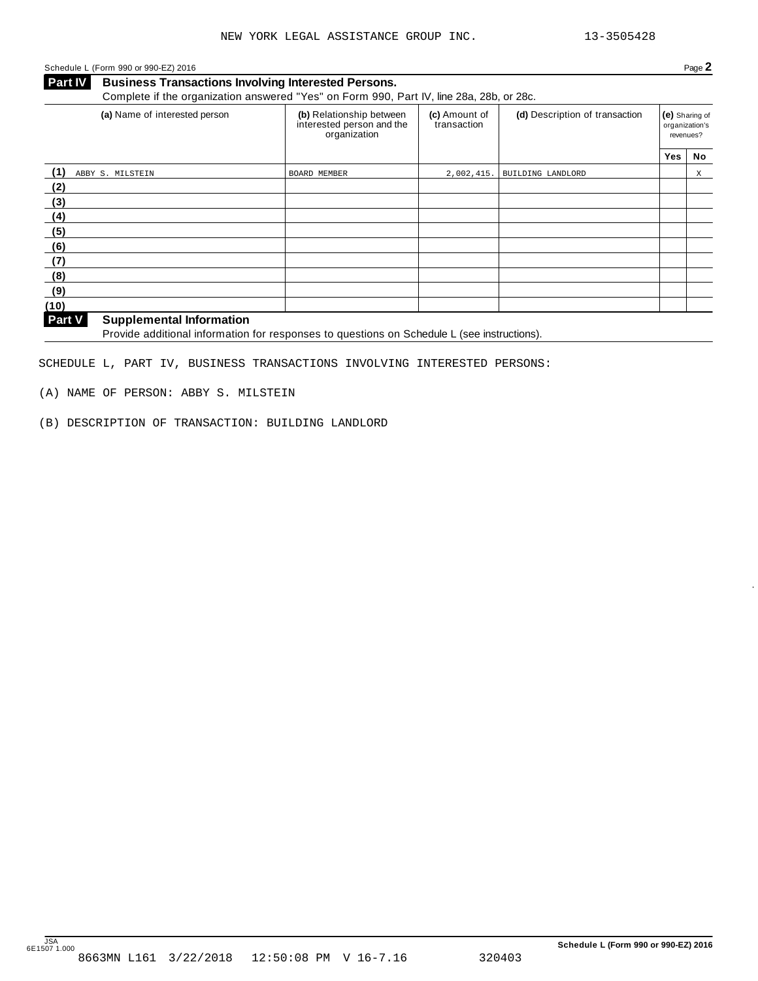### Schedule L (Form 990 or 990-EZ) 2016 Page 2

**Business Transactions Involving Interested Persons.** Complete if the organization answered "Yes" on Form 990, Part IV, line 28a, 28b, or 28c.

| (a) Name of interested person             | (b) Relationship between<br>interested person and the<br>organization | (c) Amount of<br>transaction | (d) Description of transaction | (e) Sharing of<br>revenues? | organization's |
|-------------------------------------------|-----------------------------------------------------------------------|------------------------------|--------------------------------|-----------------------------|----------------|
|                                           |                                                                       |                              |                                | Yes                         | No             |
| (1)<br>ABBY S. MILSTEIN                   | BOARD MEMBER                                                          | 2,002,415.                   | BUILDING LANDLORD              |                             | X              |
| (2)                                       |                                                                       |                              |                                |                             |                |
| (3)                                       |                                                                       |                              |                                |                             |                |
| (4)                                       |                                                                       |                              |                                |                             |                |
| (5)                                       |                                                                       |                              |                                |                             |                |
| (6)                                       |                                                                       |                              |                                |                             |                |
| (7)                                       |                                                                       |                              |                                |                             |                |
| (8)                                       |                                                                       |                              |                                |                             |                |
| (9)                                       |                                                                       |                              |                                |                             |                |
| (10)                                      |                                                                       |                              |                                |                             |                |
| Part V<br><b>Supplemental Information</b> |                                                                       |                              |                                |                             |                |

#### Provide additional information for responses to questions on Schedule L (see instructions).

SCHEDULE L, PART IV, BUSINESS TRANSACTIONS INVOLVING INTERESTED PERSONS:

(A) NAME OF PERSON: ABBY S. MILSTEIN

(B) DESCRIPTION OF TRANSACTION: BUILDING LANDLORD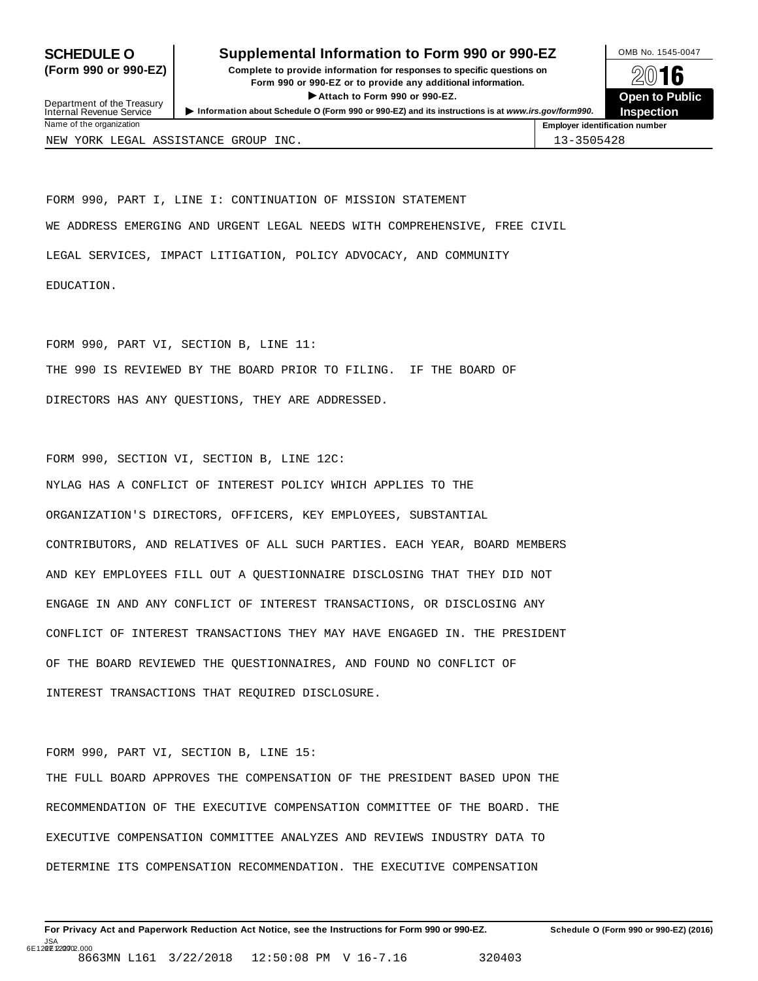## **SCHEDULE O** Supplemental Information to Form 990 or 990-EZ DOMB No. 1545-0047

**(Form 990 or 990-EZ) Complete to provide information for responses to specific questions on** Form 990 or 990-EZ or to provide any additional information. I**Attach to Form <sup>990</sup> or 990-EZ. Open to Public**



| Department of the Treasury<br>Internal Revenue Service | Information about Schedule O (Form 990 or 990-EZ) and its instructions is at www.irs.gov/form990. | <b>Open to Pup</b><br><b>Inspection</b> |                                       |  |
|--------------------------------------------------------|---------------------------------------------------------------------------------------------------|-----------------------------------------|---------------------------------------|--|
| Name of the organization                               |                                                                                                   |                                         | <b>Employer identification number</b> |  |
| NEW YORK LEGAL ASSISTANCE GROUP INC.                   |                                                                                                   |                                         | 13-3505428                            |  |

FORM 990, PART I, LINE I: CONTINUATION OF MISSION STATEMENT WE ADDRESS EMERGING AND URGENT LEGAL NEEDS WITH COMPREHENSIVE, FREE CIVIL LEGAL SERVICES, IMPACT LITIGATION, POLICY ADVOCACY, AND COMMUNITY EDUCATION.

FORM 990, PART VI, SECTION B, LINE 11: THE 990 IS REVIEWED BY THE BOARD PRIOR TO FILING. IF THE BOARD OF DIRECTORS HAS ANY QUESTIONS, THEY ARE ADDRESSED.

FORM 990, SECTION VI, SECTION B, LINE 12C: NYLAG HAS A CONFLICT OF INTEREST POLICY WHICH APPLIES TO THE ORGANIZATION'S DIRECTORS, OFFICERS, KEY EMPLOYEES, SUBSTANTIAL CONTRIBUTORS, AND RELATIVES OF ALL SUCH PARTIES. EACH YEAR, BOARD MEMBERS AND KEY EMPLOYEES FILL OUT A QUESTIONNAIRE DISCLOSING THAT THEY DID NOT ENGAGE IN AND ANY CONFLICT OF INTEREST TRANSACTIONS, OR DISCLOSING ANY CONFLICT OF INTEREST TRANSACTIONS THEY MAY HAVE ENGAGED IN. THE PRESIDENT OF THE BOARD REVIEWED THE QUESTIONNAIRES, AND FOUND NO CONFLICT OF INTEREST TRANSACTIONS THAT REQUIRED DISCLOSURE.

# FORM 990, PART VI, SECTION B, LINE 15: THE FULL BOARD APPROVES THE COMPENSATION OF THE PRESIDENT BASED UPON THE RECOMMENDATION OF THE EXECUTIVE COMPENSATION COMMITTEE OF THE BOARD. THE EXECUTIVE COMPENSATION COMMITTEE ANALYZES AND REVIEWS INDUSTRY DATA TO DETERMINE ITS COMPENSATION RECOMMENDATION. THE EXECUTIVE COMPENSATION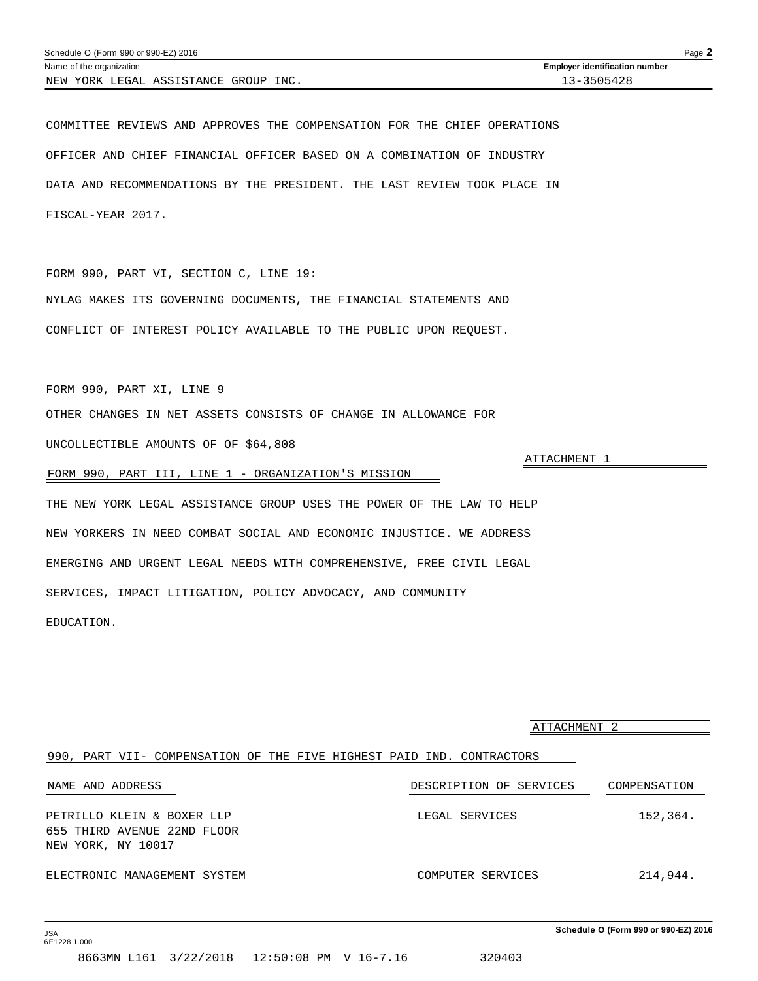| ELECTRONIC MANAGEMENT SYSTEM |  |                                             |  | COMPUTER SERVICES | 214,944.                          |
|------------------------------|--|---------------------------------------------|--|-------------------|-----------------------------------|
|                              |  |                                             |  |                   |                                   |
| <b>JSA</b><br>6E1228 1.000   |  |                                             |  |                   | Schedule O (Form 990 or 990-EZ) 2 |
|                              |  | 8663MN L161 3/22/2018 12:50:08 PM V 16-7.16 |  | 320403            |                                   |

<span id="page-46-0"></span>COMMITTEE REVIEWS AND APPROVES THE COMPENSATION FOR THE CHIEF OPERATIONS OFFICER AND CHIEF FINANCIAL OFFICER BASED ON A COMBINATION OF INDUSTRY DATA AND RECOMMENDATIONS BY THE PRESIDENT. THE LAST REVIEW TOOK PLACE IN FISCAL-YEAR 2017.

FORM 990, PART VI, SECTION C, LINE 19: NYLAG MAKES ITS GOVERNING DOCUMENTS, THE FINANCIAL STATEMENTS AND CONFLICT OF INTEREST POLICY AVAILABLE TO THE PUBLIC UPON REQUEST.

FORM 990, PART XI, LINE 9

OTHER CHANGES IN NET ASSETS CONSISTS OF CHANGE IN ALLOWANCE FOR

UNCOLLECTIBLE AMOUNTS OF OF \$64,808

#### FORM 990, PART III, LINE 1 - ORGANIZATION'S MISSION

THE NEW YORK LEGAL ASSISTANCE GROUP USES THE POWER OF THE LAW TO HELP NEW YORKERS IN NEED COMBAT SOCIAL AND ECONOMIC INJUSTICE. WE ADDRESS EMERGING AND URGENT LEGAL NEEDS WITH COMPREHENSIVE, FREE CIVIL LEGAL SERVICES, IMPACT LITIGATION, POLICY ADVOCACY, AND COMMUNITY EDUCATION.

990, PART VII- COMPENSATION OF THE FIVE HIGHEST PAID IND. CONTRACTORS

NAME AND ADDRESS DESCRIPTION OF SERVICES COMPENSATION PETRILLO KLEIN & BOXER LLP **LEGAL SERVICES** 152,364.

655 THIRD AVENUE 22ND FLOOR NEW YORK, NY 10017

ATTACHMENT 1

ATTACHMENT 2

**Schedule O (Form 990 or 990-EZ) 2016**